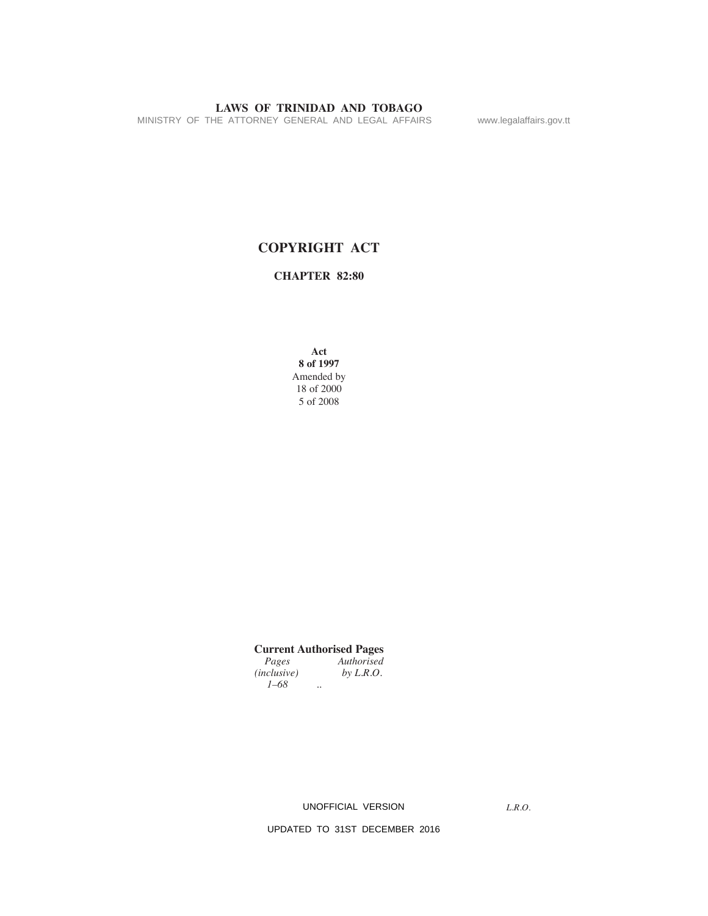MINISTRY OF THE ATTORNEY GENERAL AND LEGAL AFFAIRS www.legalaffairs.gov.tt

# **COPYRIGHT ACT**

**CHAPTeR 82:80**

**Act 8 of 1997** Amended by 18 of 2000 5 of 2008

|                    |                      | <b>Current Authorised Pages</b> |
|--------------------|----------------------|---------------------------------|
| Pages              |                      | Authorised                      |
| <i>(inclusive)</i> |                      | by $L.R.O.$                     |
| $1 - 68$           | $\ddot{\phantom{1}}$ |                                 |

UNOFFICIAL VERSION

*L.R.O.*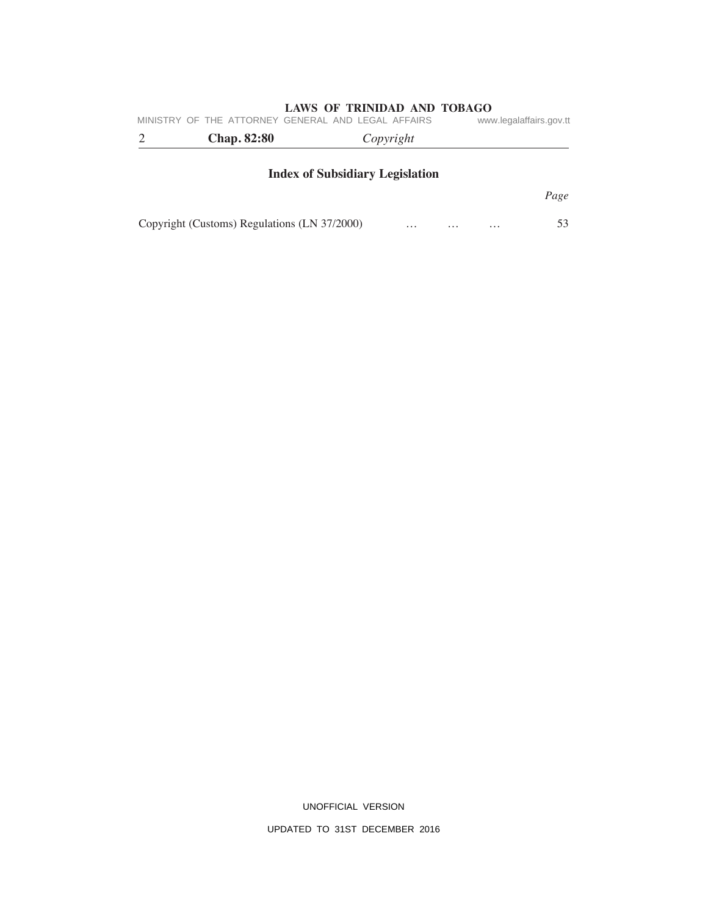| MINISTRY OF THE ATTORNEY GENERAL AND LEGAL AFFAIRS |                                        |          |          | www.legalaffairs.gov.tt |
|----------------------------------------------------|----------------------------------------|----------|----------|-------------------------|
| <b>Chap. 82:80</b>                                 | Copyright                              |          |          |                         |
|                                                    | <b>Index of Subsidiary Legislation</b> |          |          |                         |
|                                                    |                                        |          |          | Page                    |
| Copyright (Customs) Regulations (LN 37/2000)       | $\cdots$                               | $\cdots$ | $\cdots$ | 53                      |

UNOFFICIAL VERSION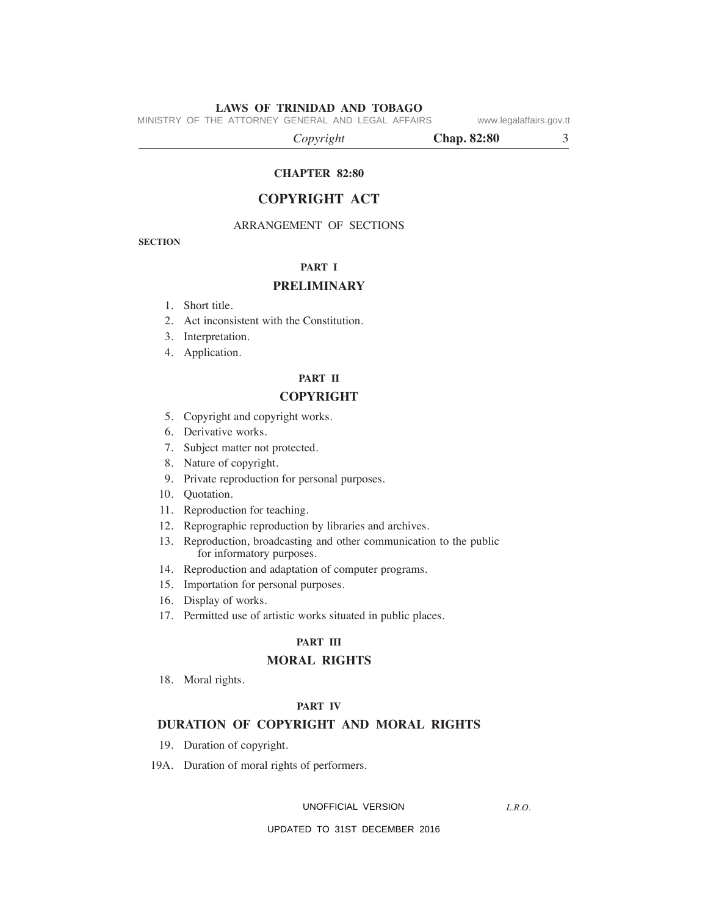MINISTRY OF THE ATTORNEY GENERAL AND LEGAL AFFAIRS www.legalaffairs.gov.tt

 *Copyright* **Chap. 82:80** 3

# **CHAPTeR 82:80**

# **COPYRIGHT ACT**

# ARRANGEMENT OF SECTIONS

**SeCTION**

# **PART I**

# **PReLImINARY**

- 1. Short title.
- 2. Act inconsistent with the Constitution.
- 3. Interpretation.
- 4. Application.

# **PART II**

# **COPYRIGHT**

- 5. Copyright and copyright works.
- 6. Derivative works.
- 7. Subject matter not protected.
- 8. Nature of copyright.
- 9. Private reproduction for personal purposes.
- 10. Quotation.
- 11. Reproduction for teaching.
- 12. Reprographic reproduction by libraries and archives.
- 13. Reproduction, broadcasting and other communication to the public for informatory purposes.
- 14. Reproduction and adaptation of computer programs.
- 15. Importation for personal purposes.
- 16. Display of works.
- 17. Permitted use of artistic works situated in public places.

# **PART III**

# **mORAL RIGHTS**

18. Moral rights.

# **PART IV**

# **DuRATION OF COPYRIGHT AND mORAL RIGHTS**

- 19. Duration of copyright.
- 19A. Duration of moral rights of performers.

#### UNOFFICIAL VERSION

*L.R.O.*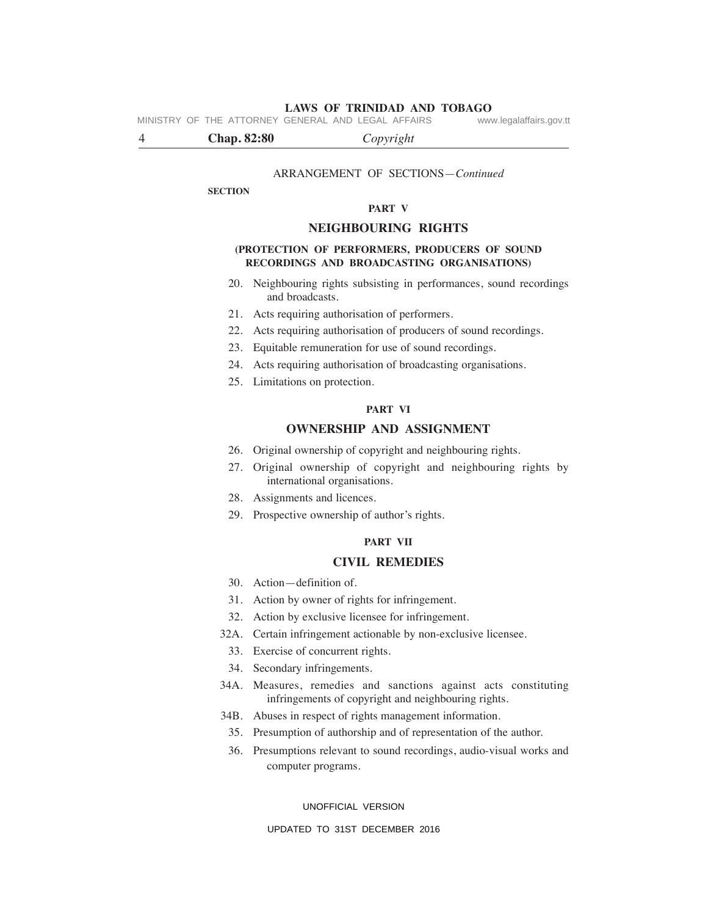**LAWS OF TRINIDAD AND TOBAGO** MINISTRY OF THE ATTORNEY GENERAL AND LEGAL AFFAIRS

4 **Chap. 82:80** *Copyright*

#### ARRANGEMENT OF SECTIONS—*Continued*

#### **SeCTION**

#### **PART V**

#### **NeIGHBOuRING RIGHTS**

#### **(PROTeCTION OF PeRFORmeRS, PRODuCeRS OF SOuND ReCORDINGS AND BROADCASTING ORGANISATIONS)**

- 20. Neighbouring rights subsisting in performances, sound recordings and broadcasts.
- 21. Acts requiring authorisation of performers.
- 22. Acts requiring authorisation of producers of sound recordings.
- 23. Equitable remuneration for use of sound recordings.
- 24. Acts requiring authorisation of broadcasting organisations.
- 25. Limitations on protection.

#### **PART VI**

# **OWNeRSHIP AND ASSIGNmeNT**

- 26. Original ownership of copyright and neighbouring rights.
- 27. Original ownership of copyright and neighbouring rights by international organisations.
- 28. Assignments and licences.
- 29. Prospective ownership of author's rights.

# **PART VII**

#### **CIVIL RemeDIeS**

- 30. Action—definition of.
- 31. Action by owner of rights for infringement.
- 32. Action by exclusive licensee for infringement.
- 32A. Certain infringement actionable by non-exclusive licensee.
	- 33. Exercise of concurrent rights.
	- 34. Secondary infringements.
- 34A. Measures, remedies and sanctions against acts constituting infringements of copyright and neighbouring rights.
- 34B. Abuses in respect of rights management information.
	- 35. Presumption of authorship and of representation of the author.
	- 36. Presumptions relevant to sound recordings, audio-visual works and computer programs.

#### UNOFFICIAL VERSION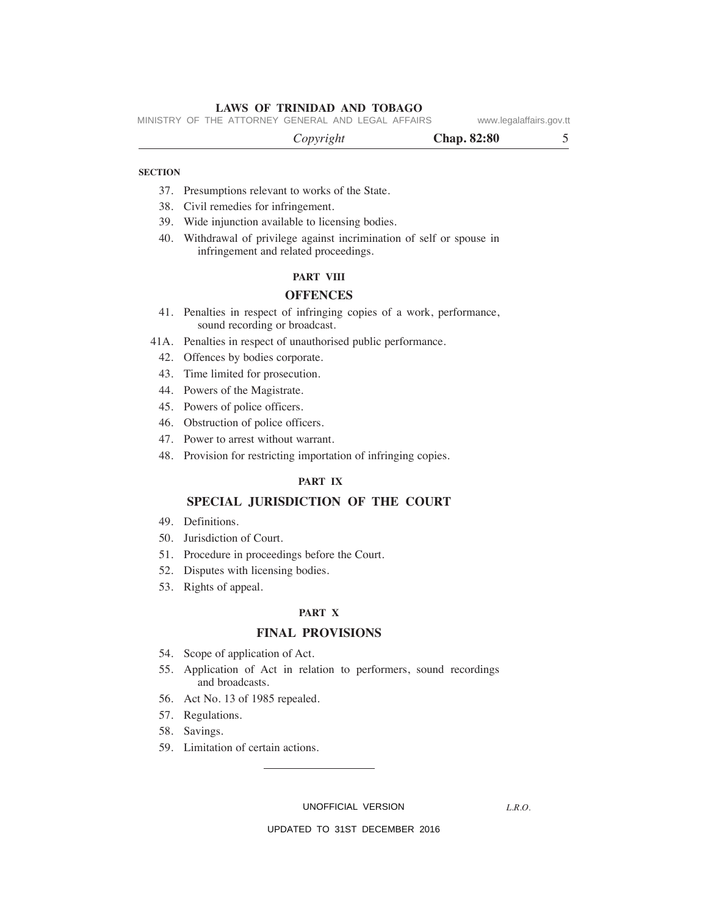MINISTRY OF THE ATTORNEY GENERAL AND LEGAL AFFAIRS www.legalaffairs.gov.tt

 *Copyright* **Chap. 82:80** 5

## **SeCTION**

- 37. Presumptions relevant to works of the State.
- 38. Civil remedies for infringement.
- 39. Wide injunction available to licensing bodies.
- 40. Withdrawal of privilege against incrimination of self or spouse in infringement and related proceedings.

#### **PART VIII**

# **OFFeNCeS**

- 41. Penalties in respect of infringing copies of a work, performance, sound recording or broadcast.
- 41A. Penalties in respect of unauthorised public performance.
	- 42. Offences by bodies corporate.
	- 43. Time limited for prosecution.
	- 44. Powers of the Magistrate.
	- 45. Powers of police officers.
	- 46. Obstruction of police officers.
	- 47. Power to arrest without warrant.
	- 48. Provision for restricting importation of infringing copies.

#### **PART IX**

## **SPeCIAL JuRISDICTION OF THe COuRT**

- 49. Definitions.
- 50. Jurisdiction of Court.
- 51. Procedure in proceedings before the Court.
- 52. Disputes with licensing bodies.
- 53. Rights of appeal.

### **PART X**

# **FINAL PROVISIONS**

- 54. Scope of application of Act.
- 55. Application of Act in relation to performers, sound recordings and broadcasts.
- 56. Act No. 13 of 1985 repealed.
- 57. Regulations.
- 58. Savings.
- 59. Limitation of certain actions.

UNOFFICIAL VERSION

*L.R.O.*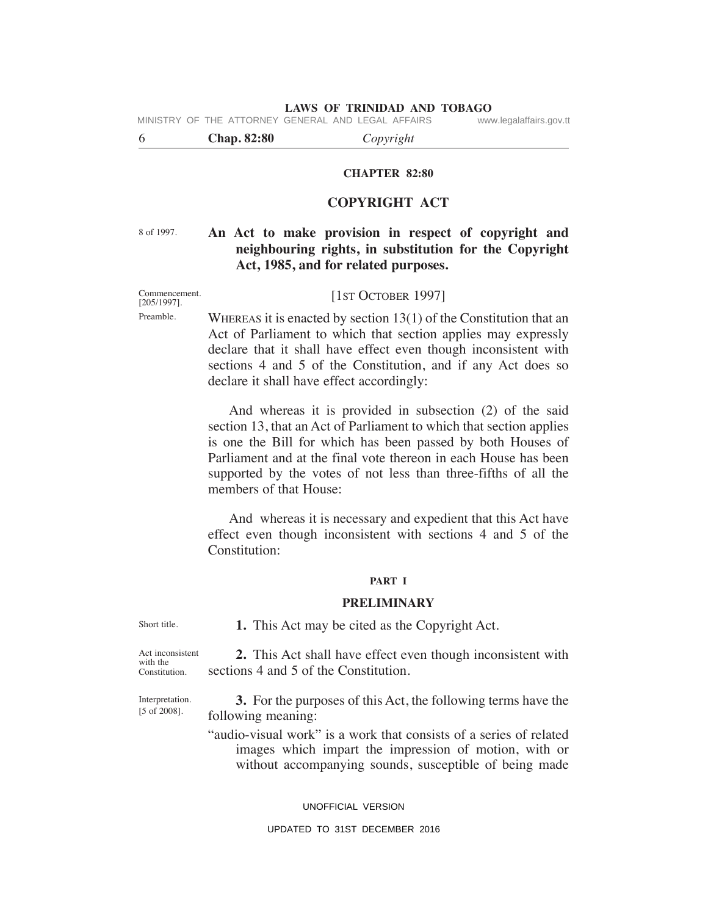MINISTRY OF THE ATTORNEY GENERAL AND LEGAL AFFAIRS www.legalaffairs.gov.tt

6 **Chap. 82:80** *Copyright*

# **CHAPTeR 82:80**

# **COPYRIGHT ACT**

8 of 1997.

# **An Act to make provision in respect of copyright and neighbouring rights, in substitution for the Copyright Act, 1985, and for related purposes.**

Commencement. [205/1997]. Preamble.

[1ST OCTOBER 1997]

WHEREAS it is enacted by section  $13(1)$  of the Constitution that an Act of Parliament to which that section applies may expressly declare that it shall have effect even though inconsistent with sections 4 and 5 of the Constitution, and if any Act does so declare it shall have effect accordingly:

 And whereas it is provided in subsection (2) of the said section 13, that an Act of Parliament to which that section applies is one the Bill for which has been passed by both houses of Parliament and at the final vote thereon in each House has been supported by the votes of not less than three-fifths of all the members of that House:

 And whereas it is necessary and expedient that this Act have effect even though inconsistent with sections 4 and 5 of the Constitution:

#### **PART I**

# **PReLImINARY**

Short title.

**1.** This Act may be cited as the Copyright Act.

Act inconsistent with the Constitution.

 **2.** This Act shall have effect even though inconsistent with sections 4 and 5 of the Constitution.

Interpretation. [5 of 2008].

 **3.** For the purposes of this Act, the following terms have the following meaning:

"audio-visual work" is a work that consists of a series of related images which impart the impression of motion, with or without accompanying sounds, susceptible of being made

UNOFFICIAL VERSION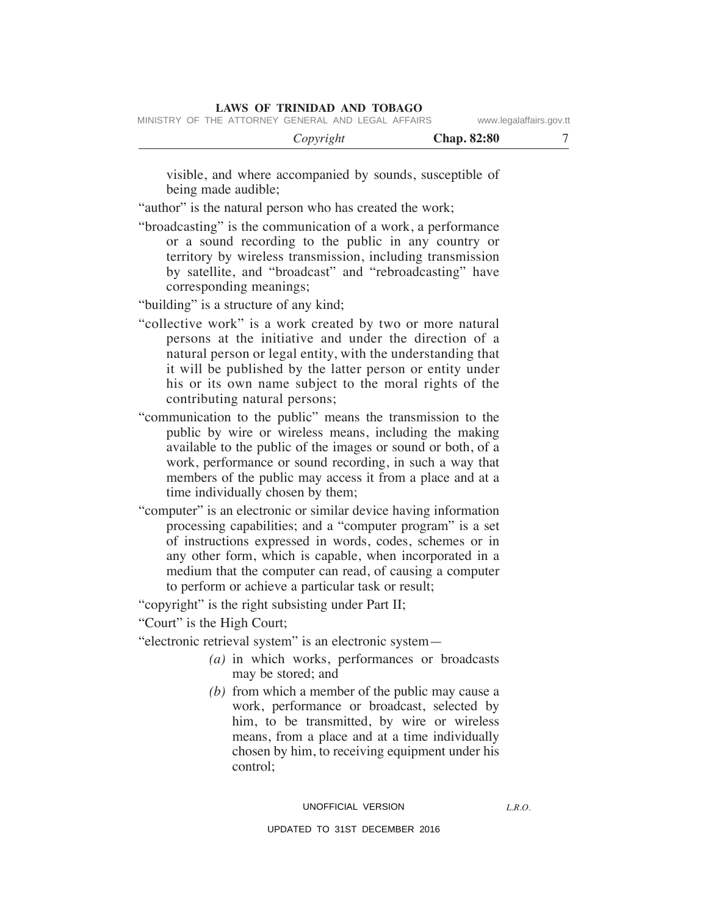|  | MINISTRY OF THE ATTORNEY GENERAL AND LEGAL AFFAIRS |  |  | www.legalaffairs.gov.tt |
|--|----------------------------------------------------|--|--|-------------------------|
|  |                                                    |  |  |                         |

| <b>Chap.</b> 82:80 |  |
|--------------------|--|
|                    |  |

visible, and where accompanied by sounds, susceptible of being made audible;

"author" is the natural person who has created the work;

"broadcasting" is the communication of a work, a performance or a sound recording to the public in any country or territory by wireless transmission, including transmission by satellite, and "broadcast" and "rebroadcasting" have corresponding meanings;

"building" is a structure of any kind;

- "collective work" is a work created by two or more natural persons at the initiative and under the direction of a natural person or legal entity, with the understanding that it will be published by the latter person or entity under his or its own name subject to the moral rights of the contributing natural persons;
- "communication to the public" means the transmission to the public by wire or wireless means, including the making available to the public of the images or sound or both, of a work, performance or sound recording, in such a way that members of the public may access it from a place and at a time individually chosen by them;
- "computer" is an electronic or similar device having information processing capabilities; and a "computer program" is a set of instructions expressed in words, codes, schemes or in any other form, which is capable, when incorporated in a medium that the computer can read, of causing a computer to perform or achieve a particular task or result;

"copyright" is the right subsisting under Part II;

"Court" is the High Court;

"electronic retrieval system" is an electronic system—

- *(a)* in which works, performances or broadcasts may be stored; and
- *(b)* from which a member of the public may cause a work, performance or broadcast, selected by him, to be transmitted, by wire or wireless means, from a place and at a time individually chosen by him, to receiving equipment under his control;

#### UNOFFICIAL VERSION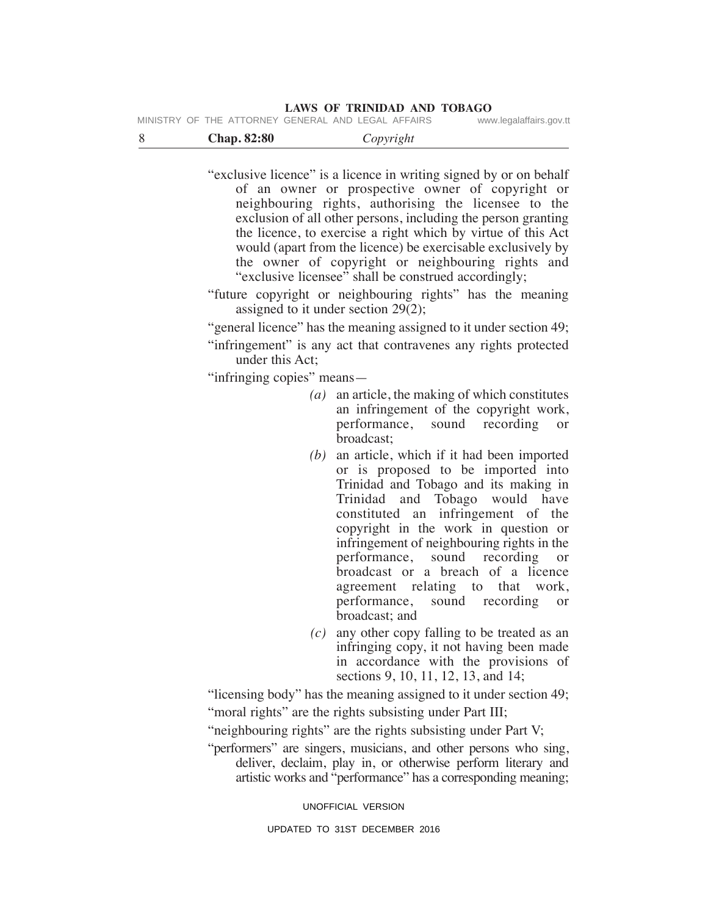| MINISTRY OF THE ATTORNEY GENERAL AND LEGAL AFFAIRS | www.legalaffairs.gov.tt |
|----------------------------------------------------|-------------------------|
|----------------------------------------------------|-------------------------|

| <b>Chap.</b> 82:80 | Copyright |
|--------------------|-----------|
|--------------------|-----------|

"exclusive licence" is a licence in writing signed by or on behalf of an owner or prospective owner of copyright or neighbouring rights, authorising the licensee to the exclusion of all other persons, including the person granting the licence, to exercise a right which by virtue of this Act would (apart from the licence) be exercisable exclusively by the owner of copyright or neighbouring rights and "exclusive licensee" shall be construed accordingly;

"future copyright or neighbouring rights" has the meaning assigned to it under section 29(2);

"general licence" has the meaning assigned to it under section 49;

"infringement" is any act that contravenes any rights protected under this Act;

"infringing copies" means—

- *(a)* an article, the making of which constitutes an infringement of the copyright work, performance, sound recording or broadcast;
- *(b)* an article, which if it had been imported or is proposed to be imported into Trinidad and Tobago and its making in Trinidad and Tobago would have constituted an infringement of the copyright in the work in question or infringement of neighbouring rights in the performance, sound recording or broadcast or a breach of a licence agreement relating to that work, performance, sound recording or broadcast; and
- *(c)* any other copy falling to be treated as an infringing copy, it not having been made in accordance with the provisions of sections 9, 10, 11, 12, 13, and 14;

"licensing body" has the meaning assigned to it under section 49;

"moral rights" are the rights subsisting under Part III;

"neighbouring rights" are the rights subsisting under Part V;

"performers" are singers, musicians, and other persons who sing, deliver, declaim, play in, or otherwise perform literary and artistic works and "performance" has a corresponding meaning;

UNOFFICIAL VERSION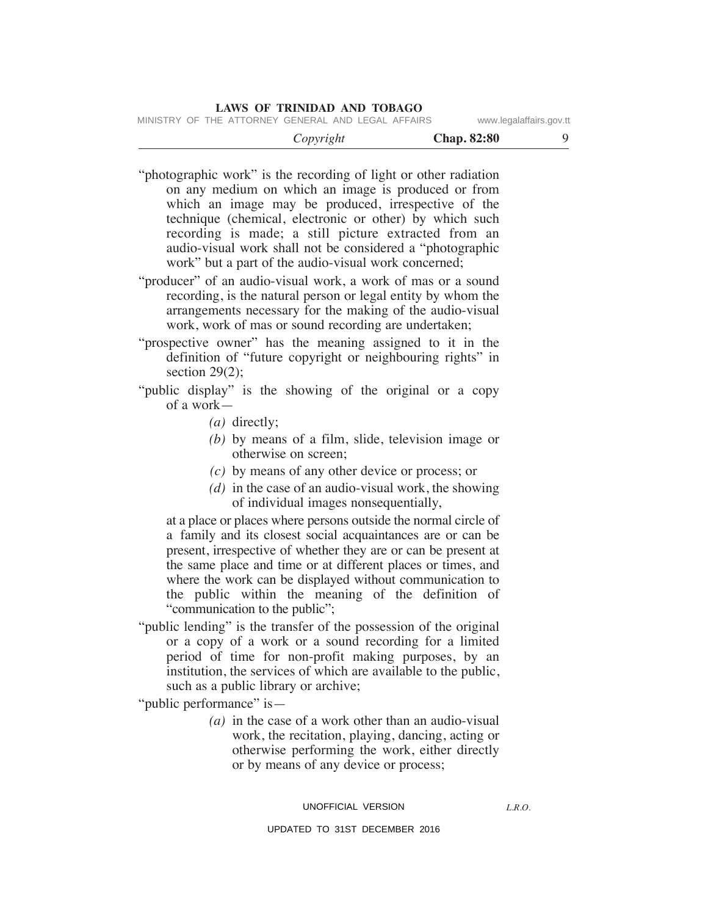|  | MINISTRY OF THE ATTORNEY GENERAL AND LEGAL AFFAIRS |  |  | www.legalaffairs.gov.tt |  |
|--|----------------------------------------------------|--|--|-------------------------|--|
|  |                                                    |  |  |                         |  |

"photographic work" is the recording of light or other radiation on any medium on which an image is produced or from which an image may be produced, irrespective of the technique (chemical, electronic or other) by which such recording is made; a still picture extracted from an audio-visual work shall not be considered a "photographic work" but a part of the audio-visual work concerned;

"producer" of an audio-visual work, a work of mas or a sound recording, is the natural person or legal entity by whom the arrangements necessary for the making of the audio-visual work, work of mas or sound recording are undertaken;

"prospective owner" has the meaning assigned to it in the definition of "future copyright or neighbouring rights" in section  $29(2)$ ;

- "public display" is the showing of the original or a copy of a work—
	- *(a)* directly;
	- *(b)* by means of a film, slide, television image or otherwise on screen;
	- *(c)* by means of any other device or process; or
	- *(d)* in the case of an audio-visual work, the showing of individual images nonsequentially,

 at a place or places where persons outside the normal circle of a family and its closest social acquaintances are or can be present, irrespective of whether they are or can be present at the same place and time or at different places or times, and where the work can be displayed without communication to the public within the meaning of the definition of "communication to the public";

"public lending" is the transfer of the possession of the original or a copy of a work or a sound recording for a limited period of time for non-profit making purposes, by an institution, the services of which are available to the public, such as a public library or archive;

"public performance" is—

 *(a)* in the case of a work other than an audio-visual work, the recitation, playing, dancing, acting or otherwise performing the work, either directly or by means of any device or process;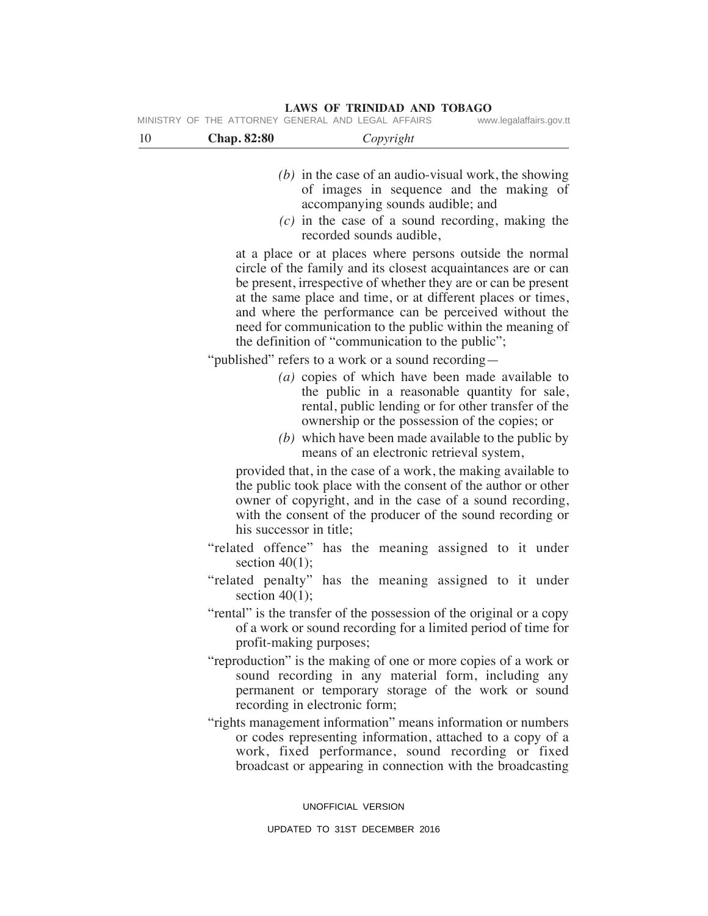**LAWS OF TRINIDAD AND TOBAGO** MINISTRY OF THE ATTORNEY GENERAL AND LEGAL AFFAIRS www.legalaffairs.gov.tt

| -10 | <b>Chap. 82:80</b> | Copyright |
|-----|--------------------|-----------|
|     |                    |           |

- *(b)* in the case of an audio-visual work, the showing of images in sequence and the making of accompanying sounds audible; and
- *(c)* in the case of a sound recording, making the recorded sounds audible,

 at a place or at places where persons outside the normal circle of the family and its closest acquaintances are or can be present, irrespective of whether they are or can be present at the same place and time, or at different places or times, and where the performance can be perceived without the need for communication to the public within the meaning of the definition of "communication to the public";

"published" refers to a work or a sound recording—

- *(a)* copies of which have been made available to the public in a reasonable quantity for sale, rental, public lending or for other transfer of the ownership or the possession of the copies; or
- *(b)* which have been made available to the public by means of an electronic retrieval system,

 provided that, in the case of a work, the making available to the public took place with the consent of the author or other owner of copyright, and in the case of a sound recording, with the consent of the producer of the sound recording or his successor in title;

- "related offence" has the meaning assigned to it under section  $40(1)$ ;
- "related penalty" has the meaning assigned to it under section  $40(1)$ ;
- "rental" is the transfer of the possession of the original or a copy of a work or sound recording for a limited period of time for profit-making purposes;
- "reproduction" is the making of one or more copies of a work or sound recording in any material form, including any permanent or temporary storage of the work or sound recording in electronic form;
- "rights management information" means information or numbers or codes representing information, attached to a copy of a work, fixed performance, sound recording or fixed broadcast or appearing in connection with the broadcasting

UNOFFICIAL VERSION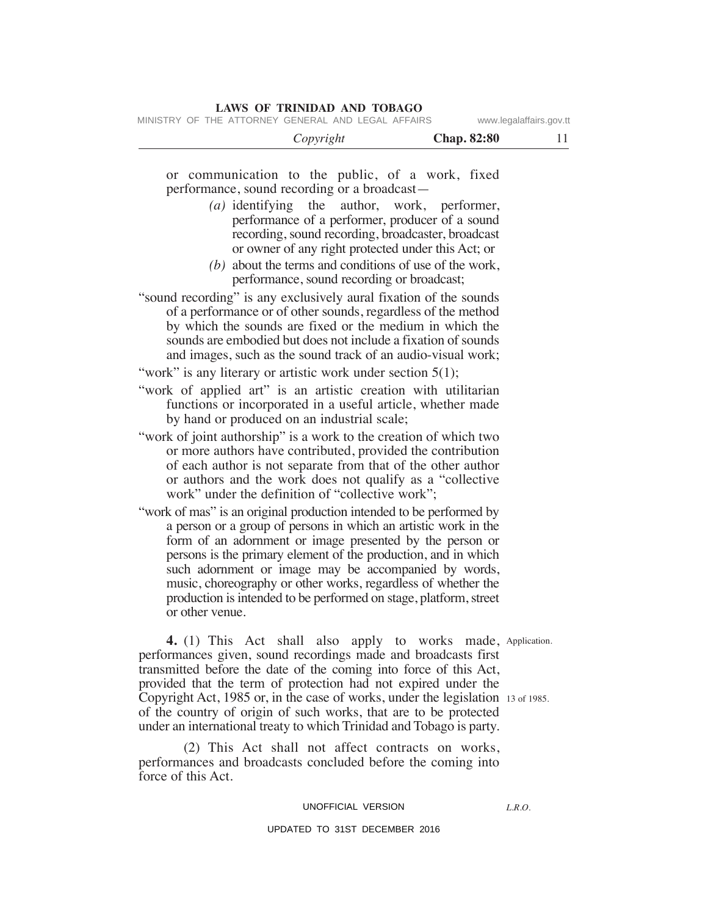|  | MINISTRY OF THE ATTORNEY GENERAL AND LEGAL AFFAIRS |  |  | www.legalaffairs.gov.tt |
|--|----------------------------------------------------|--|--|-------------------------|
|  |                                                    |  |  |                         |

| or communication to the public, of a work, fixed<br>performance, sound recording or a broadcast-                                                                                                                                                                                                                                                                                                                                                                   |
|--------------------------------------------------------------------------------------------------------------------------------------------------------------------------------------------------------------------------------------------------------------------------------------------------------------------------------------------------------------------------------------------------------------------------------------------------------------------|
|                                                                                                                                                                                                                                                                                                                                                                                                                                                                    |
| (a) identifying the author, work, performer,<br>performance of a performer, producer of a sound<br>recording, sound recording, broadcaster, broadcast<br>or owner of any right protected under this Act; or                                                                                                                                                                                                                                                        |
| $(b)$ about the terms and conditions of use of the work,<br>performance, sound recording or broadcast;                                                                                                                                                                                                                                                                                                                                                             |
| "sound recording" is any exclusively aural fixation of the sounds<br>of a performance or of other sounds, regardless of the method<br>by which the sounds are fixed or the medium in which the<br>sounds are embodied but does not include a fixation of sounds<br>and images, such as the sound track of an audio-visual work;                                                                                                                                    |
| "work" is any literary or artistic work under section $5(1)$ ;                                                                                                                                                                                                                                                                                                                                                                                                     |
| "work of applied art" is an artistic creation with utilitarian<br>functions or incorporated in a useful article, whether made                                                                                                                                                                                                                                                                                                                                      |
| "work of joint authorship" is a work to the creation of which two<br>or more authors have contributed, provided the contribution<br>of each author is not separate from that of the other author<br>or authors and the work does not qualify as a "collective"<br>work" under the definition of "collective work";                                                                                                                                                 |
| "work of mas" is an original production intended to be performed by<br>a person or a group of persons in which an artistic work in the<br>form of an adornment or image presented by the person or<br>persons is the primary element of the production, and in which<br>such adornment or image may be accompanied by words,<br>music, choreography or other works, regardless of whether the<br>production is intended to be performed on stage, platform, street |
| 4. (1) This Act shall also apply to works made Application.                                                                                                                                                                                                                                                                                                                                                                                                        |

 **4.** (1) This Act shall also apply to works made, performances given, sound recordings made and broadcasts first transmitted before the date of the coming into force of this Act, provided that the term of protection had not expired under the Copyright Act, 1985 or, in the case of works, under the legislation 13 of 1985. of the country of origin of such works, that are to be protected under an international treaty to which Trinidad and Tobago is party.  $,$  App

 (2) This Act shall not affect contracts on works, performances and broadcasts concluded before the coming into force of this Act.

# UNOFFICIAL VERSION

### UPDATED TO 31ST DECEMBER 2016

*L.R.O.*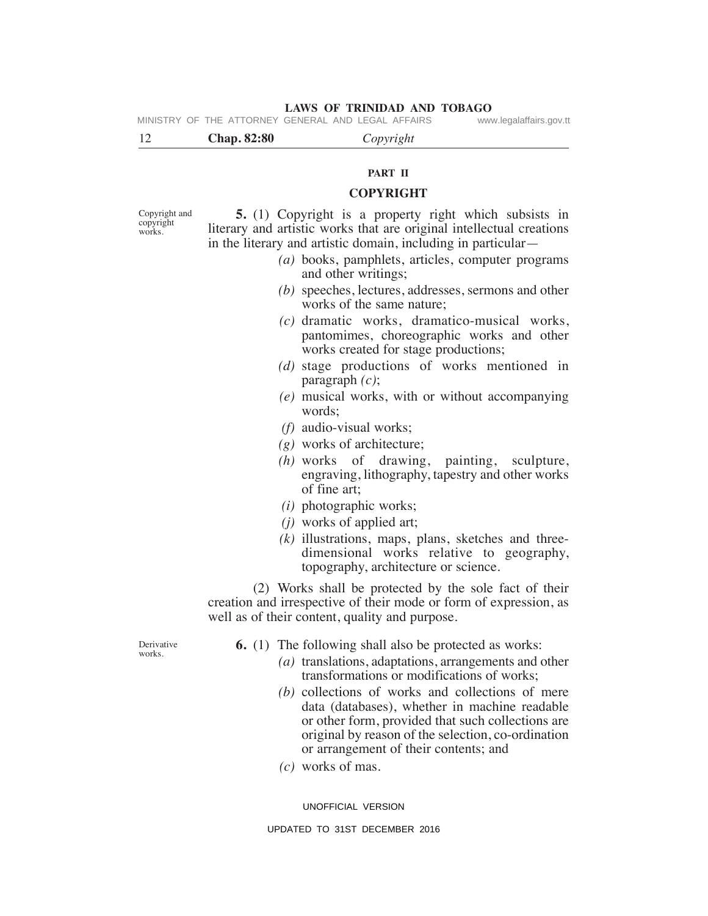# 12 **Chap. 82:80** *Copyright* **LAWS OF TRINIDAD AND TOBAGO PART II COPYRIGHT 5.** (1) Copyright is a property right which subsists in literary and artistic works that are original intellectual creations in the literary and artistic domain, including in particular— Copyright and copyright works. MINISTRY OF THE ATTORNEY GENERAL AND LEGAL AFFAIRS www.legalaffairs.gov.tt

- *(a)* books, pamphlets, articles, computer programs and other writings;
- *(b)* speeches, lectures, addresses, sermons and other works of the same nature;
- *(c)* dramatic works, dramatico-musical works, pantomimes, choreographic works and other works created for stage productions;
- *(d)* stage productions of works mentioned in paragraph *(c)*;
- *(e)* musical works, with or without accompanying words;
- *(f)* audio-visual works;
- *(g)* works of architecture;
- *(h)* works of drawing, painting, sculpture, engraving, lithography, tapestry and other works of fine art;
- *(i)* photographic works;
- *(j)* works of applied art;
- *(k)* illustrations, maps, plans, sketches and threedimensional works relative to geography, topography, architecture or science.

 (2) Works shall be protected by the sole fact of their creation and irrespective of their mode or form of expression, as well as of their content, quality and purpose.

Derivative works.

**6.** (1) The following shall also be protected as works:

- *(a)* translations, adaptations, arrangements and other transformations or modifications of works;
- *(b)* collections of works and collections of mere data (databases), whether in machine readable or other form, provided that such collections are original by reason of the selection, co-ordination or arrangement of their contents; and
- *(c)* works of mas.

UNOFFICIAL VERSION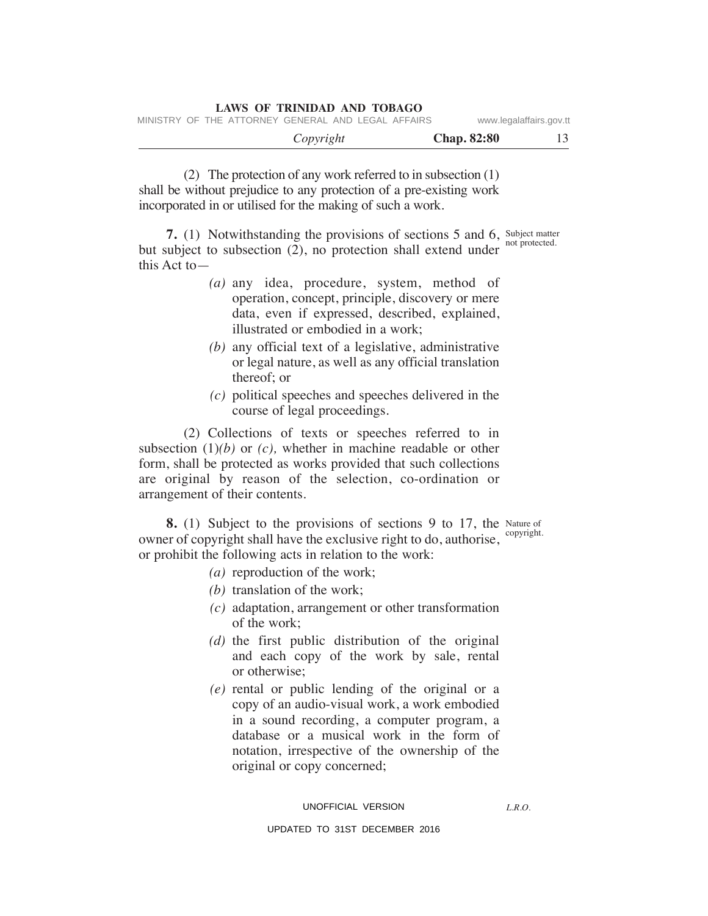|                         |                    |  |           | LAWS OF ININIDAD AND TODAGO                        |  |  |
|-------------------------|--------------------|--|-----------|----------------------------------------------------|--|--|
| www.legalaffairs.gov.tt |                    |  |           | MINISTRY OF THE ATTORNEY GENERAL AND LEGAL AFFAIRS |  |  |
| 13                      | <b>Chap. 82:80</b> |  | Copyright |                                                    |  |  |

 (2) The protection of any work referred to in subsection (1) shall be without prejudice to any protection of a pre-existing work incorporated in or utilised for the making of such a work.

**LAWS OF TRINIDAD AND TOBAGO**

**7.** (1) Notwithstanding the provisions of sections 5 and 6, Subject matter but subject to subsection (2), no protection shall extend under this Act to not protected.

- *(a)* any idea, procedure, system, method of operation, concept, principle, discovery or mere data, even if expressed, described, explained, illustrated or embodied in a work;
- *(b)* any official text of a legislative, administrative or legal nature, as well as any official translation thereof; or
- *(c)* political speeches and speeches delivered in the course of legal proceedings.

 (2) Collections of texts or speeches referred to in subsection (1)*(b)* or *(c),* whether in machine readable or other form, shall be protected as works provided that such collections are original by reason of the selection, co-ordination or arrangement of their contents.

**8.** (1) Subject to the provisions of sections 9 to 17, the Nature of owner of copyright shall have the exclusive right to do, authorise, <sup>copyright.</sup> or prohibit the following acts in relation to the work:

- *(a)* reproduction of the work;
- *(b)* translation of the work;
- *(c)* adaptation, arrangement or other transformation of the work;
- *(d)* the first public distribution of the original and each copy of the work by sale, rental or otherwise;
- *(e)* rental or public lending of the original or a copy of an audio-visual work, a work embodied in a sound recording, a computer program, a database or a musical work in the form of notation, irrespective of the ownership of the original or copy concerned;

# UNOFFICIAL VERSION

*L.R.O.*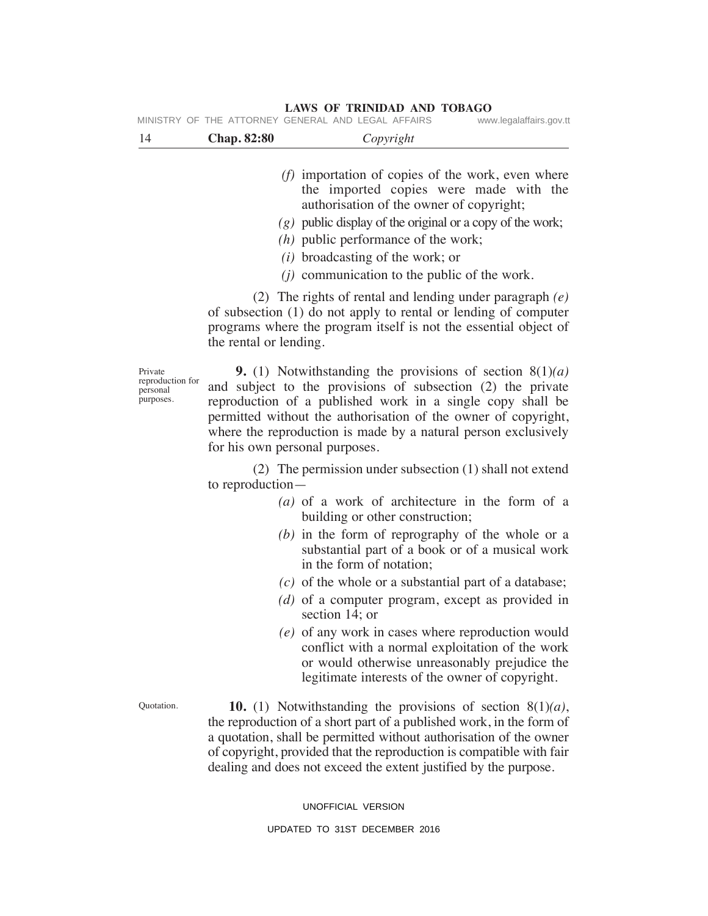14 **Chap. 82:80** *Copyright (f)* importation of copies of the work, even where the imported copies were made with the authorisation of the owner of copyright;  *(g)* public display of the original or a copy of the work;  *(h)* public performance of the work;  *(i)* broadcasting of the work; or  *(j)* communication to the public of the work. (2) The rights of rental and lending under paragraph *(e)* of subsection (1) do not apply to rental or lending of computer programs where the program itself is not the essential object of the rental or lending.  **9.** (1) Notwithstanding the provisions of section 8(1)*(a)* and subject to the provisions of subsection (2) the private reproduction of a published work in a single copy shall be permitted without the authorisation of the owner of copyright, where the reproduction is made by a natural person exclusively for his own personal purposes. (2) The permission under subsection (1) shall not extend to reproduction—  *(a)* of a work of architecture in the form of a building or other construction; *(b)* in the form of reprography of the whole or a substantial part of a book or of a musical work in the form of notation;  *(c)* of the whole or a substantial part of a database;  *(d)* of a computer program, except as provided in section 14; or  *(e)* of any work in cases where reproduction would conflict with a normal exploitation of the work or would otherwise unreasonably prejudice the legitimate interests of the owner of copyright.  **10.** (1) Notwithstanding the provisions of section 8(1)*(a)*, the reproduction of a short part of a published work, in the form of a quotation, shall be permitted without authorisation of the owner of copyright, provided that the reproduction is compatible with fair dealing and does not exceed the extent justified by the purpose. Private reproduction for personal purposes. Quotation.

#### **LAWS OF TRINIDAD AND TOBAGO** MINISTRY OF THE ATTORNEY GENERAL AND LEGAL AFFAIRS www.legalaffairs.gov.tt

UNOFFICIAL VERSION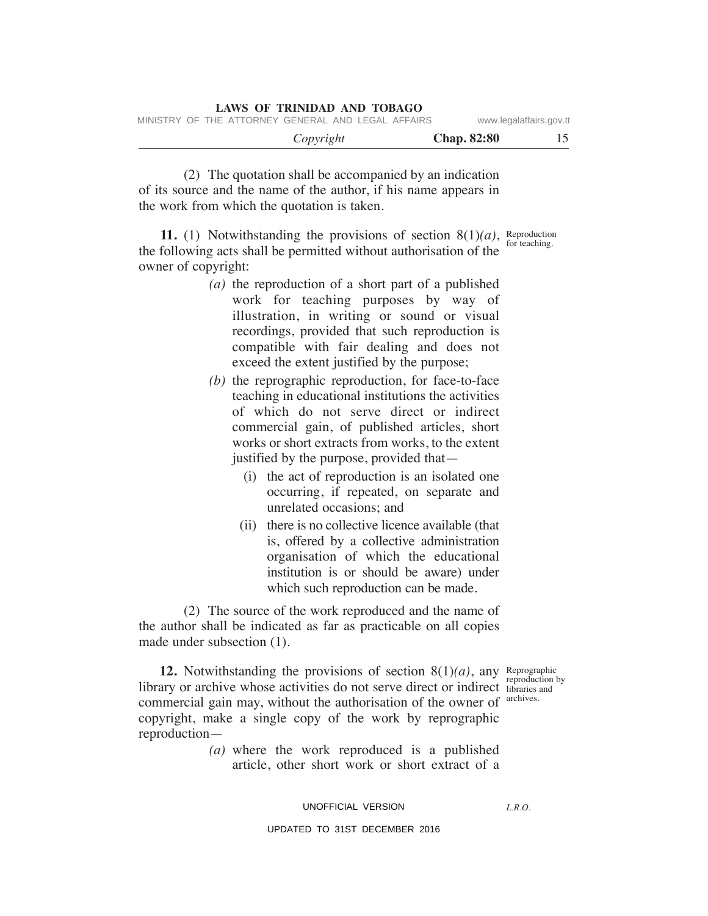| www.legalaffairs.gov.tt  | MINISTRY OF THE ATTORNEY GENERAL AND LEGAL AFFAIRS |           |  |  |
|--------------------------|----------------------------------------------------|-----------|--|--|
| 15<br><b>Chap. 82:80</b> |                                                    | Copyright |  |  |

 (2) The quotation shall be accompanied by an indication of its source and the name of the author, if his name appears in the work from which the quotation is taken.

**LAWS OF TRINIDAD AND TOBAGO**

**11.** (1) Notwithstanding the provisions of section  $8(1)(a)$ , Reproduction the following acts shall be permitted without authorisation of the owner of copyright:

- *(a)* the reproduction of a short part of a published work for teaching purposes by way of illustration, in writing or sound or visual recordings, provided that such reproduction is compatible with fair dealing and does not exceed the extent justified by the purpose;
- *(b)* the reprographic reproduction, for face-to-face teaching in educational institutions the activities of which do not serve direct or indirect commercial gain, of published articles, short works or short extracts from works, to the extent justified by the purpose, provided that—
	- (i) the act of reproduction is an isolated one occurring, if repeated, on separate and unrelated occasions; and
	- (ii) there is no collective licence available (that is, offered by a collective administration organisation of which the educational institution is or should be aware) under which such reproduction can be made.

 (2) The source of the work reproduced and the name of the author shall be indicated as far as practicable on all copies made under subsection (1).

**12.** Notwithstanding the provisions of section  $8(1)(a)$ , any Reprographic library or archive whose activities do not serve direct or indirect libraries and commercial gain may, without the authorisation of the owner of copyright, make a single copy of the work by reprographic reproduction reproduction by archives.

> *(a)* where the work reproduced is a published article, other short work or short extract of a

# UNOFFICIAL VERSION

*L.R.O.* 

#### UPDATED TO 31ST DECEMBER 2016

for teaching.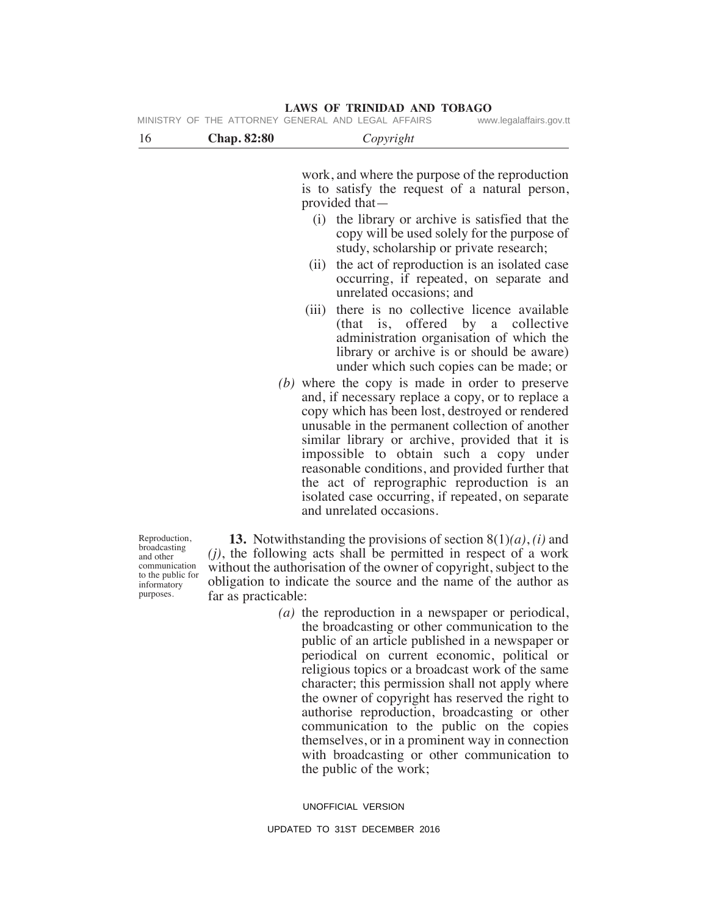|                                                                                                 |                    | MINISTRY OF THE ATTORNEY GENERAL AND LEGAL AFFAIRS<br>www.legalaffairs.gov.tt                                                                                                                                                                                                                                                                                                                                                                                                                |  |  |  |  |
|-------------------------------------------------------------------------------------------------|--------------------|----------------------------------------------------------------------------------------------------------------------------------------------------------------------------------------------------------------------------------------------------------------------------------------------------------------------------------------------------------------------------------------------------------------------------------------------------------------------------------------------|--|--|--|--|
| 16                                                                                              | <b>Chap. 82:80</b> | Copyright                                                                                                                                                                                                                                                                                                                                                                                                                                                                                    |  |  |  |  |
|                                                                                                 |                    | work, and where the purpose of the reproduction<br>is to satisfy the request of a natural person,<br>provided that-                                                                                                                                                                                                                                                                                                                                                                          |  |  |  |  |
|                                                                                                 |                    | the library or archive is satisfied that the<br>(i)<br>copy will be used solely for the purpose of<br>study, scholarship or private research;                                                                                                                                                                                                                                                                                                                                                |  |  |  |  |
|                                                                                                 |                    | the act of reproduction is an isolated case<br>(ii)<br>occurring, if repeated, on separate and<br>unrelated occasions; and                                                                                                                                                                                                                                                                                                                                                                   |  |  |  |  |
|                                                                                                 |                    | there is no collective licence available<br>(iii)<br>(that is, offered by a collective<br>administration organisation of which the<br>library or archive is or should be aware)<br>under which such copies can be made; or                                                                                                                                                                                                                                                                   |  |  |  |  |
|                                                                                                 |                    | $(b)$ where the copy is made in order to preserve<br>and, if necessary replace a copy, or to replace a<br>copy which has been lost, destroyed or rendered<br>unusable in the permanent collection of another<br>similar library or archive, provided that it is<br>impossible to obtain such a copy under<br>reasonable conditions, and provided further that<br>the act of reprographic reproduction is an<br>isolated case occurring, if repeated, on separate<br>and unrelated occasions. |  |  |  |  |
| Reproduction,<br>broadcasting<br>and other<br>communication<br>to the public for<br>informatory |                    | <b>13.</b> Notwithstanding the provisions of section $8(1)(a)$ , <i>(i)</i> and<br>$(j)$ , the following acts shall be permitted in respect of a work<br>without the authorisation of the owner of copyright, subject to the<br>obligation to indicate the source and the name of the author as                                                                                                                                                                                              |  |  |  |  |

to the public for informatory purposes.

far as practicable:  *(a)* the reproduction in a newspaper or periodical, the broadcasting or other communication to the public of an article published in a newspaper or periodical on current economic, political or religious topics or a broadcast work of the same character; this permission shall not apply where the owner of copyright has reserved the right to authorise reproduction, broadcasting or other communication to the public on the copies themselves, or in a prominent way in connection with broadcasting or other communication to the public of the work;

UNOFFICIAL VERSION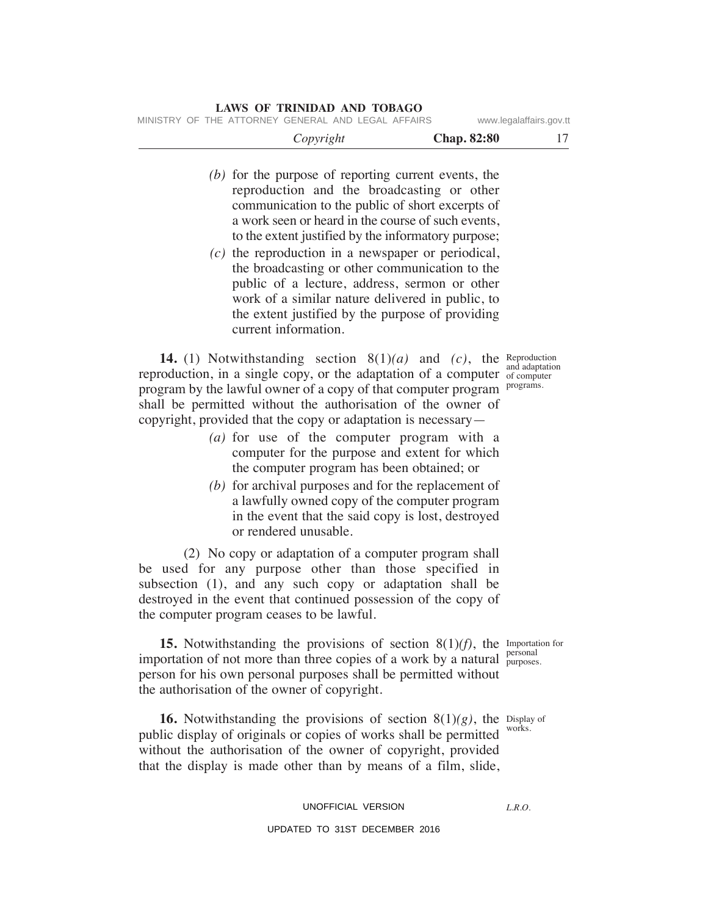| www.legalaffairs.gov.tt     |                    | MINISTRY OF THE ATTORNEY GENERAL AND LEGAL AFFAIRS                                                                                                                                                                                                                                                                                                              |  |
|-----------------------------|--------------------|-----------------------------------------------------------------------------------------------------------------------------------------------------------------------------------------------------------------------------------------------------------------------------------------------------------------------------------------------------------------|--|
| 17                          | <b>Chap. 82:80</b> | Copyright                                                                                                                                                                                                                                                                                                                                                       |  |
|                             |                    | $(b)$ for the purpose of reporting current events, the<br>reproduction and the broadcasting or other<br>communication to the public of short excerpts of<br>a work seen or heard in the course of such events,<br>to the extent justified by the informatory purpose;                                                                                           |  |
|                             |                    | $(c)$ the reproduction in a newspaper or periodical,<br>the broadcasting or other communication to the<br>public of a lecture, address, sermon or other<br>work of a similar nature delivered in public, to<br>the extent justified by the purpose of providing<br>current information.                                                                         |  |
| and adaptation<br>programs. |                    | <b>14.</b> (1) Notwithstanding section $8(1)(a)$ and $(c)$ , the Reproduction<br>reproduction, in a single copy, or the adaptation of a computer of computer<br>program by the lawful owner of a copy of that computer program<br>shall be permitted without the authorisation of the owner of<br>copyright, provided that the copy or adaptation is necessary— |  |
|                             |                    | $(a)$ for use of the computer program with a<br>computer for the purpose and extent for which<br>the computer program has been obtained; or                                                                                                                                                                                                                     |  |
|                             |                    | $(b)$ for archival purposes and for the replacement of<br>a lawfully owned copy of the computer program<br>in the event that the said copy is lost, destroyed<br>or rendered unusable.                                                                                                                                                                          |  |
|                             |                    | $(2)$ No conv or adaptation of a computer program shall                                                                                                                                                                                                                                                                                                         |  |

 (2) No copy or adaptation of a computer program shall be used for any purpose other than those specified in subsection (1), and any such copy or adaptation shall be destroyed in the event that continued possession of the copy of the computer program ceases to be lawful.

**15.** Notwithstanding the provisions of section  $8(1)(f)$ , the Importation for importation of not more than three copies of a work by a natural  $_{\text{purposes}}^{\text{personal}}$ person for his own personal purposes shall be permitted without the authorisation of the owner of copyright. purposes.

**16.** Notwithstanding the provisions of section  $8(1)(g)$ , the Display of public display of originals or copies of works shall be permitted works. without the authorisation of the owner of copyright, provided that the display is made other than by means of a film, slide,

# UNOFFICIAL VERSION

# UPDATED TO 31ST DECEMBER 2016

*L.R.O.*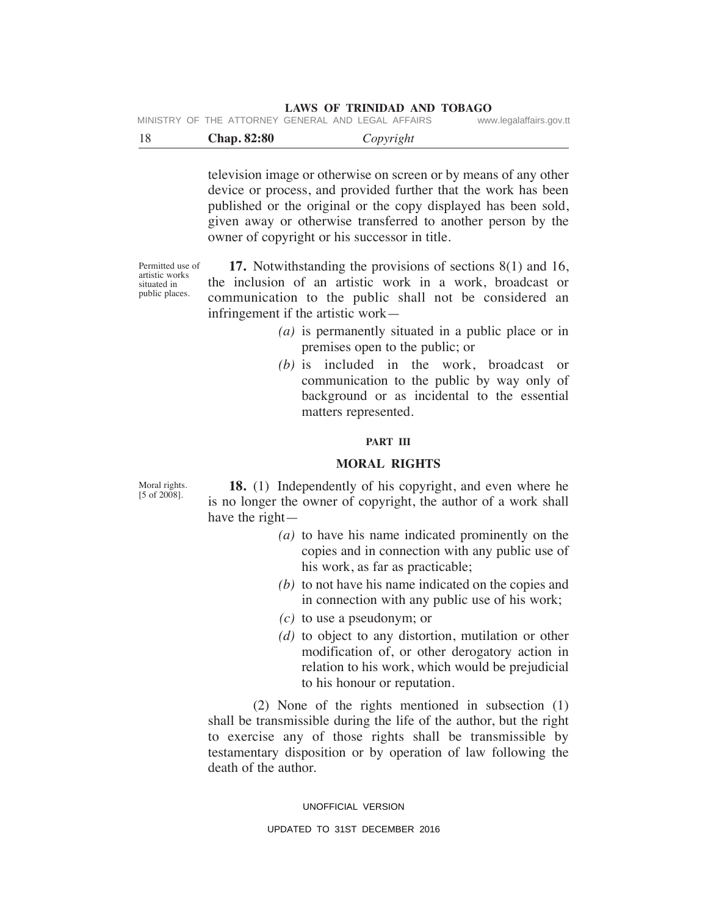|  |  | MINISTRY OF THE ATTORNEY GENERAL AND LEGAL AFFAIRS |  |  | www.legalaffairs.gov.tt |  |
|--|--|----------------------------------------------------|--|--|-------------------------|--|
|  |  |                                                    |  |  |                         |  |

|  | <b>Chap. 82:80</b> | Copyright |  |
|--|--------------------|-----------|--|
|--|--------------------|-----------|--|

television image or otherwise on screen or by means of any other device or process, and provided further that the work has been published or the original or the copy displayed has been sold, given away or otherwise transferred to another person by the owner of copyright or his successor in title.

Permitted use of artistic works situated in public places.

 **17.** Notwithstanding the provisions of sections 8(1) and 16, the inclusion of an artistic work in a work, broadcast or communication to the public shall not be considered an infringement if the artistic work—

- *(a)* is permanently situated in a public place or in premises open to the public; or
- *(b)* is included in the work, broadcast or communication to the public by way only of background or as incidental to the essential matters represented.

#### **PART III**

# **mORAL RIGHTS**

Moral rights.  $[5 \text{ of } 2008]$ .

 **18.** (1) Independently of his copyright, and even where he is no longer the owner of copyright, the author of a work shall have the right—

- *(a)* to have his name indicated prominently on the copies and in connection with any public use of his work, as far as practicable;
- *(b)* to not have his name indicated on the copies and in connection with any public use of his work;
- *(c)* to use a pseudonym; or
- *(d)* to object to any distortion, mutilation or other modification of, or other derogatory action in relation to his work, which would be prejudicial to his honour or reputation.

 (2) None of the rights mentioned in subsection (1) shall be transmissible during the life of the author, but the right to exercise any of those rights shall be transmissible by testamentary disposition or by operation of law following the death of the author.

# UNOFFICIAL VERSION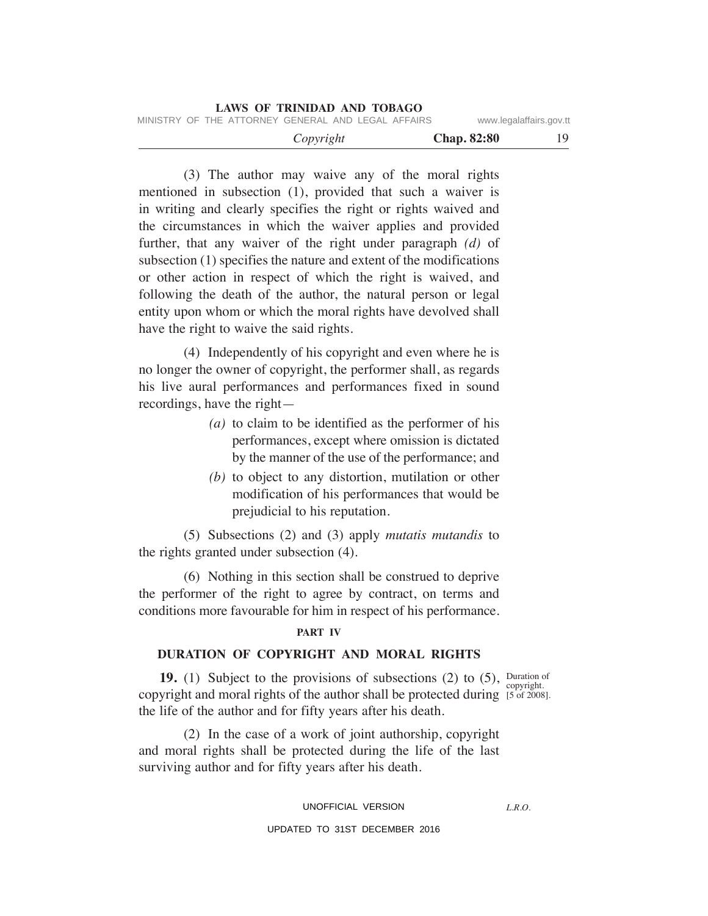|                                                    | <b>LAWS OF TRINIDAD AND TOBAGO</b> |                    |                         |
|----------------------------------------------------|------------------------------------|--------------------|-------------------------|
| MINISTRY OF THE ATTORNEY GENERAL AND LEGAL AFFAIRS |                                    |                    | www.legalaffairs.gov.tt |
|                                                    | Copyright                          | <b>Chap.</b> 82:80 | 19.                     |

 (3) The author may waive any of the moral rights mentioned in subsection (1), provided that such a waiver is in writing and clearly specifies the right or rights waived and the circumstances in which the waiver applies and provided further, that any waiver of the right under paragraph *(d)* of subsection (1) specifies the nature and extent of the modifications or other action in respect of which the right is waived, and following the death of the author, the natural person or legal entity upon whom or which the moral rights have devolved shall have the right to waive the said rights.

 (4) Independently of his copyright and even where he is no longer the owner of copyright, the performer shall, as regards his live aural performances and performances fixed in sound recordings, have the right—

- *(a)* to claim to be identified as the performer of his performances, except where omission is dictated by the manner of the use of the performance; and
- *(b)* to object to any distortion, mutilation or other modification of his performances that would be prejudicial to his reputation.

 (5) Subsections (2) and (3) apply *mutatis mutandis* to the rights granted under subsection (4).

 (6) Nothing in this section shall be construed to deprive the performer of the right to agree by contract, on terms and conditions more favourable for him in respect of his performance.

#### **PART IV**

# **DuRATION OF COPYRIGHT AND mORAL RIGHTS**

**19.** (1) Subject to the provisions of subsections (2) to (5), Duration of copyright and moral rights of the author shall be protected during [5 of 2008] the life of the author and for fifty years after his death. [5 of 2008].

 (2) In the case of a work of joint authorship, copyright and moral rights shall be protected during the life of the last surviving author and for fifty years after his death.

UNOFFICIAL VERSION

*L.R.O.*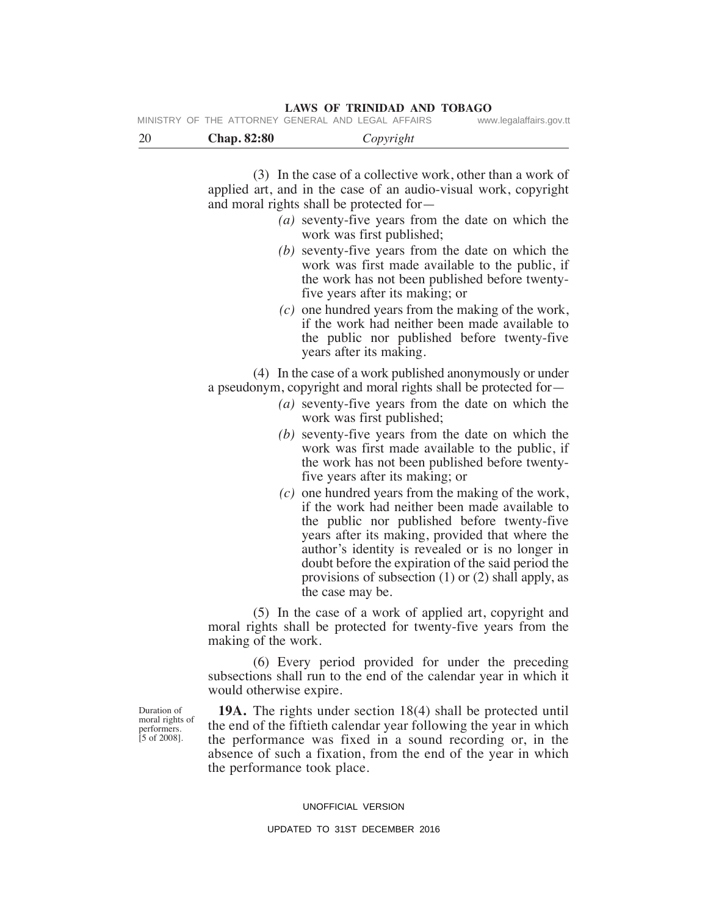|    |                    | MINISTRY OF THE ATTORNEY GENERAL AND LEGAL AFFAIRS                                                                                                                                                                                                          | www.legalaffairs.gov.tt |
|----|--------------------|-------------------------------------------------------------------------------------------------------------------------------------------------------------------------------------------------------------------------------------------------------------|-------------------------|
| 20 | <b>Chap. 82:80</b> | Copyright                                                                                                                                                                                                                                                   |                         |
|    |                    | (3) In the case of a collective work, other than a work of<br>applied art, and in the case of an audio-visual work, copyright<br>and moral rights shall be protected for-<br>(a) seventy-five years from the date on which the<br>work was first published; |                         |

- *(b)* seventy-five years from the date on which the work was first made available to the public, if the work has not been published before twentyfive years after its making; or
- *(c)* one hundred years from the making of the work, if the work had neither been made available to the public nor published before twenty-five years after its making.

 (4) In the case of a work published anonymously or under a pseudonym, copyright and moral rights shall be protected for—

- *(a)* seventy-five years from the date on which the work was first published;
- *(b)* seventy-five years from the date on which the work was first made available to the public, if the work has not been published before twentyfive years after its making; or
- *(c)* one hundred years from the making of the work, if the work had neither been made available to the public nor published before twenty-five years after its making, provided that where the author's identity is revealed or is no longer in doubt before the expiration of the said period the provisions of subsection (1) or (2) shall apply, as the case may be.

 (5) In the case of a work of applied art, copyright and moral rights shall be protected for twenty-five years from the making of the work.

 (6) Every period provided for under the preceding subsections shall run to the end of the calendar year in which it would otherwise expire.

 **19A.** The rights under section 18(4) shall be protected until the end of the fiftieth calendar year following the year in which the performance was fixed in a sound recording or, in the absence of such a fixation, from the end of the year in which the performance took place.

#### UNOFFICIAL VERSION

### UPDATED TO 31ST DECEMBER 2016

Duration of moral rights of performers. [5 of 2008].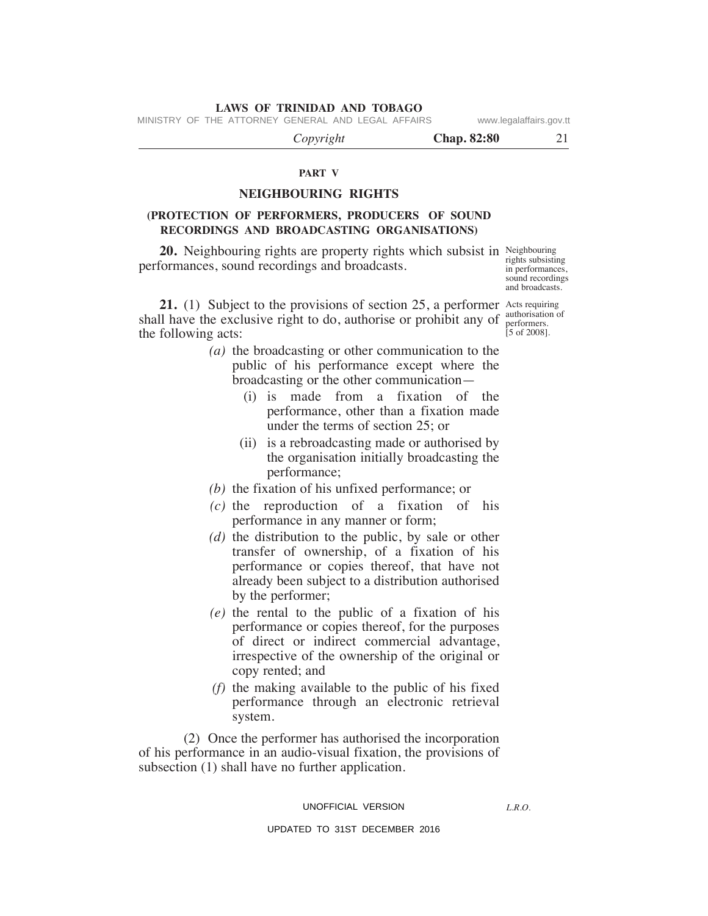MINISTRY OF THE ATTORNEY GENERAL AND LEGAL AFFAIRS www.legalaffairs.gov.tt

 *Copyright* **Chap. 82:80** 21

# **PART V**

# **NeIGHBOuRING RIGHTS**

# **(PROTeCTION OF PeRFORmeRS, PRODuCeRS OF SOuND ReCORDINGS AND BROADCASTING ORGANISATIONS)**

**20.** Neighbouring rights are property rights which subsist in Neighbouring performances, sound recordings and broadcasts.

**21.** (1) Subject to the provisions of section 25, a performer Acts requiring shall have the exclusive right to do, authorise or prohibit any of the following acts:

- *(a)* the broadcasting or other communication to the public of his performance except where the broadcasting or the other communication—
	- (i) is made from a fixation of the performance, other than a fixation made under the terms of section 25; or
	- (ii) is a rebroadcasting made or authorised by the organisation initially broadcasting the performance;
- *(b)* the fixation of his unfixed performance; or
- *(c)* the reproduction of a fixation of his performance in any manner or form;
- *(d)* the distribution to the public, by sale or other transfer of ownership, of a fixation of his performance or copies thereof, that have not already been subject to a distribution authorised by the performer;
- *(e)* the rental to the public of a fixation of his performance or copies thereof, for the purposes of direct or indirect commercial advantage, irrespective of the ownership of the original or copy rented; and
- *(f)* the making available to the public of his fixed performance through an electronic retrieval system.

 (2) Once the performer has authorised the incorporation of his performance in an audio-visual fixation, the provisions of subsection (1) shall have no further application.

#### UNOFFICIAL VERSION

*L.R.O.* 

UPDATED TO 31ST DECEMBER 2016

rights subsisting in performances, sound recordings and broadcasts.

authorisation of performers.  $[5 \text{ of } 2008]$ .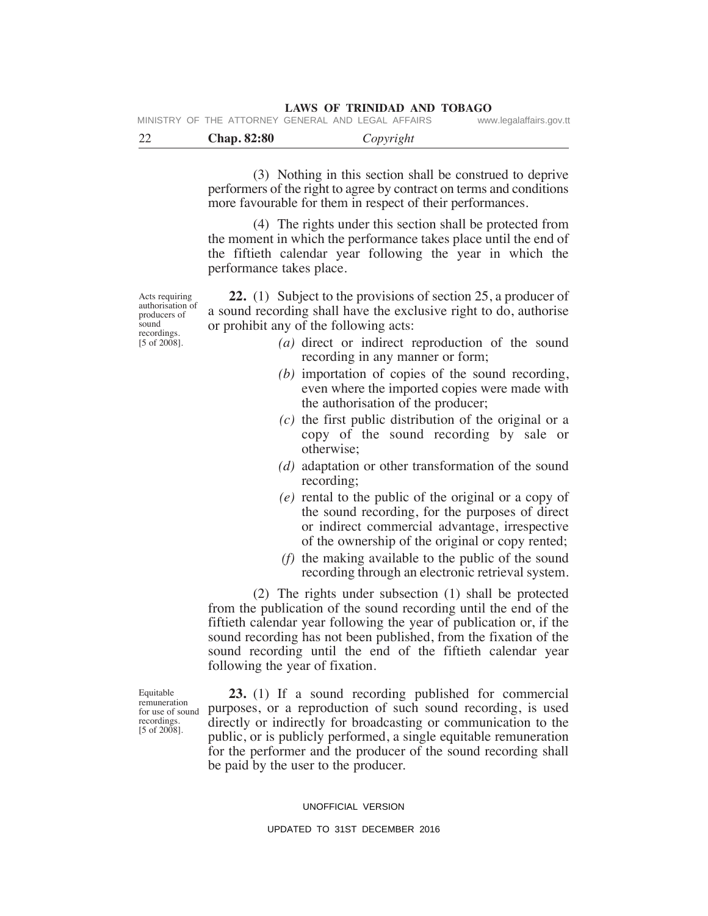|  | <b>LAWS OF TRINIDAD AND TOBAGO</b> |  |
|--|------------------------------------|--|
|  |                                    |  |

| MINISTRY OF THE ATTORNEY GENERAL AND LEGAL AFFAIRS |  |  | www.legalaffairs.gov.tt |
|----------------------------------------------------|--|--|-------------------------|
|                                                    |  |  |                         |

| $\cap$ | <b>Chap. 82:80</b> | vright<br>ັັ |
|--------|--------------------|--------------|
|        |                    |              |

 (3) Nothing in this section shall be construed to deprive performers of the right to agree by contract on terms and conditions more favourable for them in respect of their performances.

 (4) The rights under this section shall be protected from the moment in which the performance takes place until the end of the fiftieth calendar year following the year in which the performance takes place.

Acts requiring authorisation of producers of sound recordings.  $[5 \text{ of } 2008]$ .

 **22.** (1) Subject to the provisions of section 25, a producer of a sound recording shall have the exclusive right to do, authorise or prohibit any of the following acts:

- *(a)* direct or indirect reproduction of the sound recording in any manner or form;
- *(b)* importation of copies of the sound recording, even where the imported copies were made with the authorisation of the producer;
- *(c)* the first public distribution of the original or a copy of the sound recording by sale or otherwise;
- *(d)* adaptation or other transformation of the sound recording;
- *(e)* rental to the public of the original or a copy of the sound recording, for the purposes of direct or indirect commercial advantage, irrespective of the ownership of the original or copy rented;
- *(f)* the making available to the public of the sound recording through an electronic retrieval system.

 (2) The rights under subsection (1) shall be protected from the publication of the sound recording until the end of the fiftieth calendar year following the year of publication or, if the sound recording has not been published, from the fixation of the sound recording until the end of the fiftieth calendar year following the year of fixation.

 **23.** (1) If a sound recording published for commercial purposes, or a reproduction of such sound recording, is used directly or indirectly for broadcasting or communication to the public, or is publicly performed, a single equitable remuneration for the performer and the producer of the sound recording shall be paid by the user to the producer.

#### UNOFFICIAL VERSION

### UPDATED TO 31ST DECEMBER 2016

Equitable remuneration for use of sound recordings.  $[5 \text{ of } 2008]$ .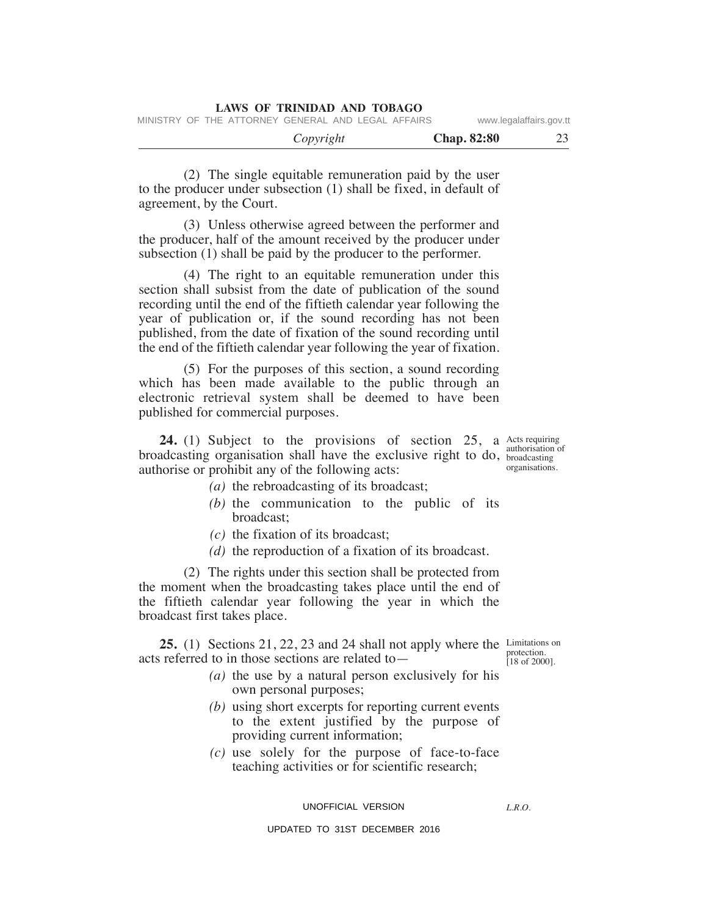(2) The single equitable remuneration paid by the user to the producer under subsection (1) shall be fixed, in default of agreement, by the Court.

 (3) Unless otherwise agreed between the performer and the producer, half of the amount received by the producer under subsection (1) shall be paid by the producer to the performer.

 (4) The right to an equitable remuneration under this section shall subsist from the date of publication of the sound recording until the end of the fiftieth calendar year following the year of publication or, if the sound recording has not been published, from the date of fixation of the sound recording until the end of the fiftieth calendar year following the year of fixation.

 (5) For the purposes of this section, a sound recording which has been made available to the public through an electronic retrieval system shall be deemed to have been published for commercial purposes.

**24.** (1) Subject to the provisions of section 25, a Acts requiring broadcasting organisation shall have the exclusive right to do, broadcasting authorise or prohibit any of the following acts:

authorisation of organisations.

- *(a)* the rebroadcasting of its broadcast;
- *(b)* the communication to the public of its broadcast;
- *(c)* the fixation of its broadcast;
- *(d)* the reproduction of a fixation of its broadcast.

 (2) The rights under this section shall be protected from the moment when the broadcasting takes place until the end of the fiftieth calendar year following the year in which the broadcast first takes place.

**25.** (1) Sections 21, 22, 23 and 24 shall not apply where the Limitations on acts referred to in those sections are related to—

protection. [18 of 2000].

- *(a)* the use by a natural person exclusively for his own personal purposes;
- *(b)* using short excerpts for reporting current events to the extent justified by the purpose of providing current information;
- *(c)* use solely for the purpose of face-to-face teaching activities or for scientific research;

UNOFFICIAL VERSION

*L.R.O.*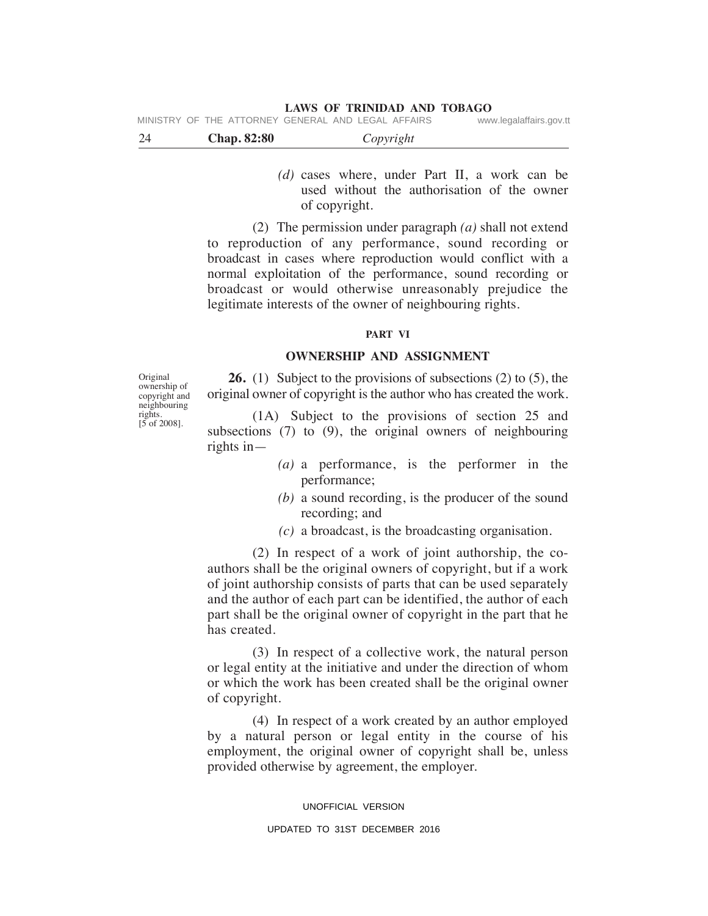**LAWS OF TRINIDAD AND TOBAGO**

| MINISTRY OF THE ATTORNEY GENERAL AND LEGAL AFFAIRS |  |  | www.legalaffairs.gov.tt |
|----------------------------------------------------|--|--|-------------------------|
|                                                    |  |  |                         |

| 24<br><b>Chap. 82:80</b> | Copyright |  |
|--------------------------|-----------|--|
|--------------------------|-----------|--|

 *(d)* cases where, under Part II, a work can be used without the authorisation of the owner of copyright.

 (2) The permission under paragraph *(a)* shall not extend to reproduction of any performance, sound recording or broadcast in cases where reproduction would conflict with a normal exploitation of the performance, sound recording or broadcast or would otherwise unreasonably prejudice the legitimate interests of the owner of neighbouring rights.

# **PART VI**

# **OWNeRSHIP AND ASSIGNmeNT**

 **26.** (1) Subject to the provisions of subsections (2) to (5), the original owner of copyright is the author who has created the work.

 (1A) Subject to the provisions of section 25 and subsections (7) to (9), the original owners of neighbouring rights in—

- *(a)* a performance, is the performer in the performance;
- *(b)* a sound recording, is the producer of the sound recording; and
- *(c)* a broadcast, is the broadcasting organisation.

 (2) In respect of a work of joint authorship, the coauthors shall be the original owners of copyright, but if a work of joint authorship consists of parts that can be used separately and the author of each part can be identified, the author of each part shall be the original owner of copyright in the part that he has created.

 (3) In respect of a collective work, the natural person or legal entity at the initiative and under the direction of whom or which the work has been created shall be the original owner of copyright.

 (4) In respect of a work created by an author employed by a natural person or legal entity in the course of his employment, the original owner of copyright shall be, unless provided otherwise by agreement, the employer.

UNOFFICIAL VERSION

#### UPDATED TO 31ST DECEMBER 2016

Original ownership of copyright and neighbouring rights. [5 of 2008].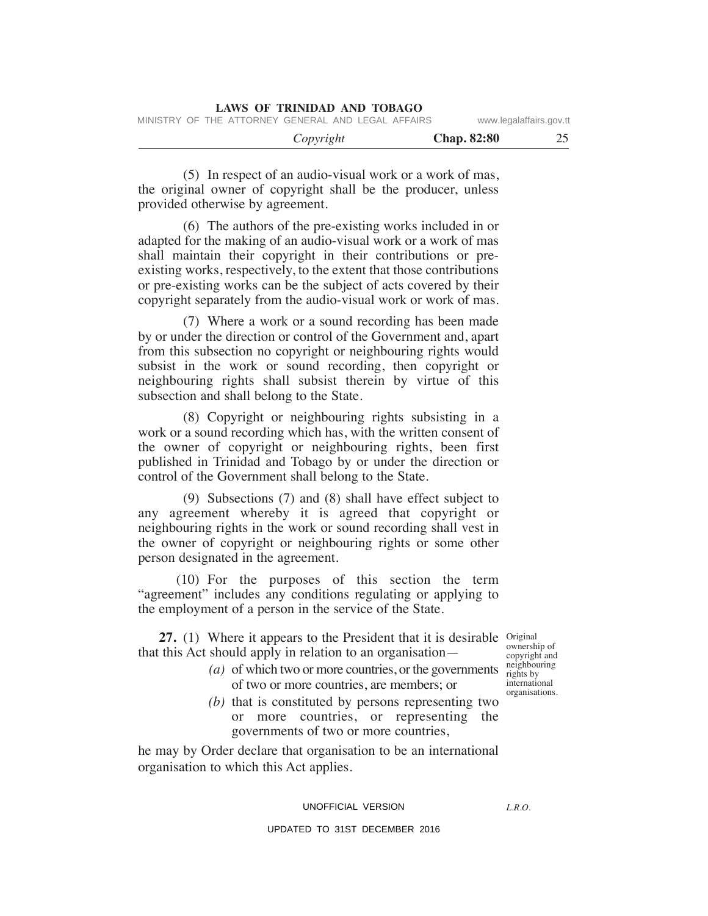(5) In respect of an audio-visual work or a work of mas, the original owner of copyright shall be the producer, unless provided otherwise by agreement.

 (6) The authors of the pre-existing works included in or adapted for the making of an audio-visual work or a work of mas shall maintain their copyright in their contributions or preexisting works, respectively, to the extent that those contributions or pre-existing works can be the subject of acts covered by their copyright separately from the audio-visual work or work of mas.

 (7) Where a work or a sound recording has been made by or under the direction or control of the Government and, apart from this subsection no copyright or neighbouring rights would subsist in the work or sound recording, then copyright or neighbouring rights shall subsist therein by virtue of this subsection and shall belong to the State.

 (8) Copyright or neighbouring rights subsisting in a work or a sound recording which has, with the written consent of the owner of copyright or neighbouring rights, been first published in Trinidad and Tobago by or under the direction or control of the Government shall belong to the State.

 (9) Subsections (7) and (8) shall have effect subject to any agreement whereby it is agreed that copyright or neighbouring rights in the work or sound recording shall vest in the owner of copyright or neighbouring rights or some other person designated in the agreement.

 (10) For the purposes of this section the term "agreement" includes any conditions regulating or applying to the employment of a person in the service of the State.

**27.** (1) Where it appears to the President that it is desirable original that this Act should apply in relation to an organisation—

- *(a)* of which two or more countries, or the governments of two or more countries, are members; or
- *(b)* that is constituted by persons representing two or more countries, or representing the governments of two or more countries,

he may by Order declare that organisation to be an international organisation to which this Act applies.

# UNOFFICIAL VERSION

*L.R.O.* 

### UPDATED TO 31ST DECEMBER 2016

ownership of copyright and neighbouring rights by international organisations.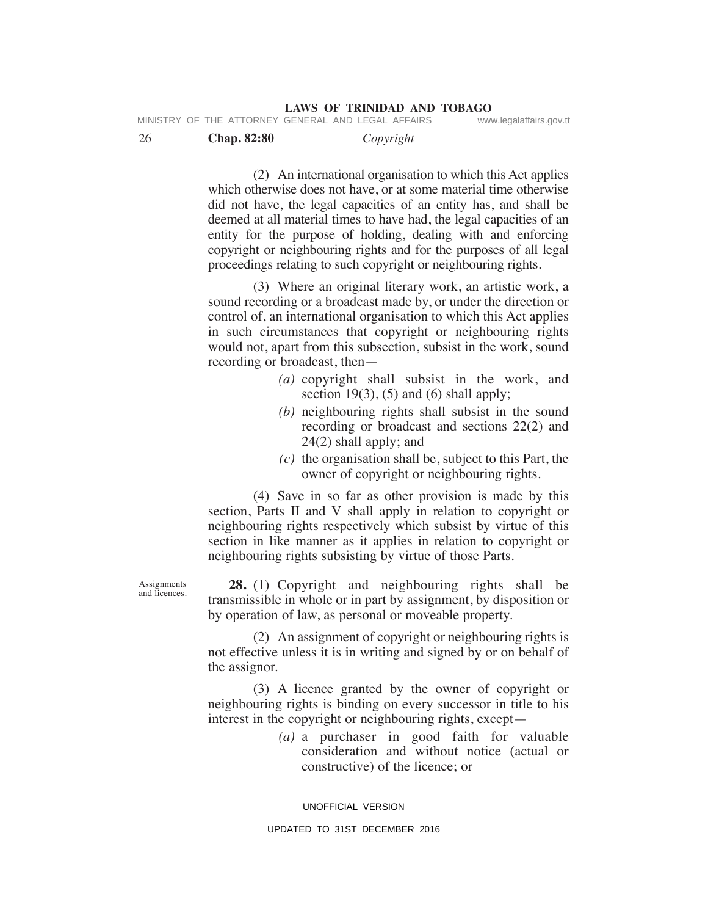|  | MINISTRY OF THE ATTORNEY GENERAL AND LEGAL AFFAIRS |  | www.legalaffairs.gov.tt |
|--|----------------------------------------------------|--|-------------------------|
|  |                                                    |  |                         |

| 26 | <b>Chap. 82:80</b> | Copyright |  |
|----|--------------------|-----------|--|
|    |                    |           |  |

 (2) An international organisation to which this Act applies which otherwise does not have, or at some material time otherwise did not have, the legal capacities of an entity has, and shall be deemed at all material times to have had, the legal capacities of an entity for the purpose of holding, dealing with and enforcing copyright or neighbouring rights and for the purposes of all legal proceedings relating to such copyright or neighbouring rights.

 (3) Where an original literary work, an artistic work, a sound recording or a broadcast made by, or under the direction or control of, an international organisation to which this Act applies in such circumstances that copyright or neighbouring rights would not, apart from this subsection, subsist in the work, sound recording or broadcast, then—

- *(a)* copyright shall subsist in the work, and section  $19(3)$ ,  $(5)$  and  $(6)$  shall apply;
- *(b)* neighbouring rights shall subsist in the sound recording or broadcast and sections 22(2) and 24(2) shall apply; and
- *(c)* the organisation shall be, subject to this Part, the owner of copyright or neighbouring rights.

 (4) Save in so far as other provision is made by this section, Parts II and V shall apply in relation to copyright or neighbouring rights respectively which subsist by virtue of this section in like manner as it applies in relation to copyright or neighbouring rights subsisting by virtue of those Parts.

 **28.** (1) Copyright and neighbouring rights shall be transmissible in whole or in part by assignment, by disposition or by operation of law, as personal or moveable property.

 (2) An assignment of copyright or neighbouring rights is not effective unless it is in writing and signed by or on behalf of the assignor.

 (3) A licence granted by the owner of copyright or neighbouring rights is binding on every successor in title to his interest in the copyright or neighbouring rights, except—

> *(a)* a purchaser in good faith for valuable consideration and without notice (actual or constructive) of the licence; or

UNOFFICIAL VERSION

**Assignments** and licences.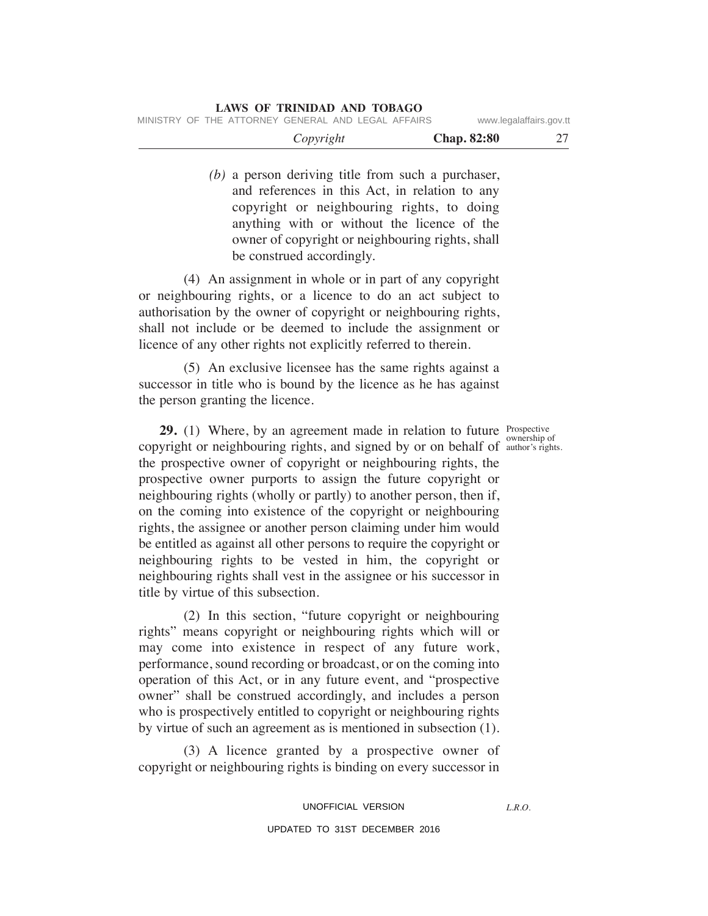*(b)* a person deriving title from such a purchaser, and references in this Act, in relation to any copyright or neighbouring rights, to doing anything with or without the licence of the owner of copyright or neighbouring rights, shall be construed accordingly.

 (4) An assignment in whole or in part of any copyright or neighbouring rights, or a licence to do an act subject to authorisation by the owner of copyright or neighbouring rights, shall not include or be deemed to include the assignment or licence of any other rights not explicitly referred to therein.

 (5) An exclusive licensee has the same rights against a successor in title who is bound by the licence as he has against the person granting the licence.

**29.** (1) Where, by an agreement made in relation to future *Prospective* copyright or neighbouring rights, and signed by or on behalf of  $\frac{1}{\text{author's right}}$ the prospective owner of copyright or neighbouring rights, the prospective owner purports to assign the future copyright or neighbouring rights (wholly or partly) to another person, then if, on the coming into existence of the copyright or neighbouring rights, the assignee or another person claiming under him would be entitled as against all other persons to require the copyright or neighbouring rights to be vested in him, the copyright or neighbouring rights shall vest in the assignee or his successor in title by virtue of this subsection.

 (2) In this section, "future copyright or neighbouring rights" means copyright or neighbouring rights which will or may come into existence in respect of any future work, performance, sound recording or broadcast, or on the coming into operation of this Act, or in any future event, and "prospective owner" shall be construed accordingly, and includes a person who is prospectively entitled to copyright or neighbouring rights by virtue of such an agreement as is mentioned in subsection (1).

 (3) A licence granted by a prospective owner of copyright or neighbouring rights is binding on every successor in

UNOFFICIAL VERSION

UPDATED TO 31ST DECEMBER 2016

author's rights.

*L.R.O.*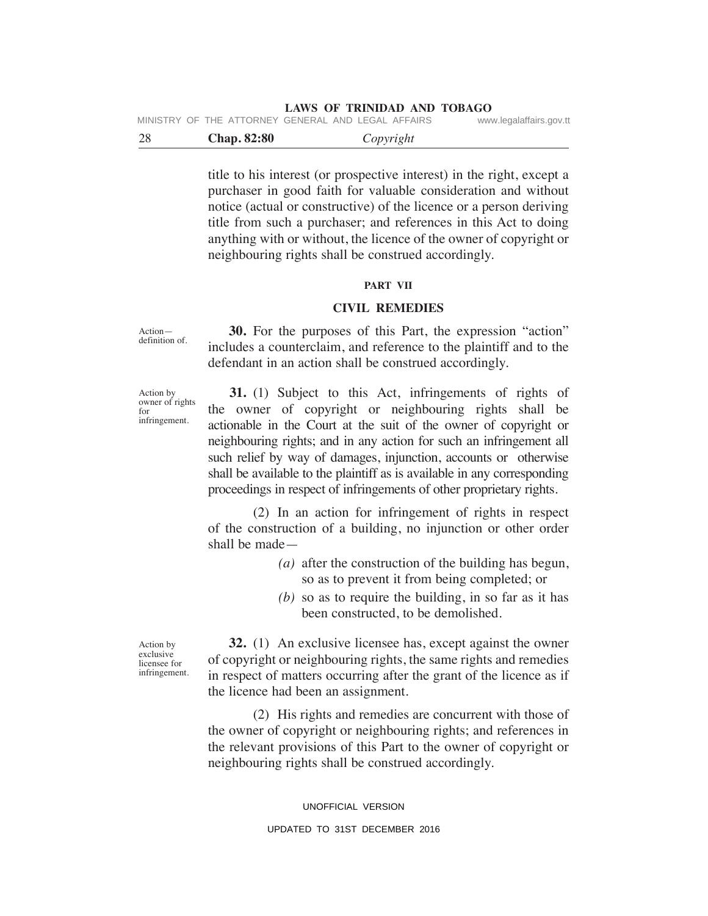|  | MINISTRY OF THE ATTORNEY GENERAL AND LEGAL AFFAIRS | www.legalaffairs.gov.tt |
|--|----------------------------------------------------|-------------------------|
|  |                                                    |                         |

| $\cap$<br>$\sim$ | <b>Chap. 82:80</b> | Copyright |  |
|------------------|--------------------|-----------|--|
|                  |                    |           |  |

title to his interest (or prospective interest) in the right, except a purchaser in good faith for valuable consideration and without notice (actual or constructive) of the licence or a person deriving title from such a purchaser; and references in this Act to doing anything with or without, the licence of the owner of copyright or neighbouring rights shall be construed accordingly.

#### **PART VII**

## **CIVIL RemeDIeS**

Action definition of.

 **30.** For the purposes of this Part, the expression "action" includes a counterclaim, and reference to the plaintiff and to the defendant in an action shall be construed accordingly.

Action by owner of rights for infringement.

 **31.** (1) Subject to this Act, infringements of rights of the owner of copyright or neighbouring rights shall be actionable in the Court at the suit of the owner of copyright or neighbouring rights; and in any action for such an infringement all such relief by way of damages, injunction, accounts or otherwise shall be available to the plaintiff as is available in any corresponding proceedings in respect of infringements of other proprietary rights.

 (2) In an action for infringement of rights in respect of the construction of a building, no injunction or other order shall be made—

- *(a)* after the construction of the building has begun, so as to prevent it from being completed; or
- *(b)* so as to require the building, in so far as it has been constructed, to be demolished.

Action by exclusive licensee for infringement.

 **32.** (1) An exclusive licensee has, except against the owner of copyright or neighbouring rights, the same rights and remedies in respect of matters occurring after the grant of the licence as if the licence had been an assignment.

 (2) his rights and remedies are concurrent with those of the owner of copyright or neighbouring rights; and references in the relevant provisions of this Part to the owner of copyright or neighbouring rights shall be construed accordingly.

> UNOFFICIAL VERSION UPDATED TO 31ST DECEMBER 2016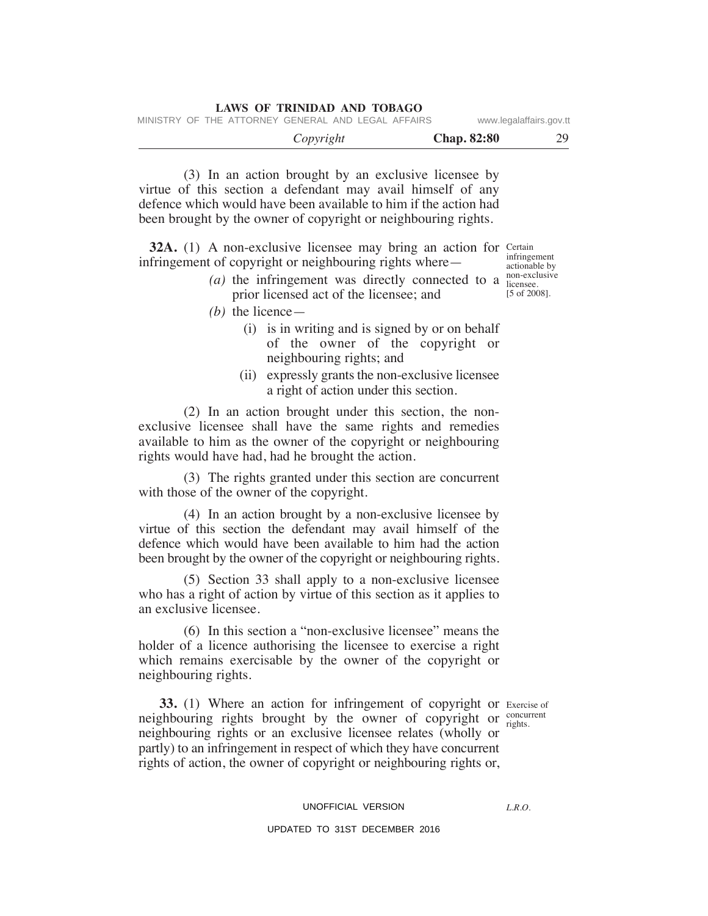|  |                                                    | Copyright |  |  | <b>Chap.</b> 82:80 | 29                      |
|--|----------------------------------------------------|-----------|--|--|--------------------|-------------------------|
|  | MINISTRY OF THE ATTORNEY GENERAL AND LEGAL AFFAIRS |           |  |  |                    | www.legalaffairs.gov.tt |

 (3) In an action brought by an exclusive licensee by virtue of this section a defendant may avail himself of any defence which would have been available to him if the action had been brought by the owner of copyright or neighbouring rights.

**LAWS OF TRINIDAD AND TOBAGO**

**32A.** (1) A non-exclusive licensee may bring an action for Certain infringement of copyright or neighbouring rights where—

- (*a*) the infringement was directly connected to a  $_{\text{increase}}^{\text{non-exclusive}}$ prior licensed act of the licensee; and
	- *(b)* the licence—
		- (i) is in writing and is signed by or on behalf of the owner of the copyright or neighbouring rights; and
		- (ii) expressly grants the non-exclusive licensee a right of action under this section.

 (2) In an action brought under this section, the nonexclusive licensee shall have the same rights and remedies available to him as the owner of the copyright or neighbouring rights would have had, had he brought the action.

 (3) The rights granted under this section are concurrent with those of the owner of the copyright.

 (4) In an action brought by a non-exclusive licensee by virtue of this section the defendant may avail himself of the defence which would have been available to him had the action been brought by the owner of the copyright or neighbouring rights.

 (5) Section 33 shall apply to a non-exclusive licensee who has a right of action by virtue of this section as it applies to an exclusive licensee.

 (6) In this section a "non-exclusive licensee" means the holder of a licence authorising the licensee to exercise a right which remains exercisable by the owner of the copyright or neighbouring rights.

rights.

**33.** (1) Where an action for infringement of copyright or Exercise of neighbouring rights brought by the owner of copyright or  $_{\text{riohs}}^{\text{concurrent}}$ neighbouring rights or an exclusive licensee relates (wholly or partly) to an infringement in respect of which they have concurrent rights of action, the owner of copyright or neighbouring rights or,

#### UNOFFICIAL VERSION

*L.R.O.* 

### UPDATED TO 31ST DECEMBER 2016

infringement actionable by licensee. [5 of 2008].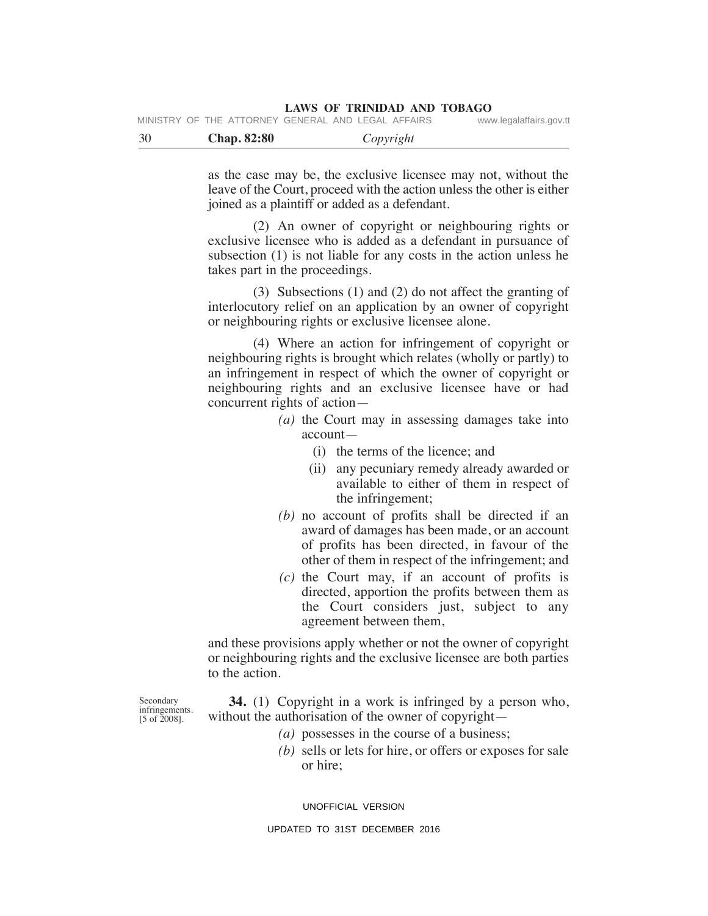| <b>LAWS OF TRINIDAD AND TOBAGO</b> |  |  |  |
|------------------------------------|--|--|--|
|------------------------------------|--|--|--|

|  | MINISTRY OF THE ATTORNEY GENERAL AND LEGAL AFFAIRS |  | www.legalaffairs.gov.tt |
|--|----------------------------------------------------|--|-------------------------|
|  |                                                    |  |                         |

| 30 | <b>Chap. 82:80</b> | Copyright |  |
|----|--------------------|-----------|--|
|    |                    |           |  |

as the case may be, the exclusive licensee may not, without the leave of the Court, proceed with the action unless the other is either joined as a plaintiff or added as a defendant.

 (2) An owner of copyright or neighbouring rights or exclusive licensee who is added as a defendant in pursuance of subsection (1) is not liable for any costs in the action unless he takes part in the proceedings.

 (3) Subsections (1) and (2) do not affect the granting of interlocutory relief on an application by an owner of copyright or neighbouring rights or exclusive licensee alone.

 (4) Where an action for infringement of copyright or neighbouring rights is brought which relates (wholly or partly) to an infringement in respect of which the owner of copyright or neighbouring rights and an exclusive licensee have or had concurrent rights of action—

- *(a)* the Court may in assessing damages take into account—
	- (i) the terms of the licence; and
	- (ii) any pecuniary remedy already awarded or available to either of them in respect of the infringement;
- *(b)* no account of profits shall be directed if an award of damages has been made, or an account of profits has been directed, in favour of the other of them in respect of the infringement; and
- *(c)* the Court may, if an account of profits is directed, apportion the profits between them as the Court considers just, subject to any agreement between them,

and these provisions apply whether or not the owner of copyright or neighbouring rights and the exclusive licensee are both parties to the action.

Secondary infringements. [5 of 2008].

 **34.** (1) Copyright in a work is infringed by a person who, without the authorisation of the owner of copyright—

- *(a)* possesses in the course of a business;
- *(b)* sells or lets for hire, or offers or exposes for sale or hire;

UNOFFICIAL VERSION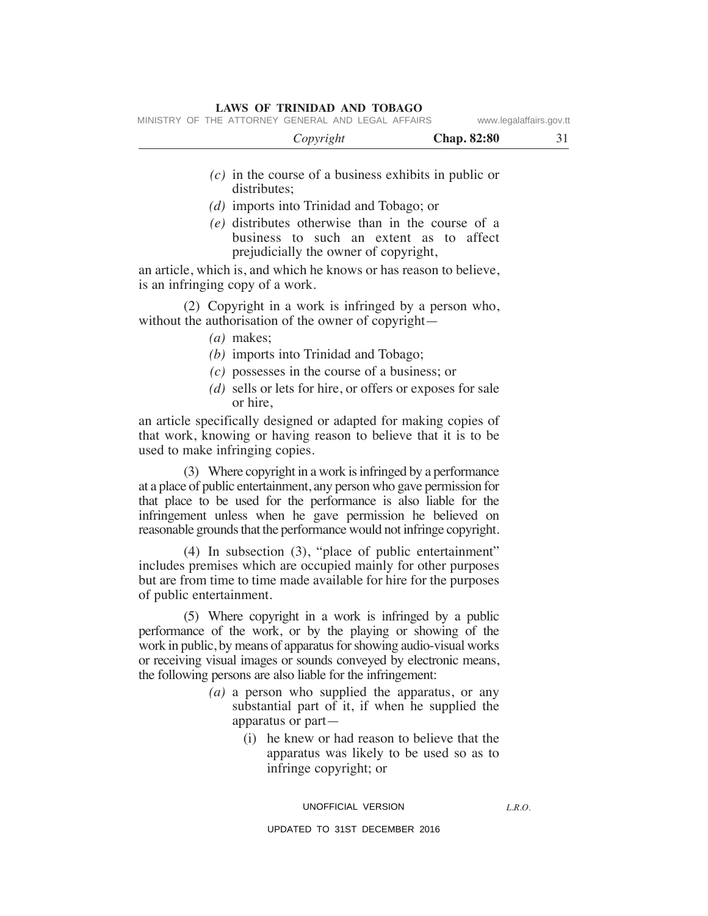|  | MINISTRY OF THE ATTORNEY GENERAL AND LEGAL AFFAIRS |  |  | www.legalaffairs.gov.tt |
|--|----------------------------------------------------|--|--|-------------------------|
|  |                                                    |  |  |                         |

| <b>Chap. 82:80</b><br>Copyright |
|---------------------------------|
|---------------------------------|

- *(c)* in the course of a business exhibits in public or distributes;
- *(d)* imports into Trinidad and Tobago; or
- *(e)* distributes otherwise than in the course of a business to such an extent as to affect prejudicially the owner of copyright,

an article, which is, and which he knows or has reason to believe, is an infringing copy of a work.

 (2) Copyright in a work is infringed by a person who, without the authorisation of the owner of copyright—

- *(a)* makes;
- *(b)* imports into Trinidad and Tobago;
- *(c)* possesses in the course of a business; or
- *(d)* sells or lets for hire, or offers or exposes for sale or hire,

an article specifically designed or adapted for making copies of that work, knowing or having reason to believe that it is to be used to make infringing copies.

 (3) Where copyright in a work is infringed by a performance at a place of public entertainment, any person who gave permission for that place to be used for the performance is also liable for the infringement unless when he gave permission he believed on reasonable grounds that the performance would not infringe copyright.

 (4) In subsection (3), "place of public entertainment" includes premises which are occupied mainly for other purposes but are from time to time made available for hire for the purposes of public entertainment.

 (5) Where copyright in a work is infringed by a public performance of the work, or by the playing or showing of the work in public, by means of apparatus for showing audio-visual works or receiving visual images or sounds conveyed by electronic means, the following persons are also liable for the infringement:

- *(a)* a person who supplied the apparatus, or any substantial part of it, if when he supplied the apparatus or part—
	- (i) he knew or had reason to believe that the apparatus was likely to be used so as to infringe copyright; or

#### UNOFFICIAL VERSION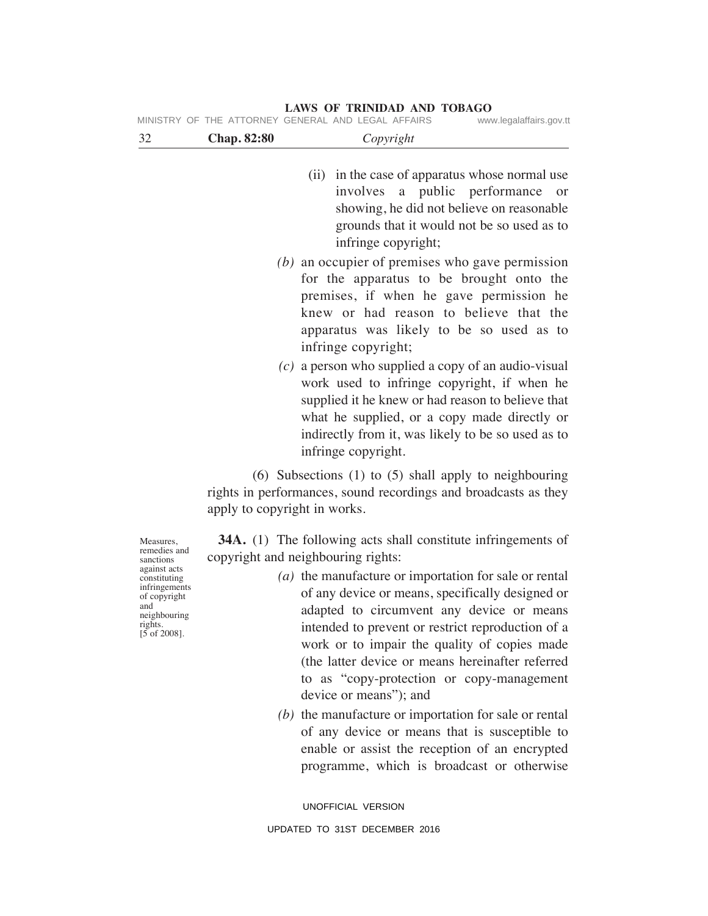|                                                                                                                                                             |                                    | MINISTRY OF THE ATTORNEY GENERAL AND LEGAL AFFAIRS<br>www.legalaffairs.gov.tt                                                                                                                                                                                                                                                                                                                                                                                                                                                                                                                                                                                              |
|-------------------------------------------------------------------------------------------------------------------------------------------------------------|------------------------------------|----------------------------------------------------------------------------------------------------------------------------------------------------------------------------------------------------------------------------------------------------------------------------------------------------------------------------------------------------------------------------------------------------------------------------------------------------------------------------------------------------------------------------------------------------------------------------------------------------------------------------------------------------------------------------|
| 32                                                                                                                                                          | <b>Chap. 82:80</b>                 | Copyright                                                                                                                                                                                                                                                                                                                                                                                                                                                                                                                                                                                                                                                                  |
|                                                                                                                                                             |                                    | (ii) in the case of apparatus whose normal use<br>involves a public performance<br>or<br>showing, he did not believe on reasonable<br>grounds that it would not be so used as to<br>infringe copyright;                                                                                                                                                                                                                                                                                                                                                                                                                                                                    |
|                                                                                                                                                             |                                    | $(b)$ an occupier of premises who gave permission<br>for the apparatus to be brought onto the<br>premises, if when he gave permission he<br>knew or had reason to believe that the<br>apparatus was likely to be so used as to<br>infringe copyright;<br>$(c)$ a person who supplied a copy of an audio-visual<br>work used to infringe copyright, if when he<br>supplied it he knew or had reason to believe that<br>what he supplied, or a copy made directly or<br>indirectly from it, was likely to be so used as to<br>infringe copyright.                                                                                                                            |
|                                                                                                                                                             | apply to copyright in works.       | $(6)$ Subsections $(1)$ to $(5)$ shall apply to neighbouring<br>rights in performances, sound recordings and broadcasts as they                                                                                                                                                                                                                                                                                                                                                                                                                                                                                                                                            |
| Measures,<br>remedies and<br>sanctions<br>against acts<br>constituting<br>infringements<br>of copyright<br>and<br>neighbouring<br>rights.<br>$[5$ of 2008]. | copyright and neighbouring rights: | <b>34A.</b> (1) The following acts shall constitute infringements of<br>(a) the manufacture or importation for sale or rental<br>of any device or means, specifically designed or<br>adapted to circumvent any device or means<br>intended to prevent or restrict reproduction of a<br>work or to impair the quality of copies made<br>(the latter device or means hereinafter referred<br>to as "copy-protection or copy-management<br>device or means"); and<br>$(b)$ the manufacture or importation for sale or rental<br>of any device or means that is susceptible to<br>enable or assist the reception of an encrypted<br>programme, which is broadcast or otherwise |

UNOFFICIAL VERSION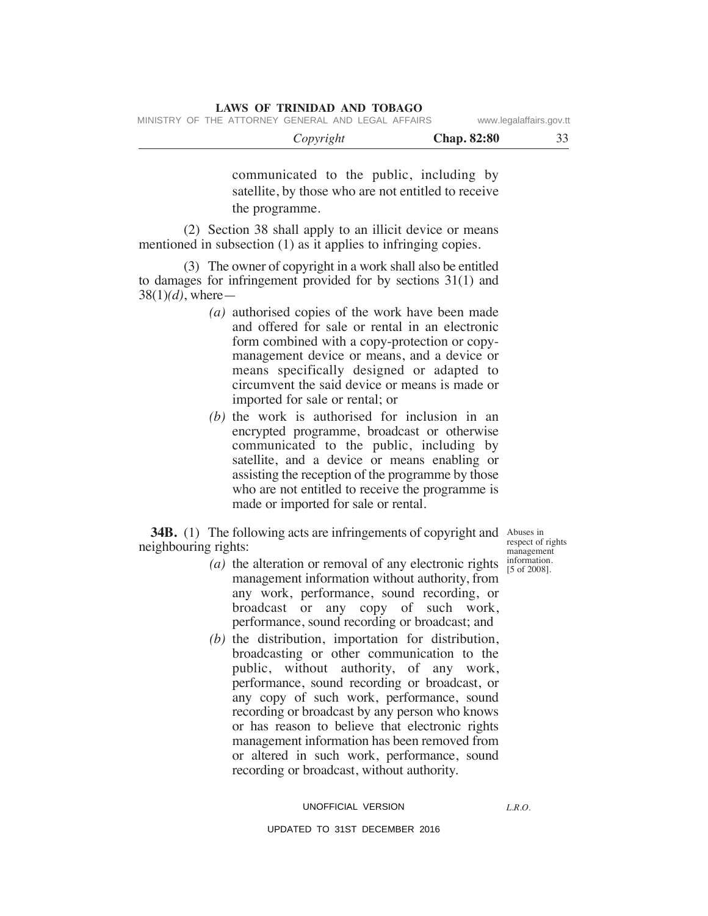| MINISTRY OF THE ATTORNEY GENERAL AND LEGAL AFFAIRS | LAWS OF INIMIDAD AND TODAUO |                    | www.legalaffairs.gov.tt |  |
|----------------------------------------------------|-----------------------------|--------------------|-------------------------|--|
|                                                    | Copyright                   | <b>Chap.</b> 82:80 |                         |  |

communicated to the public, including by satellite, by those who are not entitled to receive the programme.

 (2) Section 38 shall apply to an illicit device or means mentioned in subsection (1) as it applies to infringing copies.

**LAWS OF TRINIDAD AND TOBAGO**

 (3) The owner of copyright in a work shall also be entitled to damages for infringement provided for by sections 31(1) and 38(1)*(d)*, where—

- *(a)* authorised copies of the work have been made and offered for sale or rental in an electronic form combined with a copy-protection or copymanagement device or means, and a device or means specifically designed or adapted to circumvent the said device or means is made or imported for sale or rental; or
- *(b)* the work is authorised for inclusion in an encrypted programme, broadcast or otherwise communicated to the public, including by satellite, and a device or means enabling or assisting the reception of the programme by those who are not entitled to receive the programme is made or imported for sale or rental.

**34B.** (1) The following acts are infringements of copyright and Abuses in neighbouring rights:

- *(a)* the alteration or removal of any electronic rights management information without authority, from any work, performance, sound recording, or broadcast or any copy of such work, performance, sound recording or broadcast; and
- *(b)* the distribution, importation for distribution, broadcasting or other communication to the public, without authority, of any work, performance, sound recording or broadcast, or any copy of such work, performance, sound recording or broadcast by any person who knows or has reason to believe that electronic rights management information has been removed from or altered in such work, performance, sound recording or broadcast, without authority.

# UNOFFICIAL VERSION

### UPDATED TO 31ST DECEMBER 2016

respect of rights management information. [5 of 2008].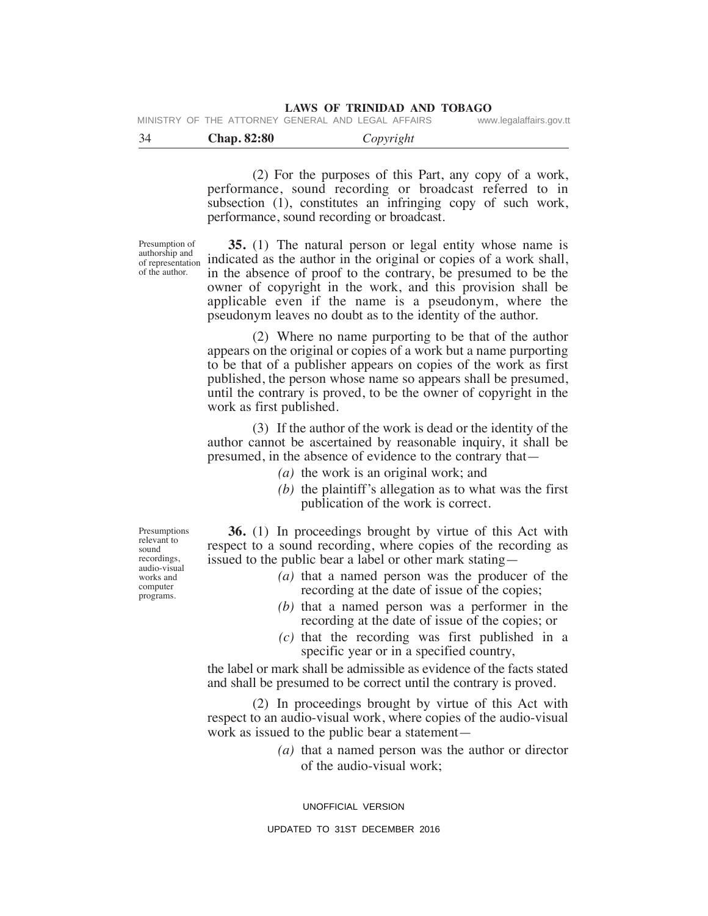|  |  | MINISTRY OF THE ATTORNEY GENERAL AND LEGAL AFFAIRS |  |  | www.legalaffairs.gov.tt |
|--|--|----------------------------------------------------|--|--|-------------------------|
|  |  |                                                    |  |  |                         |

|  | <b>Chap. 82:80</b> | Copyright |  |
|--|--------------------|-----------|--|
|--|--------------------|-----------|--|

 (2) For the purposes of this Part, any copy of a work, performance, sound recording or broadcast referred to in subsection (1), constitutes an infringing copy of such work, performance, sound recording or broadcast.

Presumption of authorship and of representation of the author.

 **35.** (1) The natural person or legal entity whose name is indicated as the author in the original or copies of a work shall, in the absence of proof to the contrary, be presumed to be the owner of copyright in the work, and this provision shall be applicable even if the name is a pseudonym, where the pseudonym leaves no doubt as to the identity of the author.

 (2) Where no name purporting to be that of the author appears on the original or copies of a work but a name purporting to be that of a publisher appears on copies of the work as first published, the person whose name so appears shall be presumed, until the contrary is proved, to be the owner of copyright in the work as first published.

 (3) If the author of the work is dead or the identity of the author cannot be ascertained by reasonable inquiry, it shall be presumed, in the absence of evidence to the contrary that—

- *(a)* the work is an original work; and
- *(b)* the plaintiff's allegation as to what was the first publication of the work is correct.

 **36.** (1) In proceedings brought by virtue of this Act with respect to a sound recording, where copies of the recording as issued to the public bear a label or other mark stating—

- *(a)* that a named person was the producer of the recording at the date of issue of the copies;
- *(b)* that a named person was a performer in the recording at the date of issue of the copies; or
- *(c)* that the recording was first published in a specific year or in a specified country,

the label or mark shall be admissible as evidence of the facts stated and shall be presumed to be correct until the contrary is proved.

 (2) In proceedings brought by virtue of this Act with respect to an audio-visual work, where copies of the audio-visual work as issued to the public bear a statement—

> *(a)* that a named person was the author or director of the audio-visual work;

UNOFFICIAL VERSION

Presumptions relevant to sound recordings, audio-visual works and computer programs.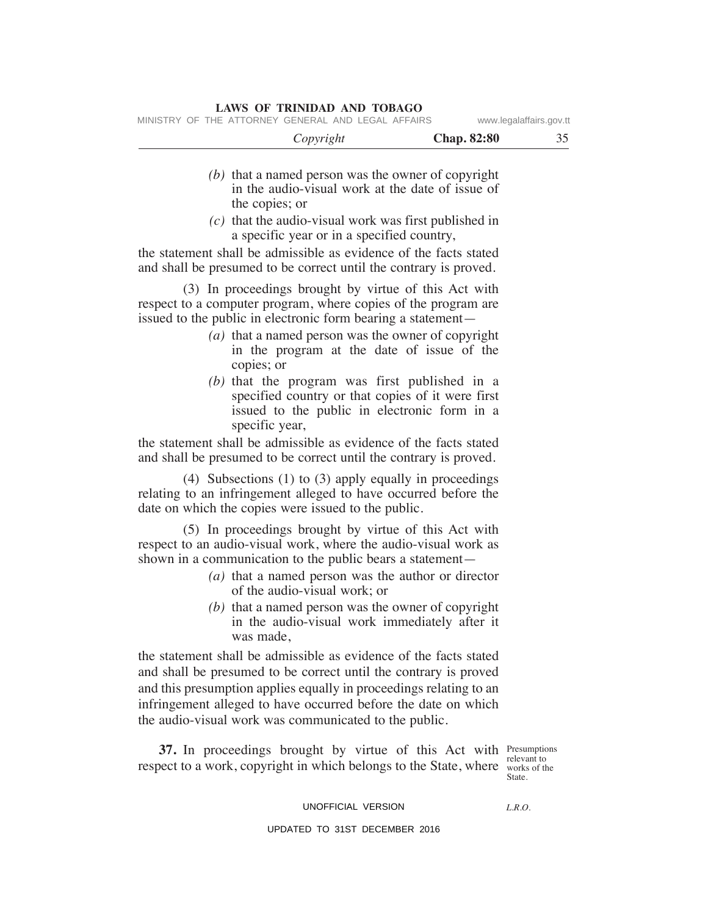MINISTRY OF THE ATTORNEY GENERAL AND LEGAL AFFAIRS www.legalaffairs.gov.tt

| Copyright | <b>Chap. 82:80</b> | າ - |
|-----------|--------------------|-----|
|-----------|--------------------|-----|

- *(b)* that a named person was the owner of copyright in the audio-visual work at the date of issue of the copies; or
- *(c)* that the audio-visual work was first published in a specific year or in a specified country,

the statement shall be admissible as evidence of the facts stated and shall be presumed to be correct until the contrary is proved.

 (3) In proceedings brought by virtue of this Act with respect to a computer program, where copies of the program are issued to the public in electronic form bearing a statement—

- *(a)* that a named person was the owner of copyright in the program at the date of issue of the copies; or
- *(b)* that the program was first published in a specified country or that copies of it were first issued to the public in electronic form in a specific year,

the statement shall be admissible as evidence of the facts stated and shall be presumed to be correct until the contrary is proved.

 (4) Subsections (1) to (3) apply equally in proceedings relating to an infringement alleged to have occurred before the date on which the copies were issued to the public.

 (5) In proceedings brought by virtue of this Act with respect to an audio-visual work, where the audio-visual work as shown in a communication to the public bears a statement—

- *(a)* that a named person was the author or director of the audio-visual work; or
- *(b)* that a named person was the owner of copyright in the audio-visual work immediately after it was made,

the statement shall be admissible as evidence of the facts stated and shall be presumed to be correct until the contrary is proved and this presumption applies equally in proceedings relating to an infringement alleged to have occurred before the date on which the audio-visual work was communicated to the public.

**37.** In proceedings brought by virtue of this Act with Presumptions respect to a work, copyright in which belongs to the State, where works of the

relevant to State.

# UNOFFICIAL VERSION

*L.R.O.*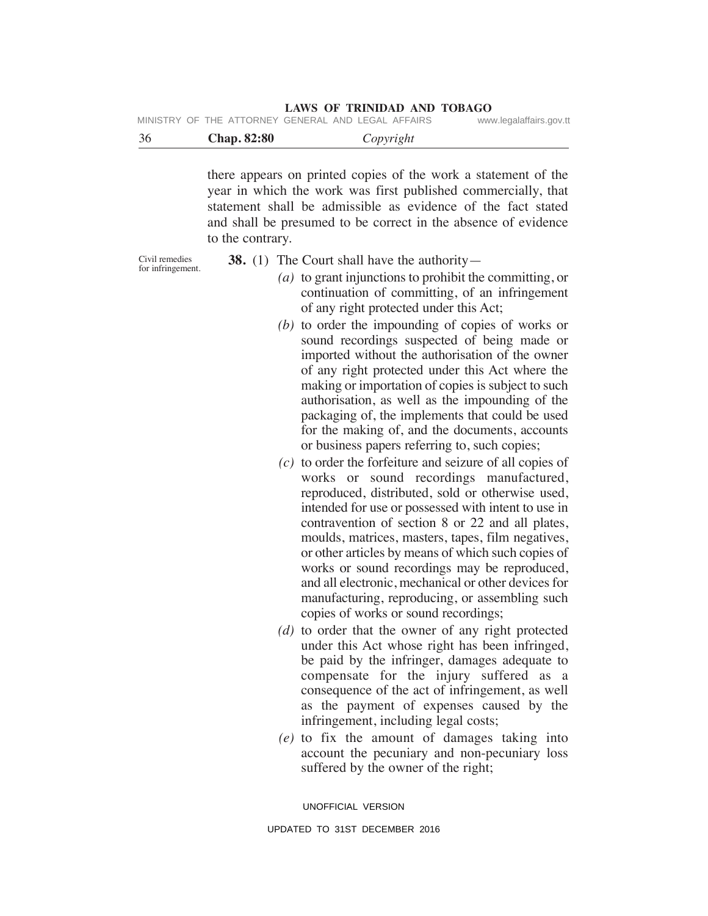| MINISTRY OF THE ATTORNEY GENERAL AND LEGAL AFFAIRS |  |  | www.legalaffairs.gov.tt |
|----------------------------------------------------|--|--|-------------------------|
|                                                    |  |  |                         |

|  |  | <b>Chap. 82:80</b> | Copyright |  |
|--|--|--------------------|-----------|--|
|--|--|--------------------|-----------|--|

there appears on printed copies of the work a statement of the year in which the work was first published commercially, that statement shall be admissible as evidence of the fact stated and shall be presumed to be correct in the absence of evidence to the contrary.

Civil remedies for infringement. **38.** (1) The Court shall have the authority—

- *(a)* to grant injunctions to prohibit the committing, or continuation of committing, of an infringement of any right protected under this Act;
- *(b)* to order the impounding of copies of works or sound recordings suspected of being made or imported without the authorisation of the owner of any right protected under this Act where the making or importation of copies is subject to such authorisation, as well as the impounding of the packaging of, the implements that could be used for the making of, and the documents, accounts or business papers referring to, such copies;
- *(c)* to order the forfeiture and seizure of all copies of works or sound recordings manufactured, reproduced, distributed, sold or otherwise used, intended for use or possessed with intent to use in contravention of section 8 or 22 and all plates, moulds, matrices, masters, tapes, film negatives, or other articles by means of which such copies of works or sound recordings may be reproduced, and all electronic, mechanical or other devices for manufacturing, reproducing, or assembling such copies of works or sound recordings;
- *(d)* to order that the owner of any right protected under this Act whose right has been infringed, be paid by the infringer, damages adequate to compensate for the injury suffered as a consequence of the act of infringement, as well as the payment of expenses caused by the infringement, including legal costs;
- *(e)* to fix the amount of damages taking into account the pecuniary and non-pecuniary loss suffered by the owner of the right;

UNOFFICIAL VERSION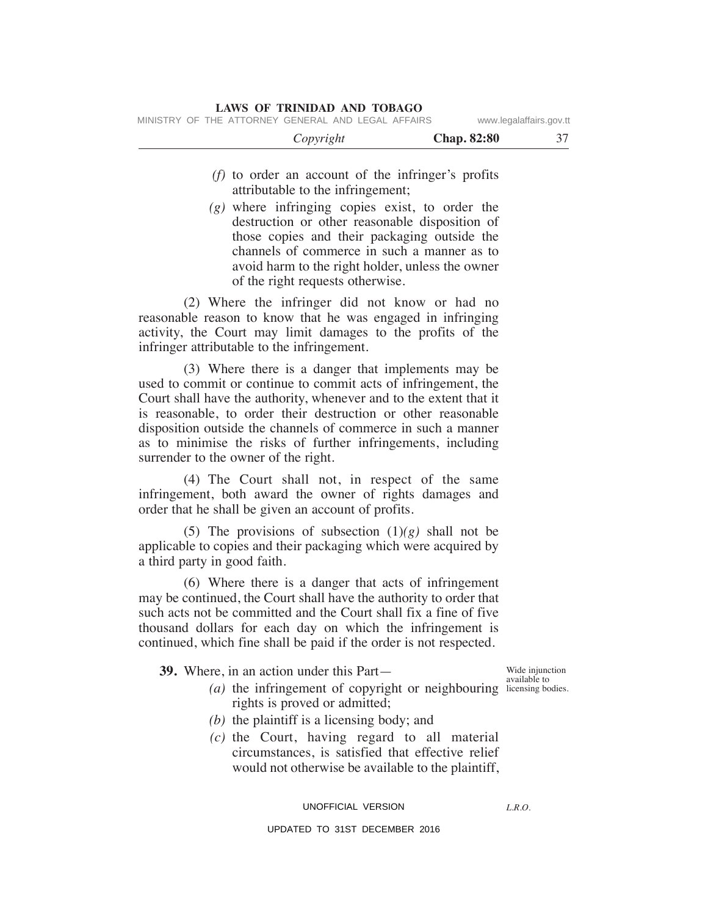- *(f)* to order an account of the infringer's profits attributable to the infringement;
- *(g)* where infringing copies exist, to order the destruction or other reasonable disposition of those copies and their packaging outside the channels of commerce in such a manner as to avoid harm to the right holder, unless the owner of the right requests otherwise.

 (2) Where the infringer did not know or had no reasonable reason to know that he was engaged in infringing activity, the Court may limit damages to the profits of the infringer attributable to the infringement.

 (3) Where there is a danger that implements may be used to commit or continue to commit acts of infringement, the Court shall have the authority, whenever and to the extent that it is reasonable, to order their destruction or other reasonable disposition outside the channels of commerce in such a manner as to minimise the risks of further infringements, including surrender to the owner of the right.

 (4) The Court shall not, in respect of the same infringement, both award the owner of rights damages and order that he shall be given an account of profits.

(5) The provisions of subsection  $(1)(g)$  shall not be applicable to copies and their packaging which were acquired by a third party in good faith.

 (6) Where there is a danger that acts of infringement may be continued, the Court shall have the authority to order that such acts not be committed and the Court shall fix a fine of five thousand dollars for each day on which the infringement is continued, which fine shall be paid if the order is not respected.

 **39.** Where, in an action under this Part—

*(a)* the infringement of copyright or neighbouring licensing bo rights is proved or admitted;

Wide injunction licensing bodies.

- *(b)* the plaintiff is a licensing body; and
- *(c)* the Court, having regard to all material circumstances, is satisfied that effective relief would not otherwise be available to the plaintiff,

UNOFFICIAL VERSION

*L.R.O.*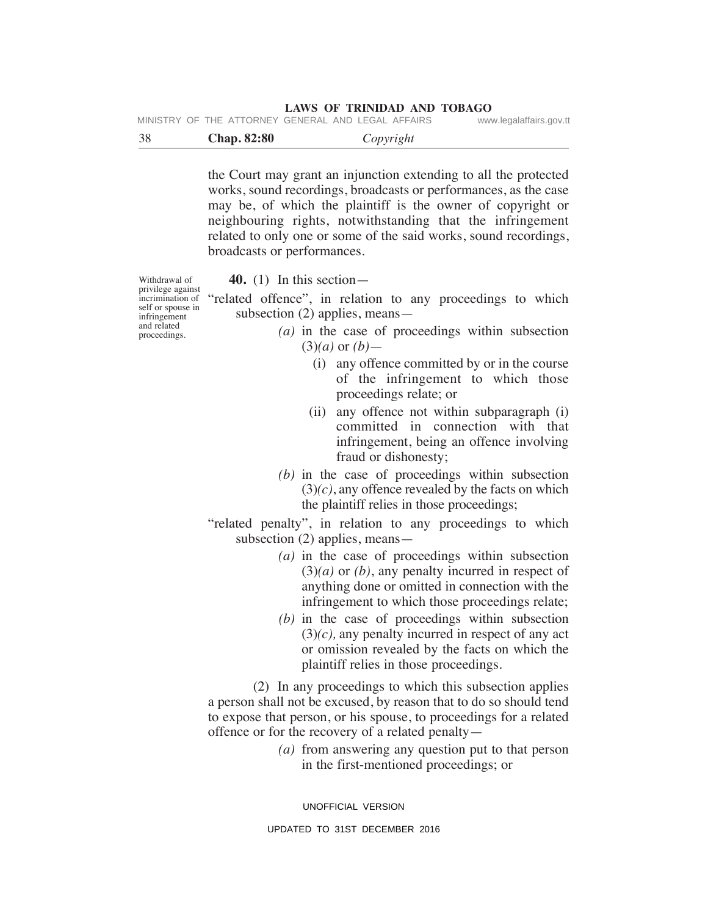|  | MINISTRY OF THE ATTORNEY GENERAL AND LEGAL AFFAIRS |  | www.legalaffairs.gov.tt |
|--|----------------------------------------------------|--|-------------------------|
|  |                                                    |  |                         |

| -38 | <b>Chap. 82:80</b> | Copyright |
|-----|--------------------|-----------|
|-----|--------------------|-----------|

the Court may grant an injunction extending to all the protected works, sound recordings, broadcasts or performances, as the case may be, of which the plaintiff is the owner of copyright or neighbouring rights, notwithstanding that the infringement related to only one or some of the said works, sound recordings, broadcasts or performances.

Withdrawal of privilege against incrimination of self or spouse in infringement and related proceedings.

 **40.** (1) In this section—

"related offence", in relation to any proceedings to which subsection (2) applies, means—

- *(a)* in the case of proceedings within subsection (3)*(a)* or *(b)*—
	- (i) any offence committed by or in the course of the infringement to which those proceedings relate; or
	- (ii) any offence not within subparagraph (i) committed in connection with that infringement, being an offence involving fraud or dishonesty;
- *(b)* in the case of proceedings within subsection  $(3)(c)$ , any offence revealed by the facts on which the plaintiff relies in those proceedings;
- "related penalty", in relation to any proceedings to which subsection (2) applies, means—
	- *(a)* in the case of proceedings within subsection (3)*(a)* or *(b)*, any penalty incurred in respect of anything done or omitted in connection with the infringement to which those proceedings relate;
	- *(b)* in the case of proceedings within subsection (3)*(c),* any penalty incurred in respect of any act or omission revealed by the facts on which the plaintiff relies in those proceedings.

 (2) In any proceedings to which this subsection applies a person shall not be excused, by reason that to do so should tend to expose that person, or his spouse, to proceedings for a related offence or for the recovery of a related penalty—

> *(a)* from answering any question put to that person in the first-mentioned proceedings; or

UNOFFICIAL VERSION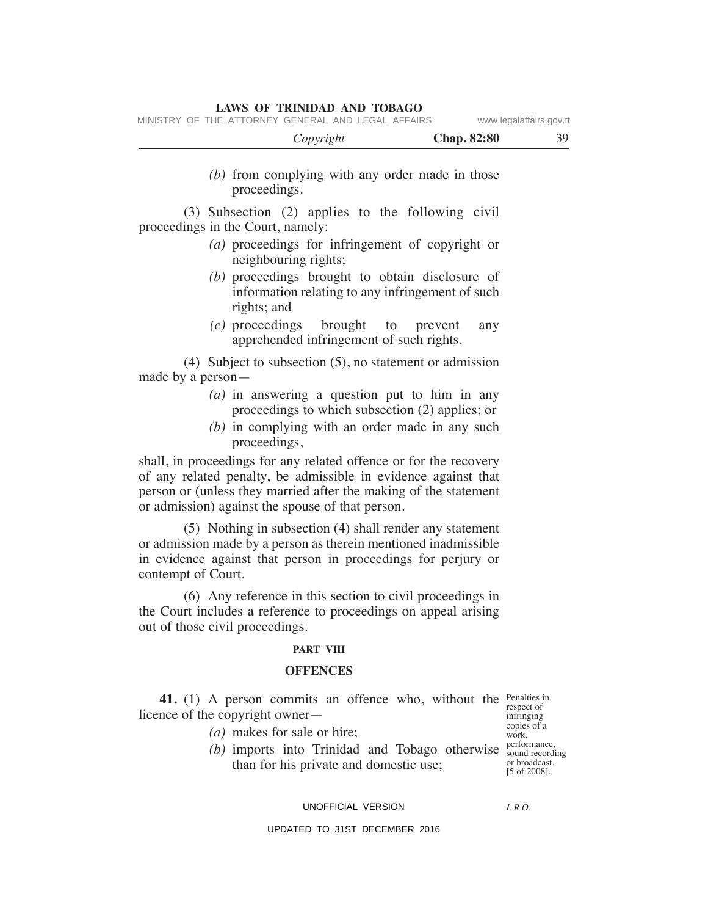|  |                                                    | Convright |  |  | <b>Chan.</b> 82:80 | 30.                     |
|--|----------------------------------------------------|-----------|--|--|--------------------|-------------------------|
|  | MINISTRY OF THE ATTORNEY GENERAL AND LEGAL AFFAIRS |           |  |  |                    | www.legalaffairs.gov.tt |

 *Copyright* **Chap. 82:80** 39  *(b)* from complying with any order made in those proceedings. (3) Subsection (2) applies to the following civil proceedings in the Court, namely:  *(a)* proceedings for infringement of copyright or neighbouring rights;  *(b)* proceedings brought to obtain disclosure of information relating to any infringement of such rights; and  *(c)* proceedings brought to prevent any apprehended infringement of such rights. (4) Subject to subsection (5), no statement or admission made by a person—  *(a)* in answering a question put to him in any proceedings to which subsection (2) applies; or  *(b)* in complying with an order made in any such proceedings, shall, in proceedings for any related offence or for the recovery

of any related penalty, be admissible in evidence against that person or (unless they married after the making of the statement or admission) against the spouse of that person.

 (5) Nothing in subsection (4) shall render any statement or admission made by a person as therein mentioned inadmissible in evidence against that person in proceedings for perjury or contempt of Court.

 (6) Any reference in this section to civil proceedings in the Court includes a reference to proceedings on appeal arising out of those civil proceedings.

#### **PART VIII**

### **OFFeNCeS**

**41.** (1) A person commits an offence who, without the Penalties in licence of the copyright owner—

respect of infringing copies of a work, sound recording or broadcast. [5 of 2008].

*(a)* makes for sale or hire;

(b) imports into Trinidad and Tobago otherwise  $_{\text{sound record}}^{\text{performance}}$ than for his private and domestic use;

#### UNOFFICIAL VERSION

*L.R.O.*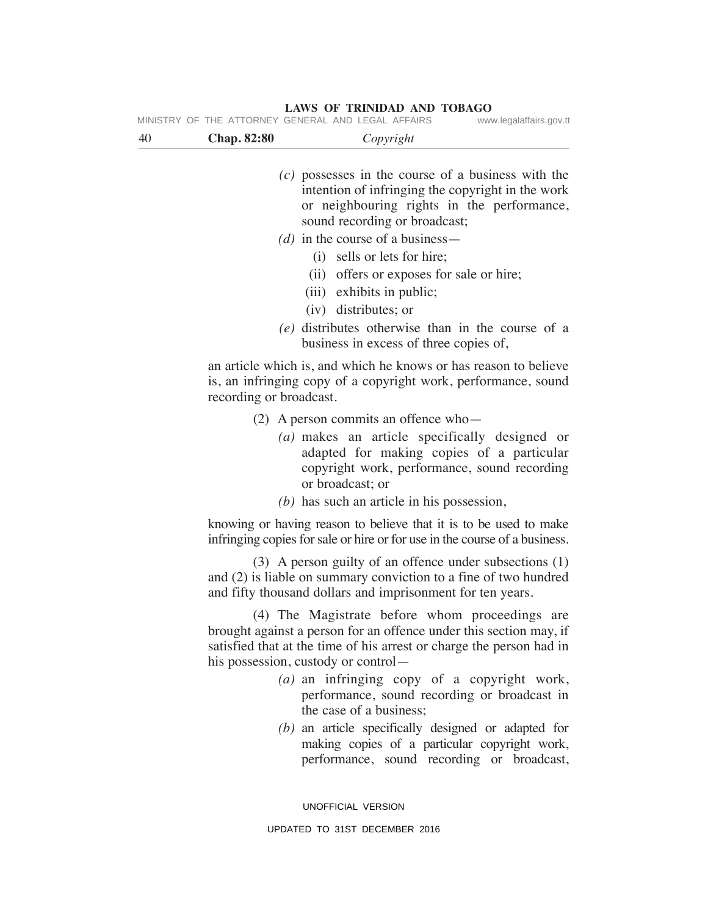| 40 | <b>Chap. 82:80</b>      | Copyright                                                                                                                                                                                                                                                |
|----|-------------------------|----------------------------------------------------------------------------------------------------------------------------------------------------------------------------------------------------------------------------------------------------------|
|    |                         | $(c)$ possesses in the course of a business with the<br>intention of infringing the copyright in the work<br>or neighbouring rights in the performance,<br>sound recording or broadcast;<br>(d) in the course of a business —                            |
|    |                         | (i) sells or lets for hire;<br>offers or exposes for sale or hire;<br>(ii)<br>(iii) exhibits in public;                                                                                                                                                  |
|    |                         | (iv) distributes; or<br>(e) distributes otherwise than in the course of a                                                                                                                                                                                |
|    |                         | business in excess of three copies of,                                                                                                                                                                                                                   |
|    | recording or broadcast. | an article which is, and which he knows or has reason to believe<br>is, an infringing copy of a copyright work, performance, sound                                                                                                                       |
|    |                         | $(2)$ A person commits an offence who-<br>(a) makes an article specifically designed or<br>adapted for making copies of a particular<br>copyright work, performance, sound recording<br>or broadcast; or<br>$(b)$ has such an article in his possession, |
|    |                         | knowing or having reason to believe that it is to be used to make<br>infringing copies for sale or hire or for use in the course of a business.                                                                                                          |
|    |                         | $(3)$ A person guilty of an offence under subsections $(1)$<br>and (2) is liable on summary conviction to a fine of two hundred<br>and fifty thousand dollars and imprisonment for ten years.                                                            |
|    |                         | (4) The Magistrate before whom proceedings are<br>brought against a person for an offence under this section may, if<br>satisfied that at the time of his arrest or charge the person had in<br>his possession, custody or control—                      |
|    |                         | (a) an infringing copy of a copyright work,<br>performance, sound recording or broadcast in<br>the case of a business;                                                                                                                                   |
|    |                         | $(b)$ an article specifically designed or adapted for<br>making copies of a particular copyright work,<br>performance, sound recording or broadcast,                                                                                                     |
|    |                         | UNOFFICIAL VERSION                                                                                                                                                                                                                                       |

**LAWS OF TRINIDAD AND TOBAGO** MINISTRY OF THE ATTORNEY GENERAL AND LEGAL AFFAIRS www.legalaffairs.gov.tt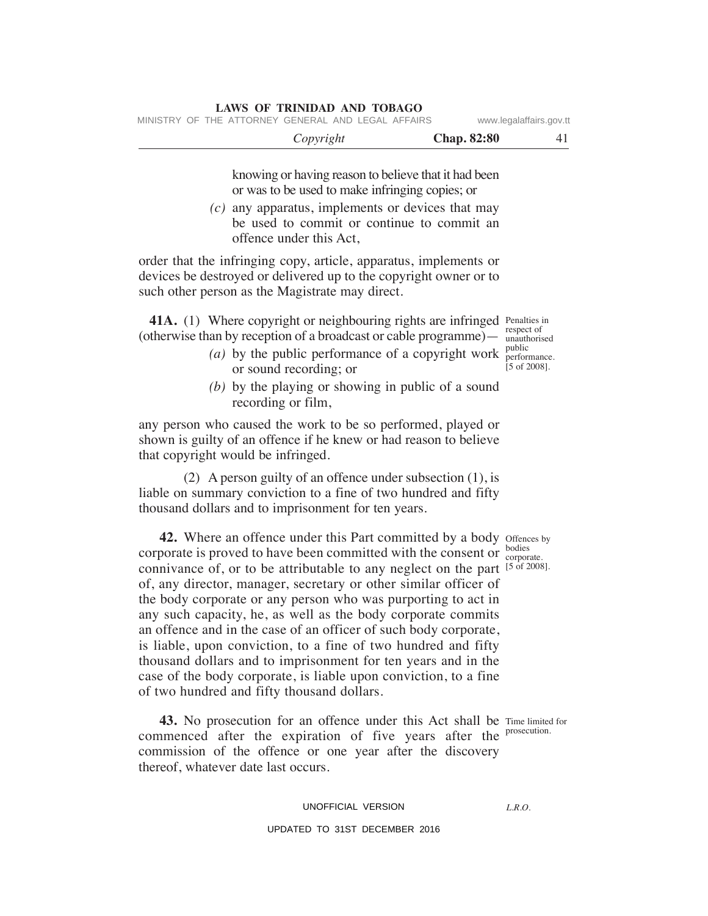|  |                                                    | Copyright |  | <b>Chap. 82:80</b> | 41                      |
|--|----------------------------------------------------|-----------|--|--------------------|-------------------------|
|  | MINISTRY OF THE ATTORNEY GENERAL AND LEGAL AFFAIRS |           |  |                    | www.legalaffairs.gov.tt |

knowing or having reason to believe that it had been or was to be used to make infringing copies; or

 *(c)* any apparatus, implements or devices that may be used to commit or continue to commit an offence under this Act,

order that the infringing copy, article, apparatus, implements or devices be destroyed or delivered up to the copyright owner or to such other person as the Magistrate may direct.

**LAWS OF TRINIDAD AND TOBAGO**

**41A.** (1) Where copyright or neighbouring rights are infringed Penalties in (otherwise than by reception of a broadcast or cable programme)— unauthorised

- (*a*) by the public performance of a copyright work  $_{\text{perform}}^{\text{public}}$ or sound recording; or
	- *(b)* by the playing or showing in public of a sound recording or film,

any person who caused the work to be so performed, played or shown is guilty of an offence if he knew or had reason to believe that copyright would be infringed.

 (2) A person guilty of an offence under subsection (1), is liable on summary conviction to a fine of two hundred and fifty thousand dollars and to imprisonment for ten years.

**42.** Where an offence under this Part committed by a body offences by corporate is proved to have been committed with the consent or  $\frac{\text{bodies}}{\text{corpor}}$ connivance of, or to be attributable to any neglect on the part  $[5 \text{ of } 2008]$ . of, any director, manager, secretary or other similar officer of the body corporate or any person who was purporting to act in any such capacity, he, as well as the body corporate commits an offence and in the case of an officer of such body corporate, is liable, upon conviction, to a fine of two hundred and fifty thousand dollars and to imprisonment for ten years and in the case of the body corporate, is liable upon conviction, to a fine of two hundred and fifty thousand dollars.

**43.** No prosecution for an offence under this Act shall be Time limited for commenced after the expiration of five years after the prosecution. commission of the offence or one year after the discovery thereof, whatever date last occurs.

# UNOFFICIAL VERSION

# UPDATED TO 31ST DECEMBER 2016

corporate.

*L.R.O.* 

respect of performance. [5 of 2008].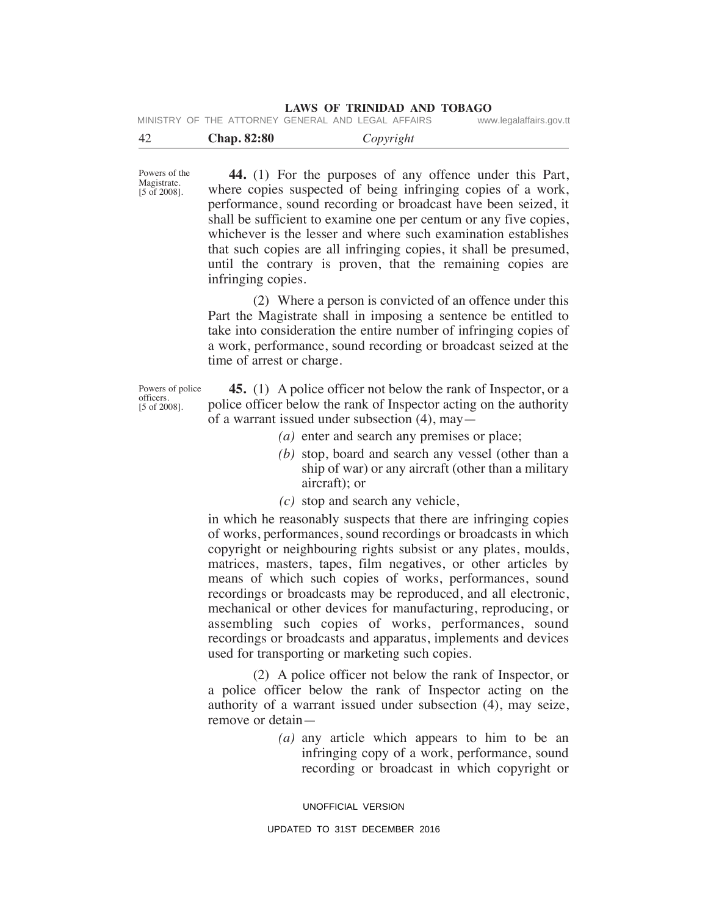|  | MINISTRY OF THE ATTORNEY GENERAL AND LEGAL AFFAIRS | www.legalaffairs.gov.tt |
|--|----------------------------------------------------|-------------------------|
|--|----------------------------------------------------|-------------------------|

| <b>Chap.</b> 82:80<br>-42 | Copyright |  |
|---------------------------|-----------|--|
|---------------------------|-----------|--|

Powers of the Magistrate. [5 of 2008].

 **44.** (1) For the purposes of any offence under this Part, where copies suspected of being infringing copies of a work, performance, sound recording or broadcast have been seized, it shall be sufficient to examine one per centum or any five copies, whichever is the lesser and where such examination establishes that such copies are all infringing copies, it shall be presumed, until the contrary is proven, that the remaining copies are infringing copies.

(2) Where a person is convicted of an offence under this Part the Magistrate shall in imposing a sentence be entitled to take into consideration the entire number of infringing copies of a work, performance, sound recording or broadcast seized at the time of arrest or charge.

Powers of police officers. [5 of 2008].

 **45.** (1) A police officer not below the rank of Inspector, or a police officer below the rank of Inspector acting on the authority of a warrant issued under subsection (4), may—

- *(a)* enter and search any premises or place;
- *(b)* stop, board and search any vessel (other than a ship of war) or any aircraft (other than a military aircraft); or
- *(c)* stop and search any vehicle,

in which he reasonably suspects that there are infringing copies of works, performances, sound recordings or broadcasts in which copyright or neighbouring rights subsist or any plates, moulds, matrices, masters, tapes, film negatives, or other articles by means of which such copies of works, performances, sound recordings or broadcasts may be reproduced, and all electronic, mechanical or other devices for manufacturing, reproducing, or assembling such copies of works, performances, sound recordings or broadcasts and apparatus, implements and devices used for transporting or marketing such copies.

 (2) A police officer not below the rank of Inspector, or a police officer below the rank of Inspector acting on the authority of a warrant issued under subsection (4), may seize, remove or detain—

> *(a)* any article which appears to him to be an infringing copy of a work, performance, sound recording or broadcast in which copyright or

UNOFFICIAL VERSION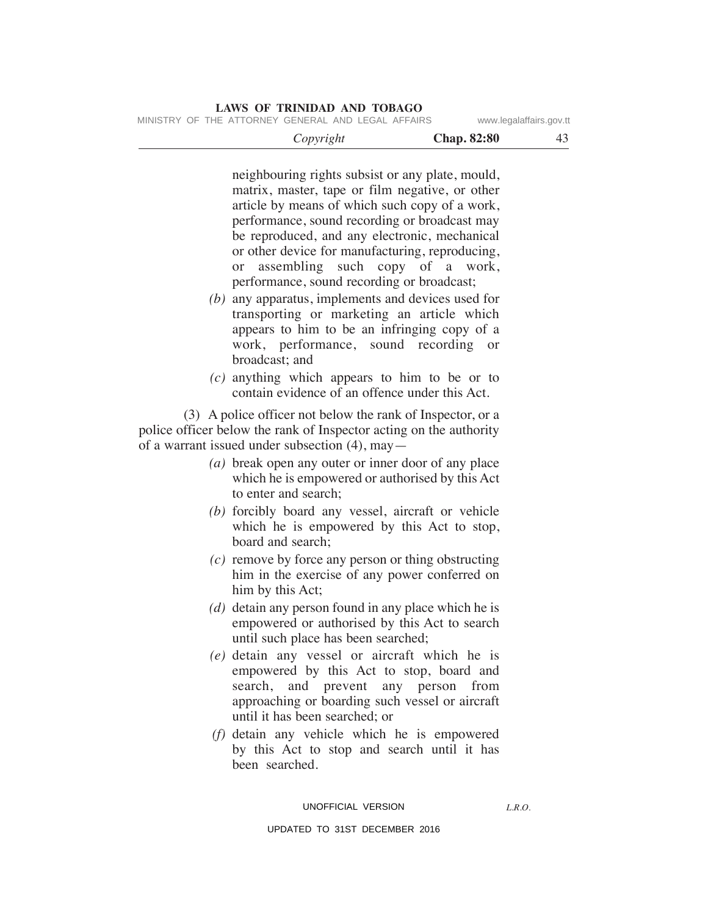MINISTRY OF THE ATTORNEY GENERAL AND LEGAL AFFAIRS www.legalaffairs.gov.tt

| <b>Chap. 82:80</b><br>Copyright | $\Lambda'$ |  |
|---------------------------------|------------|--|
|---------------------------------|------------|--|

neighbouring rights subsist or any plate, mould, matrix, master, tape or film negative, or other article by means of which such copy of a work, performance, sound recording or broadcast may be reproduced, and any electronic, mechanical or other device for manufacturing, reproducing, or assembling such copy of a work, performance, sound recording or broadcast;

- *(b)* any apparatus, implements and devices used for transporting or marketing an article which appears to him to be an infringing copy of a work, performance, sound recording or broadcast; and
- *(c)* anything which appears to him to be or to contain evidence of an offence under this Act.

 (3) A police officer not below the rank of Inspector, or a police officer below the rank of Inspector acting on the authority of a warrant issued under subsection (4), may—

- *(a)* break open any outer or inner door of any place which he is empowered or authorised by this Act to enter and search;
- *(b)* forcibly board any vessel, aircraft or vehicle which he is empowered by this Act to stop, board and search;
- *(c)* remove by force any person or thing obstructing him in the exercise of any power conferred on him by this Act;
- *(d)* detain any person found in any place which he is empowered or authorised by this Act to search until such place has been searched;
- *(e)* detain any vessel or aircraft which he is empowered by this Act to stop, board and search, and prevent any person from approaching or boarding such vessel or aircraft until it has been searched; or
- *(f)* detain any vehicle which he is empowered by this Act to stop and search until it has been searched.

#### UNOFFICIAL VERSION

*L.R.O.*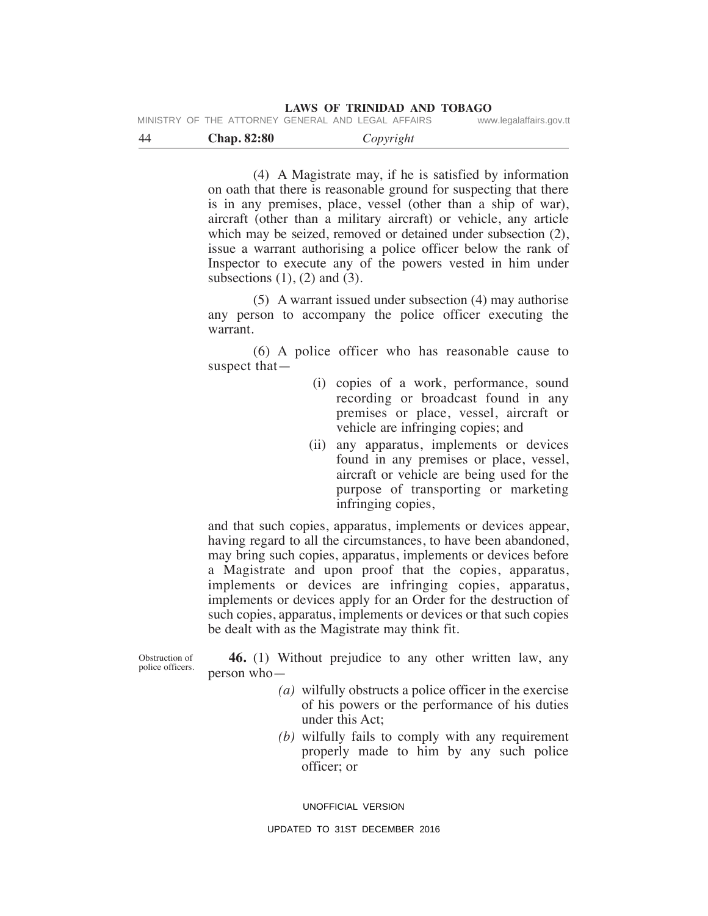|  | MINISTRY OF THE ATTORNEY GENERAL AND LEGAL AFFAIRS |  | www.legalaffairs.gov.tt |
|--|----------------------------------------------------|--|-------------------------|
|  |                                                    |  |                         |

| $\Delta\varDelta$ | <b>Chap. 82:80</b> | <i>Copyright</i> |  |
|-------------------|--------------------|------------------|--|
|                   |                    |                  |  |

 (4) A Magistrate may, if he is satisfied by information on oath that there is reasonable ground for suspecting that there is in any premises, place, vessel (other than a ship of war), aircraft (other than a military aircraft) or vehicle, any article which may be seized, removed or detained under subsection (2), issue a warrant authorising a police officer below the rank of Inspector to execute any of the powers vested in him under subsections  $(1)$ ,  $(2)$  and  $(3)$ .

 (5) A warrant issued under subsection (4) may authorise any person to accompany the police officer executing the warrant.

 (6) A police officer who has reasonable cause to suspect that—

- (i) copies of a work, performance, sound recording or broadcast found in any premises or place, vessel, aircraft or vehicle are infringing copies; and
- (ii) any apparatus, implements or devices found in any premises or place, vessel, aircraft or vehicle are being used for the purpose of transporting or marketing infringing copies,

and that such copies, apparatus, implements or devices appear, having regard to all the circumstances, to have been abandoned, may bring such copies, apparatus, implements or devices before a Magistrate and upon proof that the copies, apparatus, implements or devices are infringing copies, apparatus, implements or devices apply for an Order for the destruction of such copies, apparatus, implements or devices or that such copies be dealt with as the Magistrate may think fit.

Obstruction of police officers.

 **46.** (1) Without prejudice to any other written law, any person who—

- *(a)* wilfully obstructs a police officer in the exercise of his powers or the performance of his duties under this Act;
- *(b)* wilfully fails to comply with any requirement properly made to him by any such police officer; or

UNOFFICIAL VERSION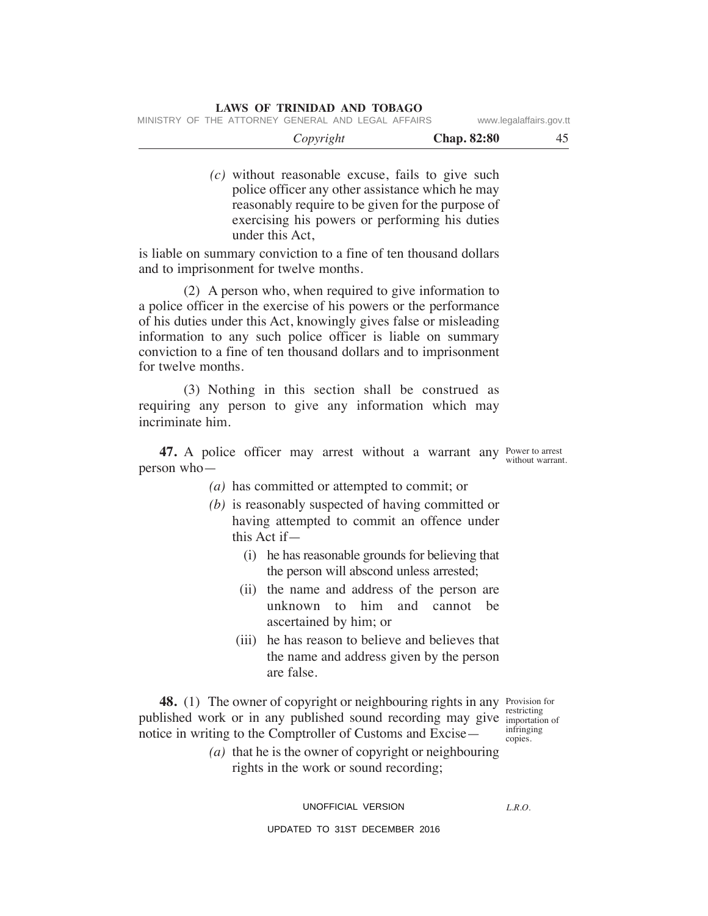*(c)* without reasonable excuse, fails to give such police officer any other assistance which he may reasonably require to be given for the purpose of exercising his powers or performing his duties under this Act,

is liable on summary conviction to a fine of ten thousand dollars and to imprisonment for twelve months.

 (2) A person who, when required to give information to a police officer in the exercise of his powers or the performance of his duties under this Act, knowingly gives false or misleading information to any such police officer is liable on summary conviction to a fine of ten thousand dollars and to imprisonment for twelve months.

 (3) Nothing in this section shall be construed as requiring any person to give any information which may incriminate him.

**47.** A police officer may arrest without a warrant any Power to arrest person who without warrant.

 *(a)* has committed or attempted to commit; or

- *(b)* is reasonably suspected of having committed or having attempted to commit an offence under this Act if—
	- (i) he has reasonable grounds for believing that the person will abscond unless arrested;
	- (ii) the name and address of the person are unknown to him and cannot be ascertained by him; or
	- (iii) he has reason to believe and believes that the name and address given by the person are false.

**48.** (1) The owner of copyright or neighbouring rights in any Provision for published work or in any published sound recording may give importation of notice in writing to the Comptroller of Customs and Excise—

restricting infringing copies.

 *(a)* that he is the owner of copyright or neighbouring rights in the work or sound recording;

UNOFFICIAL VERSION

*L.R.O.*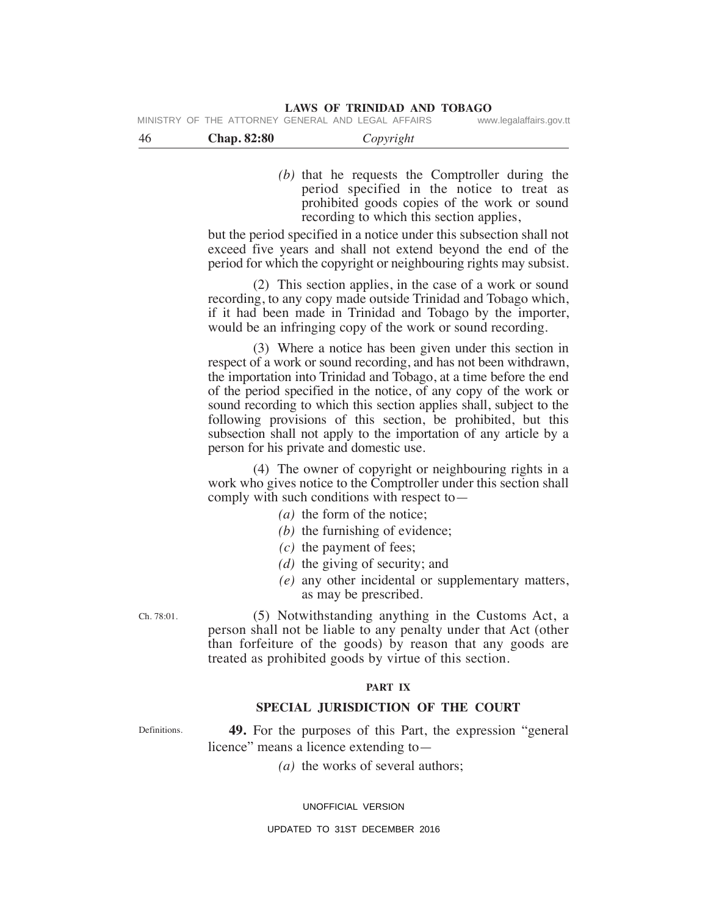**LAWS OF TRINIDAD AND TOBAGO**<br>GENERAL AND LEGAL AFFAIRS www.legalaffairs.gov.tt

MINISTRY OF THE ATTORNEY GENERAL AND LEGAL AFFAIRS

| -46 | <b>Chap. 82:80</b> | Copyright |  |
|-----|--------------------|-----------|--|
|     |                    |           |  |

 *(b)* that he requests the Comptroller during the period specified in the notice to treat as prohibited goods copies of the work or sound recording to which this section applies,

but the period specified in a notice under this subsection shall not exceed five years and shall not extend beyond the end of the period for which the copyright or neighbouring rights may subsist.

 (2) This section applies, in the case of a work or sound recording, to any copy made outside Trinidad and Tobago which, if it had been made in Trinidad and Tobago by the importer, would be an infringing copy of the work or sound recording.

 (3) Where a notice has been given under this section in respect of a work or sound recording, and has not been withdrawn, the importation into Trinidad and Tobago, at a time before the end of the period specified in the notice, of any copy of the work or sound recording to which this section applies shall, subject to the following provisions of this section, be prohibited, but this subsection shall not apply to the importation of any article by a person for his private and domestic use.

 (4) The owner of copyright or neighbouring rights in a work who gives notice to the Comptroller under this section shall comply with such conditions with respect to—

- *(a)* the form of the notice;
- *(b)* the furnishing of evidence;
- *(c)* the payment of fees;
- *(d)* the giving of security; and
- *(e)* any other incidental or supplementary matters, as may be prescribed.

Ch. 78:01.

 (5) Notwithstanding anything in the Customs Act, a person shall not be liable to any penalty under that Act (other than forfeiture of the goods) by reason that any goods are treated as prohibited goods by virtue of this section.

# **PART IX**

# **SPeCIAL JuRISDICTION OF THe COuRT**

**Definitions** 

 **49.** For the purposes of this Part, the expression "general licence" means a licence extending to—

*(a)* the works of several authors;

UNOFFICIAL VERSION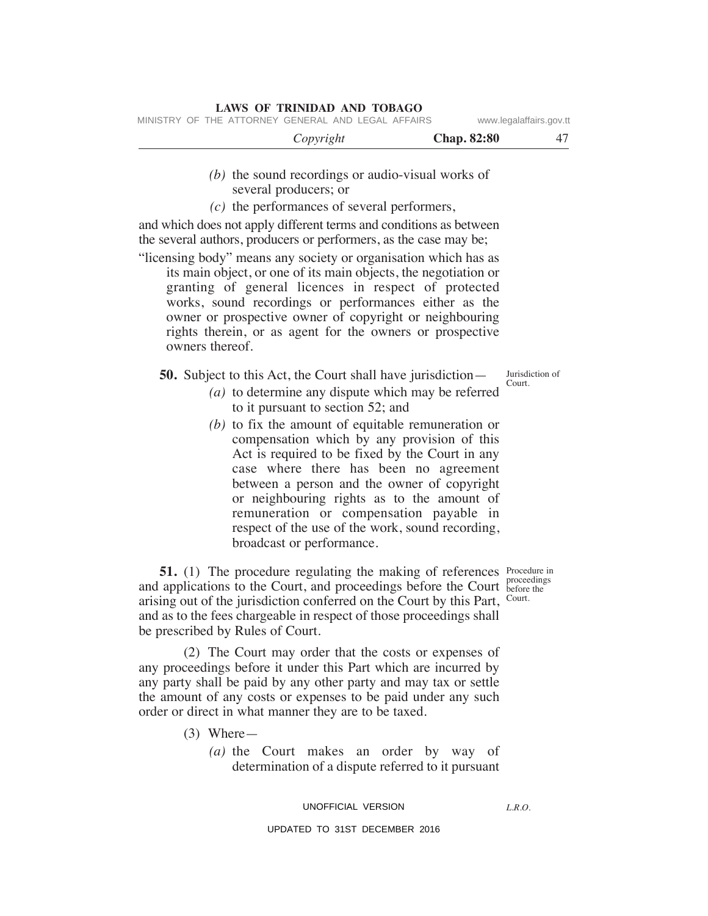- *(b)* the sound recordings or audio-visual works of several producers; or
- *(c)* the performances of several performers,

and which does not apply different terms and conditions as between the several authors, producers or performers, as the case may be;

"licensing body" means any society or organisation which has as its main object, or one of its main objects, the negotiation or granting of general licences in respect of protected works, sound recordings or performances either as the owner or prospective owner of copyright or neighbouring rights therein, or as agent for the owners or prospective owners thereof.

**50.** Subject to this Act, the Court shall have jurisdiction—

- *(a)* to determine any dispute which may be referred to it pursuant to section 52; and
- *(b)* to fix the amount of equitable remuneration or compensation which by any provision of this Act is required to be fixed by the Court in any case where there has been no agreement between a person and the owner of copyright or neighbouring rights as to the amount of remuneration or compensation payable in respect of the use of the work, sound recording, broadcast or performance.

**51.** (1) The procedure regulating the making of references Procedure in and applications to the Court, and proceedings before the Court before the arising out of the jurisdiction conferred on the Court by this Part, Court. and as to the fees chargeable in respect of those proceedings shall be prescribed by Rules of Court.

 (2) The Court may order that the costs or expenses of any proceedings before it under this Part which are incurred by any party shall be paid by any other party and may tax or settle the amount of any costs or expenses to be paid under any such order or direct in what manner they are to be taxed.

- (3) Where—
	- *(a)* the Court makes an order by way of determination of a dispute referred to it pursuant

# UNOFFICIAL VERSION

#### UPDATED TO 31ST DECEMBER 2016

before the

*L.R.O.* 

Jurisdiction of Court.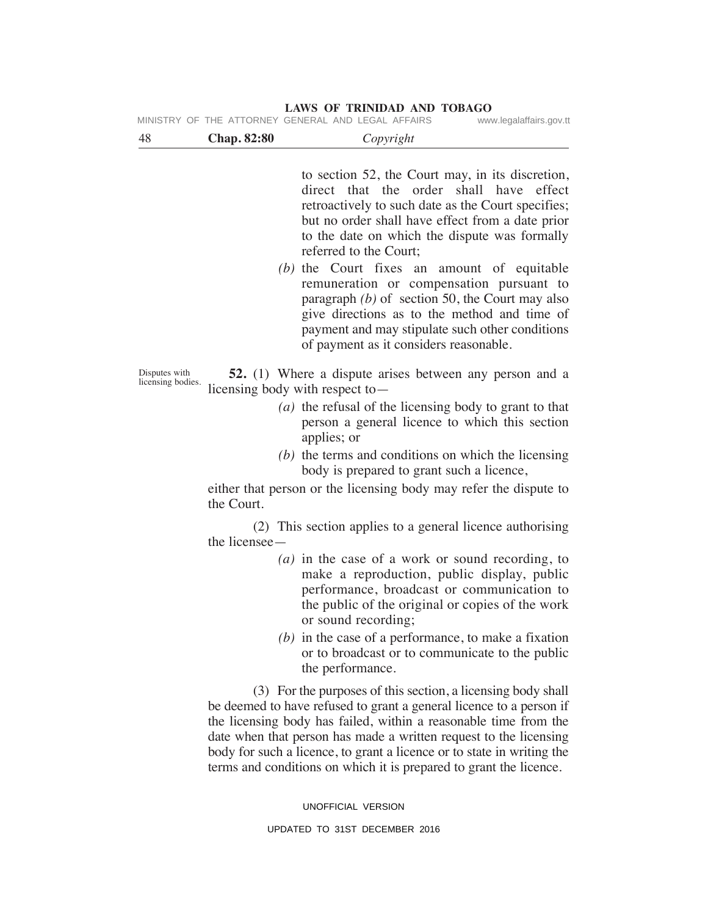|                                    |                    | MINISTRY OF THE ATTORNEY GENERAL AND LEGAL AFFAIRS<br>www.legalaffairs.gov.tt                                                                                                                                                                                                                                                                                                                                                                                                                                                                                                |
|------------------------------------|--------------------|------------------------------------------------------------------------------------------------------------------------------------------------------------------------------------------------------------------------------------------------------------------------------------------------------------------------------------------------------------------------------------------------------------------------------------------------------------------------------------------------------------------------------------------------------------------------------|
| 48                                 | <b>Chap. 82:80</b> | Copyright                                                                                                                                                                                                                                                                                                                                                                                                                                                                                                                                                                    |
|                                    |                    | to section 52, the Court may, in its discretion,<br>direct that the order shall have effect<br>retroactively to such date as the Court specifies;<br>but no order shall have effect from a date prior<br>to the date on which the dispute was formally<br>referred to the Court;<br>(b) the Court fixes an amount of equitable<br>remuneration or compensation pursuant to<br>paragraph $(b)$ of section 50, the Court may also<br>give directions as to the method and time of<br>payment and may stipulate such other conditions<br>of payment as it considers reasonable. |
| Disputes with<br>licensing bodies. |                    | <b>52.</b> (1) Where a dispute arises between any person and a<br>licensing body with respect to $-$                                                                                                                                                                                                                                                                                                                                                                                                                                                                         |
|                                    |                    | ( <i>a</i> ) the refusal of the licensing body to grant to that<br>person a general licence to which this section<br>applies; or                                                                                                                                                                                                                                                                                                                                                                                                                                             |
|                                    |                    | $(b)$ the terms and conditions on which the licensing<br>body is prepared to grant such a licence,                                                                                                                                                                                                                                                                                                                                                                                                                                                                           |
|                                    | the Court.         | either that person or the licensing body may refer the dispute to                                                                                                                                                                                                                                                                                                                                                                                                                                                                                                            |
|                                    | the licensee -     | (2) This section applies to a general licence authorising                                                                                                                                                                                                                                                                                                                                                                                                                                                                                                                    |
|                                    |                    | ( <i>a</i> ) in the case of a work or sound recording, to<br>make a reproduction, public display, public<br>performance, broadcast or communication to<br>the public of the original or copies of the work<br>or sound recording;                                                                                                                                                                                                                                                                                                                                            |
|                                    |                    | $(b)$ in the case of a performance, to make a fixation<br>or to broadcast or to communicate to the public<br>the performance.                                                                                                                                                                                                                                                                                                                                                                                                                                                |
|                                    |                    | (3) For the purposes of this section, a licensing body shall<br>be deemed to have refused to grant a general licence to a person if<br>the licensing body has failed, within a reasonable time from the<br>date when that person has made a written request to the licensing<br>body for such a licence, to grant a licence or to state in writing the<br>terms and conditions on which it is prepared to grant the licence.                                                                                                                                                 |
|                                    |                    | UNOFFICIAL VERSION                                                                                                                                                                                                                                                                                                                                                                                                                                                                                                                                                           |
|                                    |                    | UPDATED TO 31ST DECEMBER 2016                                                                                                                                                                                                                                                                                                                                                                                                                                                                                                                                                |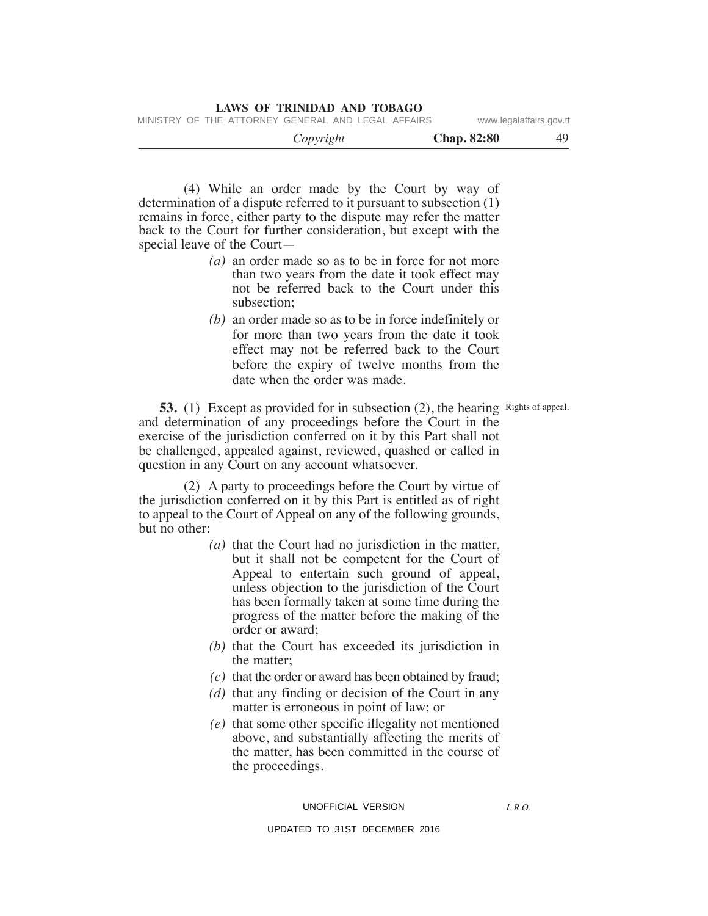MINISTRY OF THE ATTORNEY GENERAL AND LEGAL AFFAIRS www.legalaffairs.gov.tt

| Copyright | <b>Chap. 82:80</b> | лι |
|-----------|--------------------|----|
|           |                    |    |

 (4) While an order made by the Court by way of determination of a dispute referred to it pursuant to subsection (1) remains in force, either party to the dispute may refer the matter back to the Court for further consideration, but except with the special leave of the Court—

- *(a)* an order made so as to be in force for not more than two years from the date it took effect may not be referred back to the Court under this subsection;
- *(b)* an order made so as to be in force indefinitely or for more than two years from the date it took effect may not be referred back to the Court before the expiry of twelve months from the date when the order was made.

**53.** (1) Except as provided for in subsection (2), the hearing Rights of appeal. and determination of any proceedings before the Court in the exercise of the jurisdiction conferred on it by this Part shall not be challenged, appealed against, reviewed, quashed or called in question in any Court on any account whatsoever.

 (2) A party to proceedings before the Court by virtue of the jurisdiction conferred on it by this Part is entitled as of right to appeal to the Court of Appeal on any of the following grounds, but no other:

- *(a)* that the Court had no jurisdiction in the matter, but it shall not be competent for the Court of Appeal to entertain such ground of appeal, unless objection to the jurisdiction of the Court has been formally taken at some time during the progress of the matter before the making of the order or award;
- *(b)* that the Court has exceeded its jurisdiction in the matter;
- *(c)* that the order or award has been obtained by fraud;
- *(d)* that any finding or decision of the Court in any matter is erroneous in point of law; or
- *(e)* that some other specific illegality not mentioned above, and substantially affecting the merits of the matter, has been committed in the course of the proceedings.

UNOFFICIAL VERSION

*L.R.O.*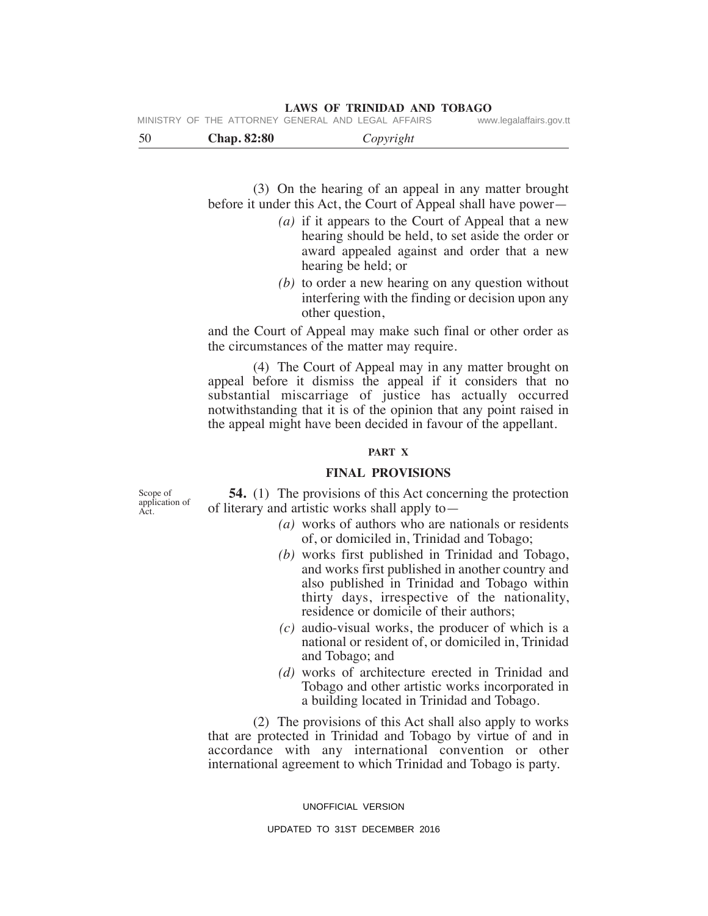|  | MINISTRY OF THE ATTORNEY GENERAL AND LEGAL AFFAIRS |  |  | www.legalaffairs.gov.tt |  |
|--|----------------------------------------------------|--|--|-------------------------|--|
|  |                                                    |  |  |                         |  |

50 **Chap. 82:80** *Copyright*

 (3) On the hearing of an appeal in any matter brought before it under this Act, the Court of Appeal shall have power—

- *(a)* if it appears to the Court of Appeal that a new hearing should be held, to set aside the order or award appealed against and order that a new hearing be held; or
- *(b)* to order a new hearing on any question without interfering with the finding or decision upon any other question,

and the Court of Appeal may make such final or other order as the circumstances of the matter may require.

 (4) The Court of Appeal may in any matter brought on appeal before it dismiss the appeal if it considers that no substantial miscarriage of justice has actually occurred notwithstanding that it is of the opinion that any point raised in the appeal might have been decided in favour of the appellant.

# **PART X**

# **FINAL PROVISIONS**

Scope of application of Act.

 **54.** (1) The provisions of this Act concerning the protection of literary and artistic works shall apply to—

- *(a)* works of authors who are nationals or residents of, or domiciled in, Trinidad and Tobago;
- *(b)* works first published in Trinidad and Tobago, and works first published in another country and also published in Trinidad and Tobago within thirty days, irrespective of the nationality, residence or domicile of their authors;
- *(c)* audio-visual works, the producer of which is a national or resident of, or domiciled in, Trinidad and Tobago; and
- *(d)* works of architecture erected in Trinidad and Tobago and other artistic works incorporated in a building located in Trinidad and Tobago.

 (2) The provisions of this Act shall also apply to works that are protected in Trinidad and Tobago by virtue of and in accordance with any international convention or other international agreement to which Trinidad and Tobago is party.

UNOFFICIAL VERSION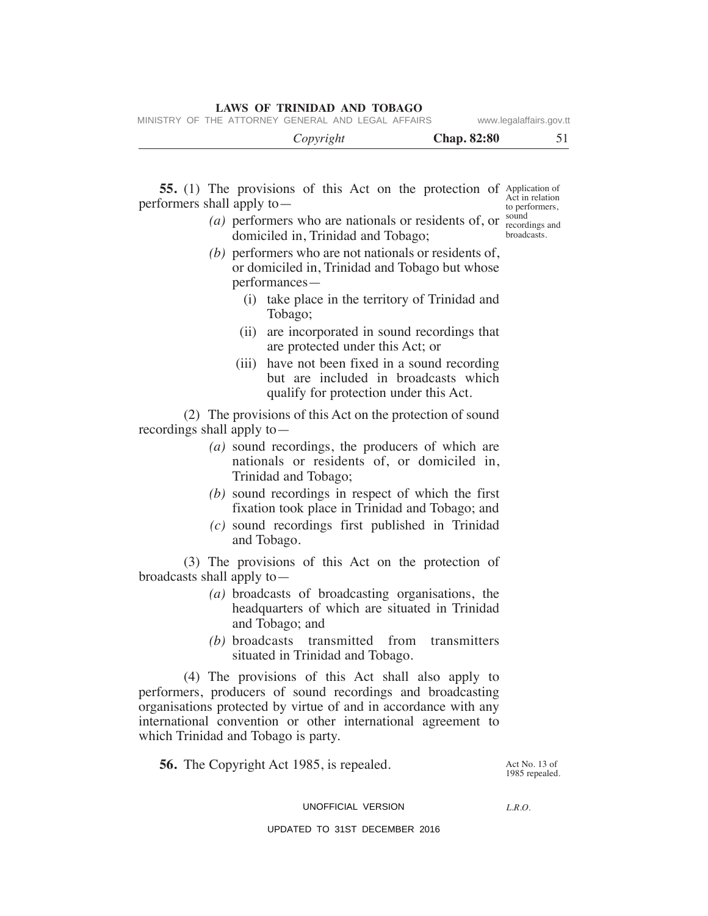MINISTRY OF THE ATTORNEY GENERAL AND LEGAL AFFAIRS www.legalaffairs.gov.tt

 *Copyright* **Chap. 82:80** 51

**55.** (1) The provisions of this Act on the protection of Application of performers shall apply to— Act in relation to performers,

(*a*) performers who are nationals or residents of, or  $\frac{\text{sound}}{\text{recor}}$ domiciled in, Trinidad and Tobago; recordings and broadcasts.

- *(b)* performers who are not nationals or residents of, or domiciled in, Trinidad and Tobago but whose performances—
	- (i) take place in the territory of Trinidad and Tobago;
	- (ii) are incorporated in sound recordings that are protected under this Act; or
	- (iii) have not been fixed in a sound recording but are included in broadcasts which qualify for protection under this Act.

 (2) The provisions of this Act on the protection of sound recordings shall apply to—

- *(a)* sound recordings, the producers of which are nationals or residents of, or domiciled in, Trinidad and Tobago;
- *(b)* sound recordings in respect of which the first fixation took place in Trinidad and Tobago; and
- *(c)* sound recordings first published in Trinidad and Tobago.

 (3) The provisions of this Act on the protection of broadcasts shall apply to—

- *(a)* broadcasts of broadcasting organisations, the headquarters of which are situated in Trinidad and Tobago; and
- *(b)* broadcasts transmitted from transmitters situated in Trinidad and Tobago.

 (4) The provisions of this Act shall also apply to performers, producers of sound recordings and broadcasting organisations protected by virtue of and in accordance with any international convention or other international agreement to which Trinidad and Tobago is party.

 **56.** The Copyright Act 1985, is repealed.

Act No. 13 of 1985 repealed.

#### UNOFFICIAL VERSION

*L.R.O.*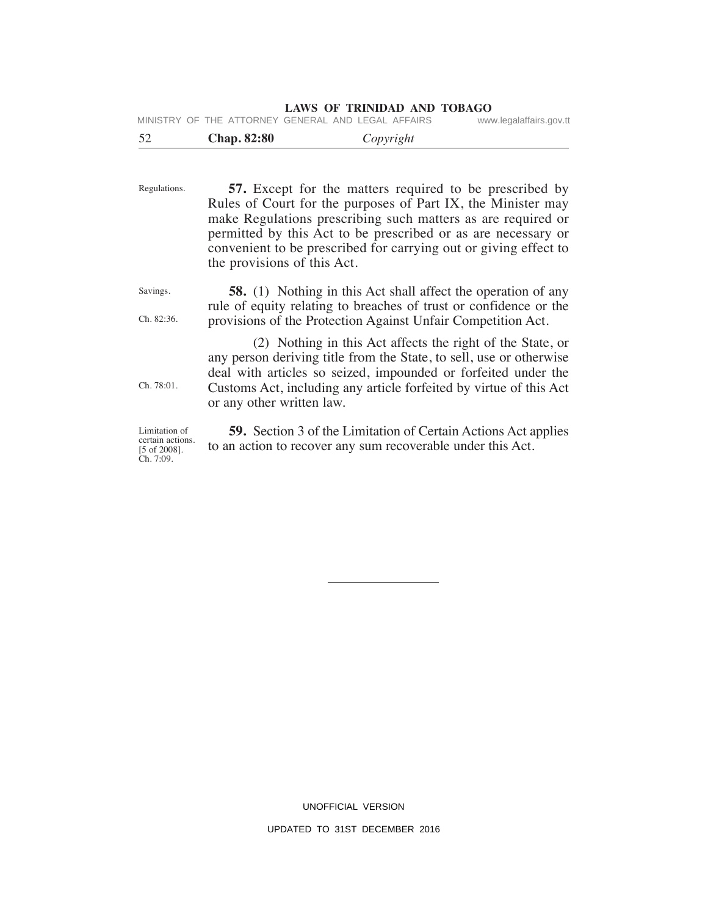|  | MINISTRY OF THE ATTORNEY GENERAL AND LEGAL AFFAIRS |  |  | www.legalaffairs.gov.tt |  |
|--|----------------------------------------------------|--|--|-------------------------|--|
|  |                                                    |  |  |                         |  |

| 52 | <b>Chap. 82:80</b> | Copyright |
|----|--------------------|-----------|
|    |                    |           |

| Regulations.                                                  | 57. Except for the matters required to be prescribed by<br>Rules of Court for the purposes of Part IX, the Minister may<br>make Regulations prescribing such matters as are required or<br>permitted by this Act to be prescribed or as are necessary or<br>convenient to be prescribed for carrying out or giving effect to<br>the provisions of this Act. |
|---------------------------------------------------------------|-------------------------------------------------------------------------------------------------------------------------------------------------------------------------------------------------------------------------------------------------------------------------------------------------------------------------------------------------------------|
| Savings.<br>Ch. 82:36.                                        | <b>58.</b> (1) Nothing in this Act shall affect the operation of any<br>rule of equity relating to breaches of trust or confidence or the<br>provisions of the Protection Against Unfair Competition Act.                                                                                                                                                   |
| Ch. 78:01.                                                    | (2) Nothing in this Act affects the right of the State, or<br>any person deriving title from the State, to sell, use or otherwise<br>deal with articles so seized, impounded or forfeited under the<br>Customs Act, including any article forfeited by virtue of this Act<br>or any other written law.                                                      |
| Limitation of<br>certain actions.<br>$[5 \text{ of } 2008]$ . | <b>59.</b> Section 3 of the Limitation of Certain Actions Act applies<br>to an action to recover any sum recoverable under this Act.                                                                                                                                                                                                                        |

certain actions. [5 of 2008]. Ch. 7:09.

UNOFFICIAL VERSION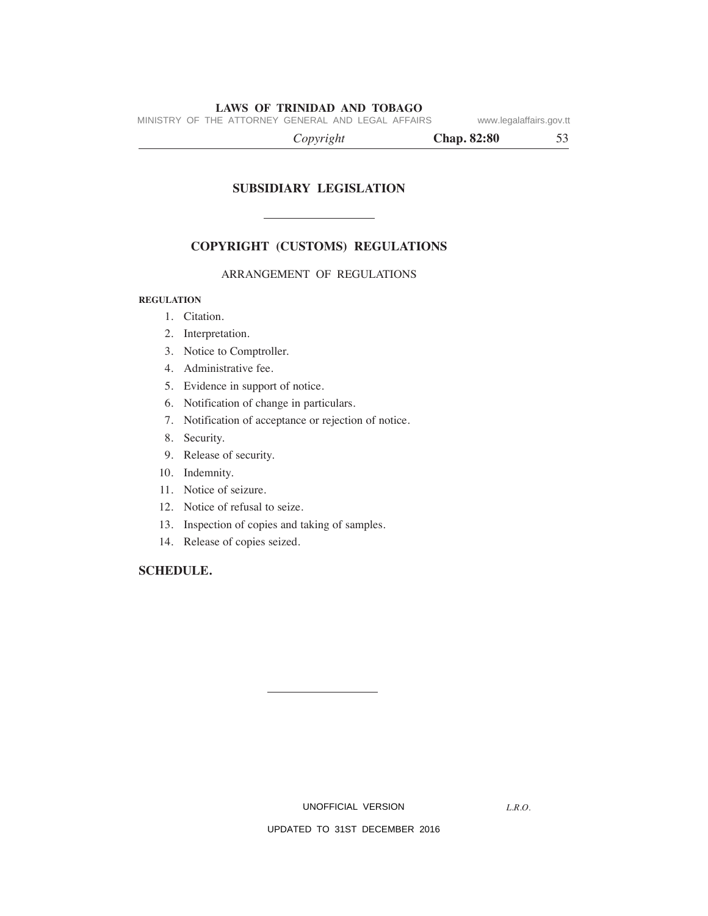MINISTRY OF THE ATTORNEY GENERAL AND LEGAL AFFAIRS www.legalaffairs.gov.tt

| Copyright | <b>Chap. 82:80</b> |  |
|-----------|--------------------|--|
|           |                    |  |

# **SuBSIDIARY LeGISLATION**

# **COPYRIGHT (CuSTOmS) ReGuLATIONS**

# ARRANGEMENT OF REGULATIONS

# **ReGuLATION**

- 1. Citation.
- 2. Interpretation.
- 3. Notice to Comptroller.
- 4. Administrative fee.
- 5. Evidence in support of notice.
- 6. Notification of change in particulars.
- 7. Notification of acceptance or rejection of notice.
- 8. Security.
- 9. Release of security.
- 10. Indemnity.
- 11. Notice of seizure.
- 12. Notice of refusal to seize.
- 13. Inspection of copies and taking of samples.
- 14. Release of copies seized.

# **SCHeDuLe.**

UNOFFICIAL VERSION

*L.R.O.*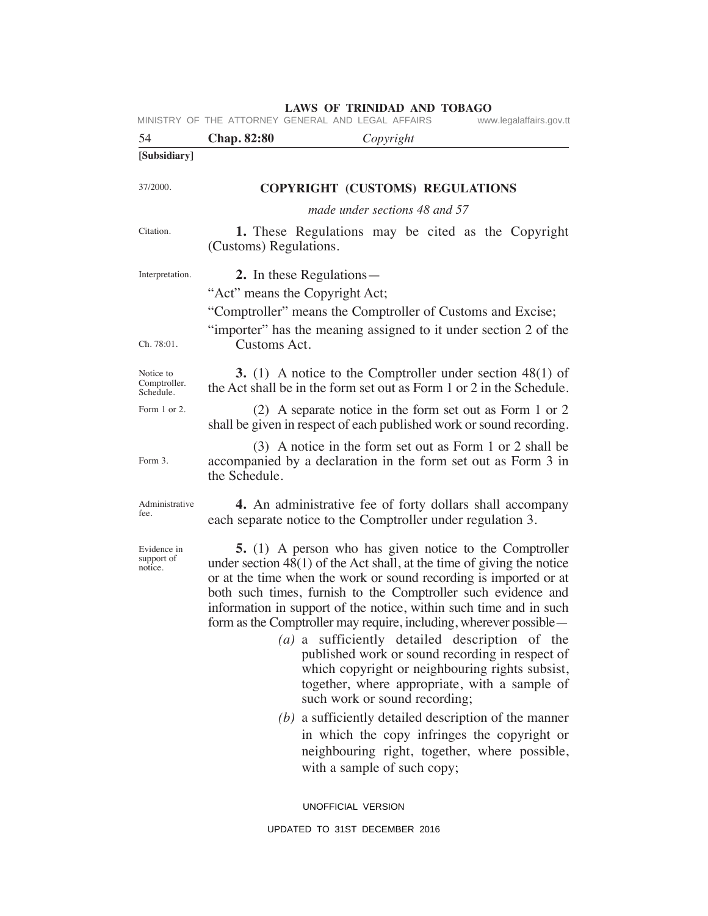| 54                                     | Chap. 82:80<br>Copyright                                                                                                                                                                                                                                                                                                                                                                                                                                                                                                                                                                                                                                                                                                                                                                                                              |
|----------------------------------------|---------------------------------------------------------------------------------------------------------------------------------------------------------------------------------------------------------------------------------------------------------------------------------------------------------------------------------------------------------------------------------------------------------------------------------------------------------------------------------------------------------------------------------------------------------------------------------------------------------------------------------------------------------------------------------------------------------------------------------------------------------------------------------------------------------------------------------------|
| [Subsidiary]                           |                                                                                                                                                                                                                                                                                                                                                                                                                                                                                                                                                                                                                                                                                                                                                                                                                                       |
|                                        |                                                                                                                                                                                                                                                                                                                                                                                                                                                                                                                                                                                                                                                                                                                                                                                                                                       |
| 37/2000.                               | <b>COPYRIGHT (CUSTOMS) REGULATIONS</b>                                                                                                                                                                                                                                                                                                                                                                                                                                                                                                                                                                                                                                                                                                                                                                                                |
|                                        | made under sections 48 and 57                                                                                                                                                                                                                                                                                                                                                                                                                                                                                                                                                                                                                                                                                                                                                                                                         |
| Citation.                              | <b>1.</b> These Regulations may be cited as the Copyright<br>(Customs) Regulations.                                                                                                                                                                                                                                                                                                                                                                                                                                                                                                                                                                                                                                                                                                                                                   |
| Interpretation.<br>Ch. 78:01.          | 2. In these Regulations—<br>"Act" means the Copyright Act;<br>"Comptroller" means the Comptroller of Customs and Excise;<br>"importer" has the meaning assigned to it under section 2 of the<br>Customs Act.                                                                                                                                                                                                                                                                                                                                                                                                                                                                                                                                                                                                                          |
| Notice to<br>Comptroller.<br>Schedule. | <b>3.</b> (1) A notice to the Comptroller under section $48(1)$ of<br>the Act shall be in the form set out as Form 1 or 2 in the Schedule.                                                                                                                                                                                                                                                                                                                                                                                                                                                                                                                                                                                                                                                                                            |
| Form 1 or 2.                           | (2) A separate notice in the form set out as Form 1 or 2<br>shall be given in respect of each published work or sound recording.                                                                                                                                                                                                                                                                                                                                                                                                                                                                                                                                                                                                                                                                                                      |
| Form 3.                                | (3) A notice in the form set out as Form 1 or 2 shall be<br>accompanied by a declaration in the form set out as Form 3 in<br>the Schedule.                                                                                                                                                                                                                                                                                                                                                                                                                                                                                                                                                                                                                                                                                            |
| Administrative<br>fee.                 | 4. An administrative fee of forty dollars shall accompany<br>each separate notice to the Comptroller under regulation 3.                                                                                                                                                                                                                                                                                                                                                                                                                                                                                                                                                                                                                                                                                                              |
| Evidence in<br>support of<br>notice.   | <b>5.</b> (1) A person who has given notice to the Comptroller<br>under section $48(1)$ of the Act shall, at the time of giving the notice<br>or at the time when the work or sound recording is imported or at<br>both such times, furnish to the Comptroller such evidence and<br>information in support of the notice, within such time and in such<br>form as the Comptroller may require, including, wherever possible —<br>$(a)$ a sufficiently detailed description of the<br>published work or sound recording in respect of<br>which copyright or neighbouring rights subsist,<br>together, where appropriate, with a sample of<br>such work or sound recording;<br>$(b)$ a sufficiently detailed description of the manner<br>in which the copy infringes the copyright or<br>neighbouring right, together, where possible, |
|                                        | with a sample of such copy;                                                                                                                                                                                                                                                                                                                                                                                                                                                                                                                                                                                                                                                                                                                                                                                                           |
|                                        | UNOFFICIAL VERSION                                                                                                                                                                                                                                                                                                                                                                                                                                                                                                                                                                                                                                                                                                                                                                                                                    |
|                                        | UPDATED TO 31ST DECEMBER 2016                                                                                                                                                                                                                                                                                                                                                                                                                                                                                                                                                                                                                                                                                                                                                                                                         |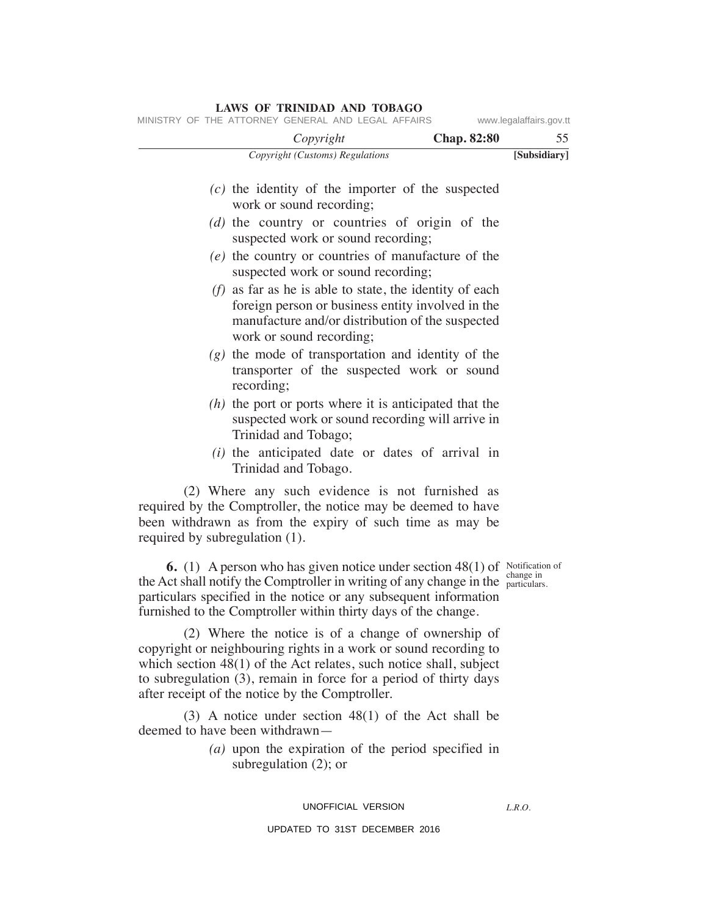# *Copyright (Customs) Regulations* **[Subsidiary]**  *Copyright* **Chap. 82:80** 55  *(c)* the identity of the importer of the suspected work or sound recording;  *(d)* the country or countries of origin of the suspected work or sound recording;  *(e)* the country or countries of manufacture of the suspected work or sound recording;  *(f)* as far as he is able to state, the identity of each foreign person or business entity involved in the manufacture and/or distribution of the suspected work or sound recording;  *(g)* the mode of transportation and identity of the transporter of the suspected work or sound recording;  *(h)* the port or ports where it is anticipated that the suspected work or sound recording will arrive in Trinidad and Tobago;  *(i)* the anticipated date or dates of arrival in Trinidad and Tobago. (2) Where any such evidence is not furnished as required by the Comptroller, the notice may be deemed to have been withdrawn as from the expiry of such time as may be required by subregulation (1). **6.** (1) A person who has given notice under section 48(1) of Notification of the Act shall notify the Comptroller in writing of any change in the  $\frac{L_{\text{range}}}{\text{particulars}}}$ . particulars specified in the notice or any subsequent information furnished to the Comptroller within thirty days of the change. change in MINISTRY OF THE ATTORNEY GENERAL AND LEGAL AFFAIRS www.legalaffairs.gov.tt

 (2) Where the notice is of a change of ownership of copyright or neighbouring rights in a work or sound recording to which section 48(1) of the Act relates, such notice shall, subject to subregulation (3), remain in force for a period of thirty days after receipt of the notice by the Comptroller.

 (3) A notice under section 48(1) of the Act shall be deemed to have been withdrawn—

> *(a)* upon the expiration of the period specified in subregulation (2); or

#### UNOFFICIAL VERSION

#### UPDATED TO 31ST DECEMBER 2016

# **LAWS OF TRINIDAD AND TOBAGO**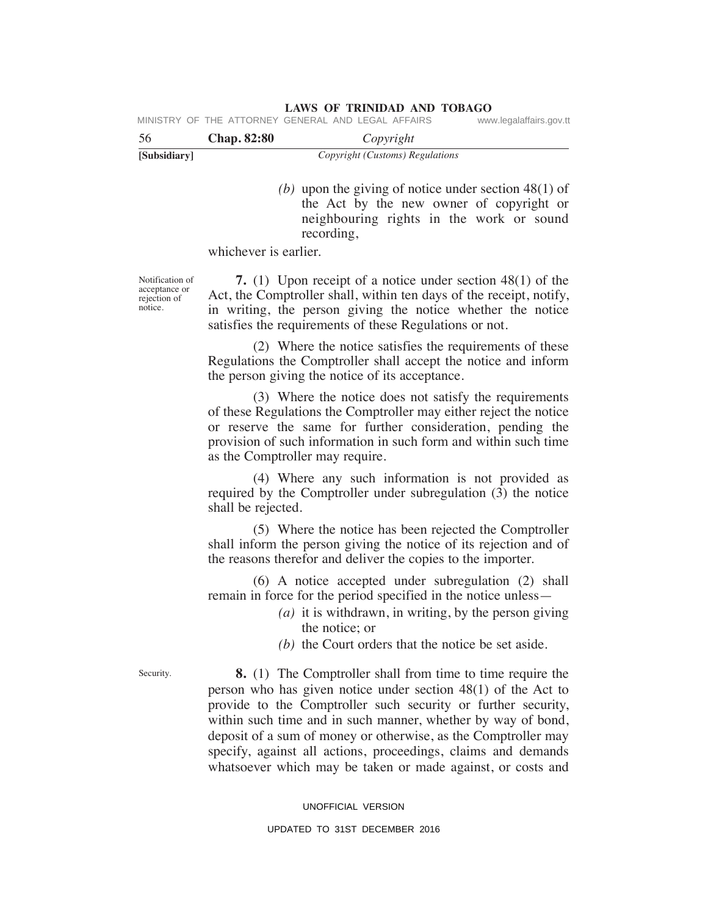|     |                | MINISTRY OF THE ATTORNEY GENERAL AND LEGAL AFFAIRS | www.legalaffairs.gov.tt |
|-----|----------------|----------------------------------------------------|-------------------------|
| -56 | $Chon$ $82.80$ | Convariant                                         |                         |

| 56           | <b>Chap. 82:80</b> | Copyright                       |  |
|--------------|--------------------|---------------------------------|--|
| [Subsidiary] |                    | Copyright (Customs) Regulations |  |

 *(b)* upon the giving of notice under section 48(1) of the Act by the new owner of copyright or neighbouring rights in the work or sound recording,

whichever is earlier.

Notification of acceptance or rejection of notice.

 **7.** (1) Upon receipt of a notice under section 48(1) of the Act, the Comptroller shall, within ten days of the receipt, notify, in writing, the person giving the notice whether the notice satisfies the requirements of these Regulations or not.

 (2) Where the notice satisfies the requirements of these Regulations the Comptroller shall accept the notice and inform the person giving the notice of its acceptance.

 (3) Where the notice does not satisfy the requirements of these Regulations the Comptroller may either reject the notice or reserve the same for further consideration, pending the provision of such information in such form and within such time as the Comptroller may require.

 (4) Where any such information is not provided as required by the Comptroller under subregulation (3) the notice shall be rejected.

 (5) Where the notice has been rejected the Comptroller shall inform the person giving the notice of its rejection and of the reasons therefor and deliver the copies to the importer.

 (6) A notice accepted under subregulation (2) shall remain in force for the period specified in the notice unless—

- *(a)* it is withdrawn, in writing, by the person giving the notice; or
- *(b)* the Court orders that the notice be set aside.

 **8.** (1) The Comptroller shall from time to time require the person who has given notice under section 48(1) of the Act to provide to the Comptroller such security or further security, within such time and in such manner, whether by way of bond, deposit of a sum of money or otherwise, as the Comptroller may specify, against all actions, proceedings, claims and demands whatsoever which may be taken or made against, or costs and

# UNOFFICIAL VERSION

#### UPDATED TO 31ST DECEMBER 2016

Security.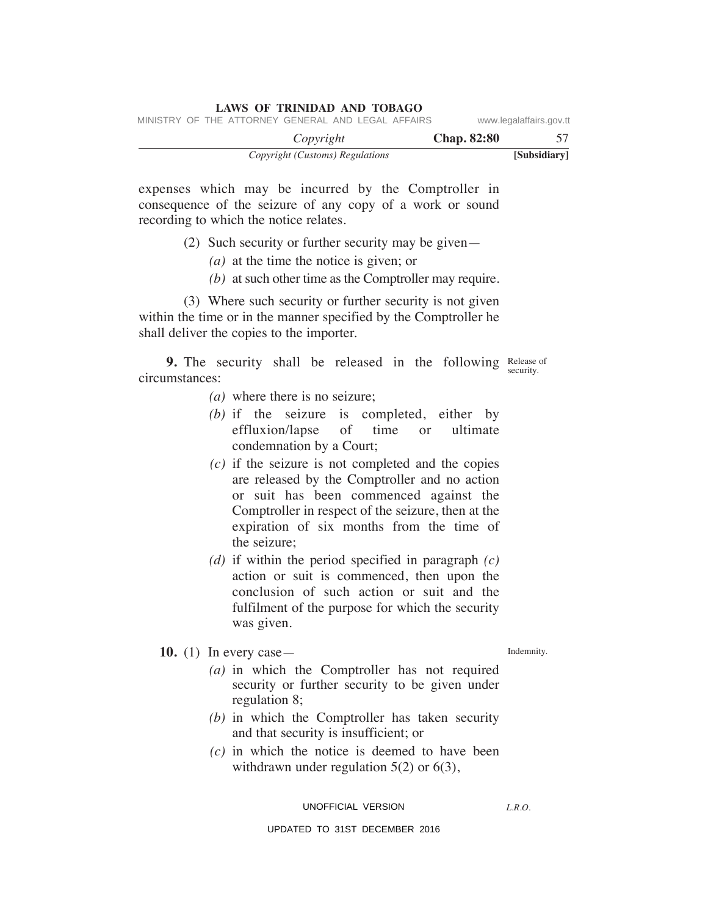| Copyright (Customs) Regulations                    | [Subsidiary]            |
|----------------------------------------------------|-------------------------|
| Copyright                                          | <b>Chap.</b> 82:80      |
| MINISTRY OF THE ATTORNEY GENERAL AND LEGAL AFFAIRS | www.legalaffairs.gov.tt |

expenses which may be incurred by the Comptroller in consequence of the seizure of any copy of a work or sound recording to which the notice relates.

- (2) Such security or further security may be given—
	- *(a)* at the time the notice is given; or
	- *(b)* at such other time as the Comptroller may require.

 (3) Where such security or further security is not given within the time or in the manner specified by the Comptroller he shall deliver the copies to the importer.

**9.** The security shall be released in the following Release of circumstances: security.

- *(a)* where there is no seizure;
- *(b)* if the seizure is completed, either by effluxion/lapse of time or ultimate condemnation by a Court;
- *(c)* if the seizure is not completed and the copies are released by the Comptroller and no action or suit has been commenced against the Comptroller in respect of the seizure, then at the expiration of six months from the time of the seizure;
- *(d)* if within the period specified in paragraph *(c)* action or suit is commenced, then upon the conclusion of such action or suit and the fulfilment of the purpose for which the security was given.

# **10.** (1) In every case—

Indemnity.

- *(a)* in which the Comptroller has not required security or further security to be given under regulation 8;
- *(b)* in which the Comptroller has taken security and that security is insufficient; or
- *(c)* in which the notice is deemed to have been withdrawn under regulation 5(2) or 6(3),

UNOFFICIAL VERSION

*L.R.O.*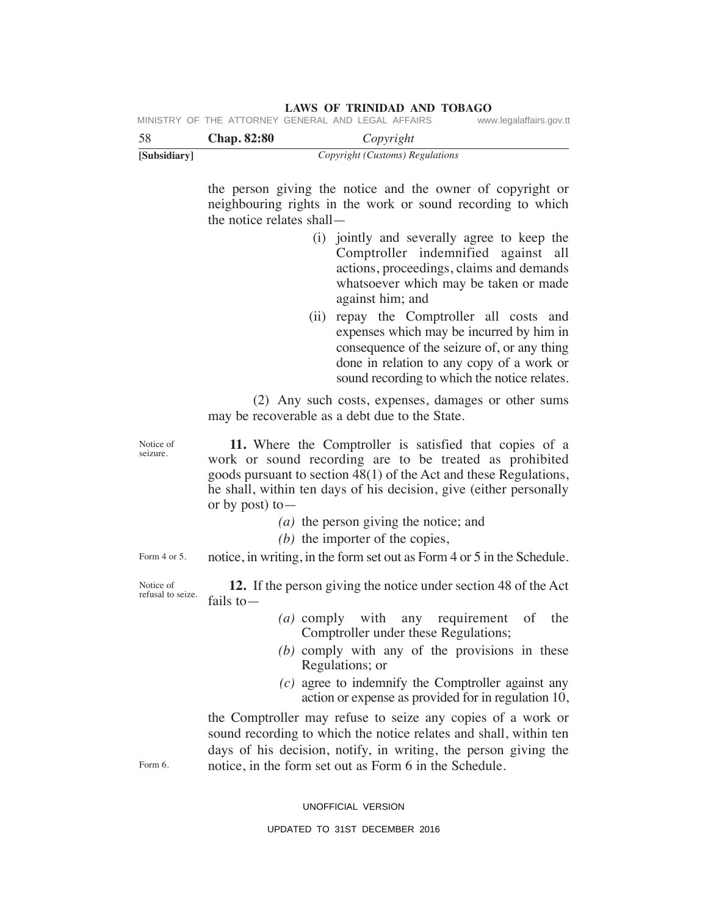| [Subsidiary]                   | Copyright (Customs) Regulations                                                                                                                                                                                                                                                     |
|--------------------------------|-------------------------------------------------------------------------------------------------------------------------------------------------------------------------------------------------------------------------------------------------------------------------------------|
|                                | the person giving the notice and the owner of copyright or<br>neighbouring rights in the work or sound recording to which<br>the notice relates shall —                                                                                                                             |
|                                | (i) jointly and severally agree to keep the<br>Comptroller indemnified against all<br>actions, proceedings, claims and demands<br>whatsoever which may be taken or made<br>against him; and                                                                                         |
|                                | (ii) repay the Comptroller all costs and<br>expenses which may be incurred by him in<br>consequence of the seizure of, or any thing<br>done in relation to any copy of a work or<br>sound recording to which the notice relates.                                                    |
|                                | (2) Any such costs, expenses, damages or other sums<br>may be recoverable as a debt due to the State.                                                                                                                                                                               |
| Notice of<br>seizure.          | 11. Where the Comptroller is satisfied that copies of a<br>work or sound recording are to be treated as prohibited<br>goods pursuant to section 48(1) of the Act and these Regulations,<br>he shall, within ten days of his decision, give (either personally<br>or by post) to $-$ |
|                                | $(a)$ the person giving the notice; and<br>$(b)$ the importer of the copies,                                                                                                                                                                                                        |
| Form 4 or 5.                   | notice, in writing, in the form set out as Form 4 or 5 in the Schedule.                                                                                                                                                                                                             |
| Notice of<br>refusal to seize. | 12. If the person giving the notice under section 48 of the Act<br>fails to $-$                                                                                                                                                                                                     |
|                                | (a) comply with any requirement<br>of<br>the<br>Comptroller under these Regulations;                                                                                                                                                                                                |
|                                | $(b)$ comply with any of the provisions in these<br>Regulations; or                                                                                                                                                                                                                 |
|                                | $(c)$ agree to indemnify the Comptroller against any<br>action or expense as provided for in regulation 10,                                                                                                                                                                         |
| Form 6.                        | the Comptroller may refuse to seize any copies of a work or<br>sound recording to which the notice relates and shall, within ten<br>days of his decision, notify, in writing, the person giving the<br>notice, in the form set out as Form 6 in the Schedule.                       |
|                                | UNOFFICIAL VERSION                                                                                                                                                                                                                                                                  |

# **LAWS OF TRINIDAD AND TOBAGO**<br>GENERAL AND LEGAL AFFAIRS www.legalaffairs.gov.tt MINISTRY OF THE ATTORNEY GENERAL AND LEGAL AFFAIRS

58 **Chap. 82:80** *Copyright*

- 
- 
-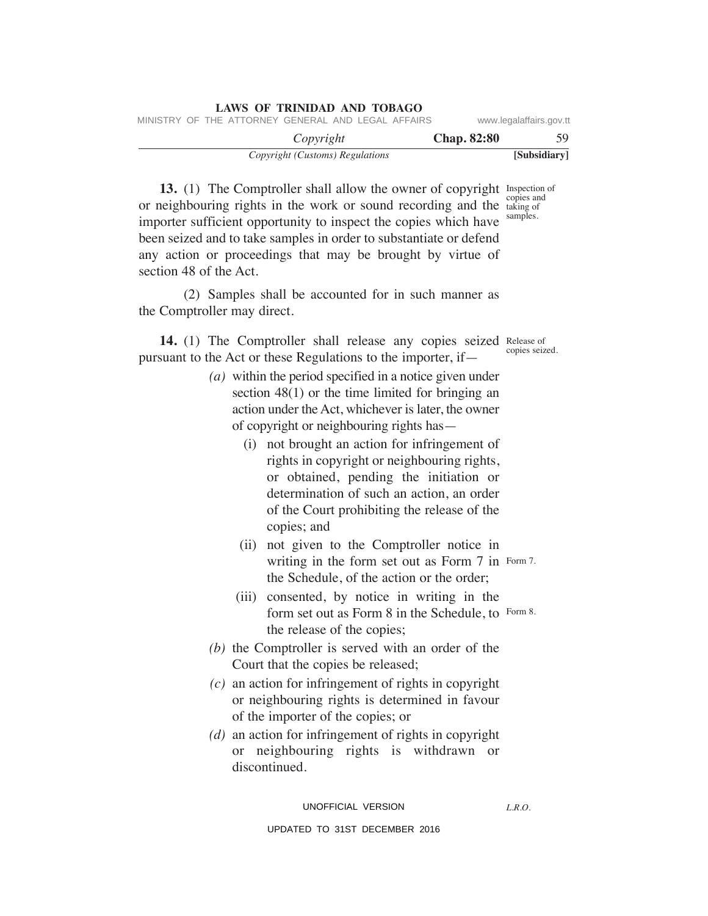| <b>LAWS OF TRINIDAD AND TOBAGO</b> |                    |                                 |                                                    |  |  |
|------------------------------------|--------------------|---------------------------------|----------------------------------------------------|--|--|
| www.legalaffairs.gov.tt            |                    |                                 | MINISTRY OF THE ATTORNEY GENERAL AND LEGAL AFFAIRS |  |  |
| 59.                                | <b>Chap.</b> 82:80 | Copyright                       |                                                    |  |  |
| [Subsidiary]                       |                    | Copyright (Customs) Regulations |                                                    |  |  |

**13.** (1) The Comptroller shall allow the owner of copyright Inspection of or neighbouring rights in the work or sound recording and the taking of importer sufficient opportunity to inspect the copies which have been seized and to take samples in order to substantiate or defend any action or proceedings that may be brought by virtue of section 48 of the Act. taking of samples.

 (2) Samples shall be accounted for in such manner as the Comptroller may direct.

14. (1) The Comptroller shall release any copies seized Release of pursuant to the Act or these Regulations to the importer, if—

- *(a)* within the period specified in a notice given under section 48(1) or the time limited for bringing an action under the Act, whichever is later, the owner of copyright or neighbouring rights has—
	- (i) not brought an action for infringement of rights in copyright or neighbouring rights, or obtained, pending the initiation or determination of such an action, an order of the Court prohibiting the release of the copies; and
	- (ii) not given to the Comptroller notice in writing in the form set out as Form 7 in Form 7. the Schedule, of the action or the order;
	- (iii) consented, by notice in writing in the form set out as Form 8 in the Schedule, to Form 8. the release of the copies;
- *(b)* the Comptroller is served with an order of the Court that the copies be released;
- *(c)* an action for infringement of rights in copyright or neighbouring rights is determined in favour of the importer of the copies; or
- *(d)* an action for infringement of rights in copyright or neighbouring rights is withdrawn or discontinued.

UNOFFICIAL VERSION

*L.R.O.* 

UPDATED TO 31ST DECEMBER 2016

copies seized.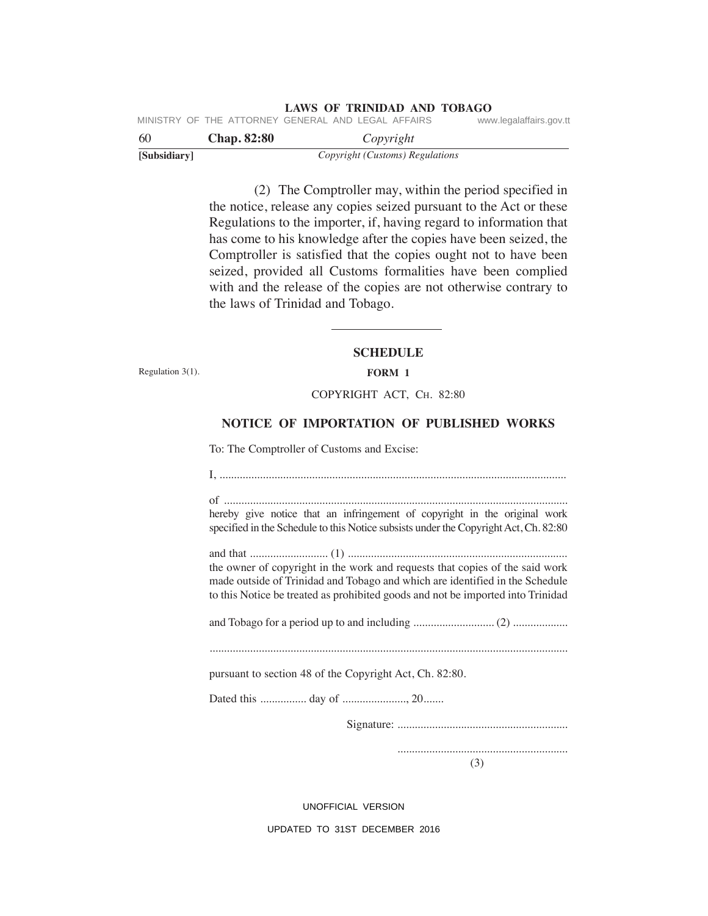| 60 |  | <b>Chap.</b> 82:80                                 |  | Copyright |  |                         |
|----|--|----------------------------------------------------|--|-----------|--|-------------------------|
|    |  | MINISTRY OF THE ATTORNEY GENERAL AND LEGAL AFFAIRS |  |           |  | www.legalaffairs.gov.tt |

| vv           | Cnap. 62.00 | $\omega$ <i>pyright</i>         |  |  |  |
|--------------|-------------|---------------------------------|--|--|--|
| [Subsidiary] |             | Copyright (Customs) Regulations |  |  |  |

 (2) The Comptroller may, within the period specified in the notice, release any copies seized pursuant to the Act or these Regulations to the importer, if, having regard to information that has come to his knowledge after the copies have been seized, the Comptroller is satisfied that the copies ought not to have been seized, provided all Customs formalities have been complied with and the release of the copies are not otherwise contrary to the laws of Trinidad and Tobago.

# **SCHeDuLe FORm 1**

Regulation 3(1).

## COPyRIGhT ACT, Ch. 82:80

# **NOTICe OF ImPORTATION OF PuBLISHeD WORkS**

To: The Comptroller of Customs and Excise:

I, ........................................................................................................................ of ....................................................................................................................... hereby give notice that an infringement of copyright in the original work specified in the Schedule to this Notice subsists under the Copyright Act, Ch. 82:80 and that ........................... (1) ............................................................................ the owner of copyright in the work and requests that copies of the said work made outside of Trinidad and Tobago and which are identified in the Schedule to this Notice be treated as prohibited goods and not be imported into Trinidad and Tobago for a period up to and including ............................ (2) ................... ............................................................................................................................ pursuant to section 48 of the Copyright Act, Ch. 82:80. Dated this ................ day of ......................, 20....... Signature: ........................................................... ........................................................... (3)

UNOFFICIAL VERSION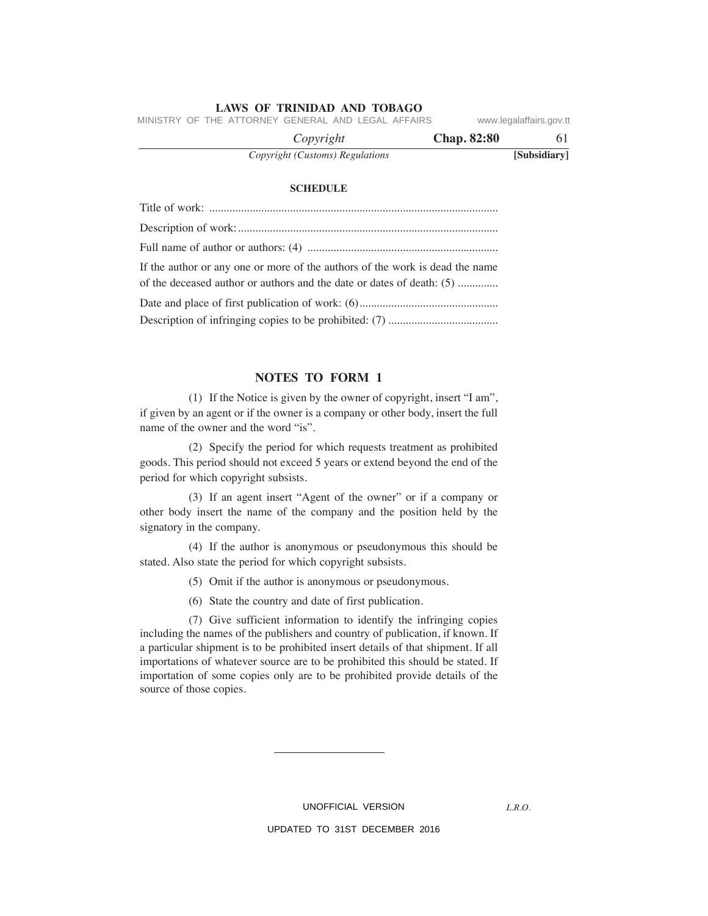MINISTRY OF THE ATTORNEY GENERAL AND LEGAL AFFAIRS www.legalaffairs.gov.tt

| <b>Chap. 82:80</b><br>Copyright |              |
|---------------------------------|--------------|
| Copyright (Customs) Regulations | [Subsidiary] |

#### **SCHeDuLe**

| If the author or any one or more of the authors of the work is dead the name |
|------------------------------------------------------------------------------|
| of the deceased author or authors and the date or dates of death: (5)        |
|                                                                              |
|                                                                              |
|                                                                              |

# **NOTeS TO FORm 1**

 (1) If the Notice is given by the owner of copyright, insert "I am", if given by an agent or if the owner is a company or other body, insert the full name of the owner and the word "is".

 (2) Specify the period for which requests treatment as prohibited goods. This period should not exceed 5 years or extend beyond the end of the period for which copyright subsists.

 (3) If an agent insert "Agent of the owner" or if a company or other body insert the name of the company and the position held by the signatory in the company.

 (4) If the author is anonymous or pseudonymous this should be stated. Also state the period for which copyright subsists.

- (5) Omit if the author is anonymous or pseudonymous.
- (6) State the country and date of first publication.

 (7) Give sufficient information to identify the infringing copies including the names of the publishers and country of publication, if known. If a particular shipment is to be prohibited insert details of that shipment. If all importations of whatever source are to be prohibited this should be stated. If importation of some copies only are to be prohibited provide details of the source of those copies.

UNOFFICIAL VERSION

*L.R.O.*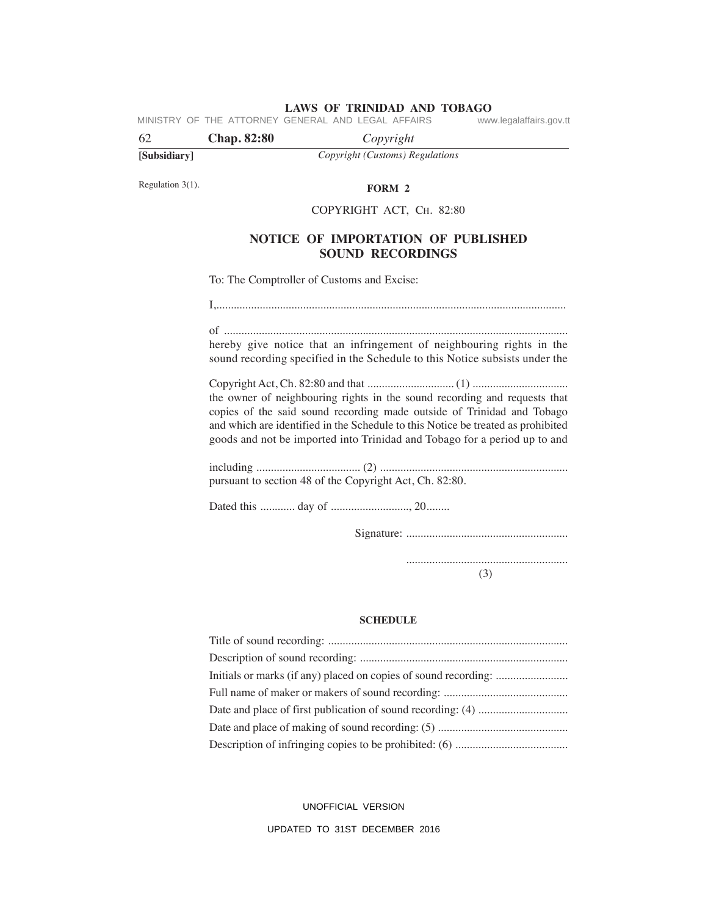**LAWS OF TRINIDAD AND TOBAGO**<br>GENERAL AND LEGAL AFFAIRS www.legalaffairs.gov.tt MINISTRY OF THE ATTORNEY GENERAL AND LEGAL AFFAIRS

| 62           | <b>Chap. 82:80</b> | Copyright                       |
|--------------|--------------------|---------------------------------|
| [Subsidiary] |                    | Copyright (Customs) Regulations |

Regulation 3(1).

**FORm 2**

### COPyRIGhT ACT, Ch. 82:80

# **NOTICe OF ImPORTATION OF PuBLISHeD SOuND ReCORDINGS**

To: The Comptroller of Customs and Excise:

I,.........................................................................................................................

of ....................................................................................................................... hereby give notice that an infringement of neighbouring rights in the sound recording specified in the Schedule to this Notice subsists under the

Copyright Act, Ch. 82:80 and that .............................. (1) ................................. the owner of neighbouring rights in the sound recording and requests that copies of the said sound recording made outside of Trinidad and Tobago and which are identified in the Schedule to this Notice be treated as prohibited goods and not be imported into Trinidad and Tobago for a period up to and

including .................................... (2) ................................................................. pursuant to section 48 of the Copyright Act, Ch. 82:80.

Dated this ............ day of ..........................., 20........

Signature: ........................................................

........................................................

(3)

#### **SCHeDuLe**

UNOFFICIAL VERSION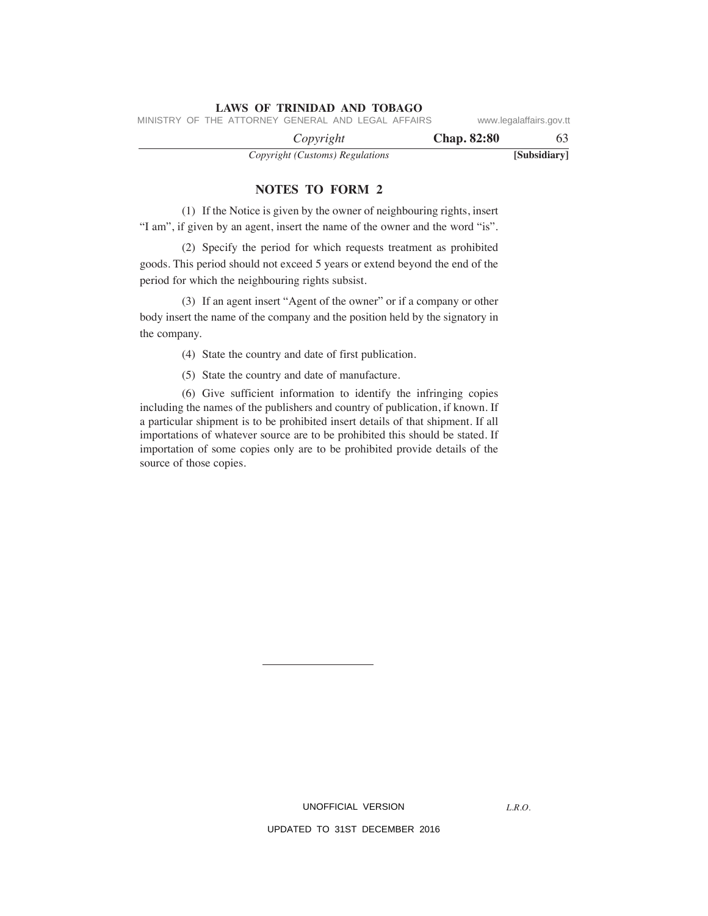*Copyright* **Chap. 82:80** 63 MINISTRY OF THE ATTORNEY GENERAL AND LEGAL AFFAIRS www.legalaffairs.gov.tt

*Copyright (Customs) Regulations* **[Subsidiary]**

### **NOTeS TO FORm 2**

 (1) If the Notice is given by the owner of neighbouring rights, insert "I am", if given by an agent, insert the name of the owner and the word "is".

 (2) Specify the period for which requests treatment as prohibited goods. This period should not exceed 5 years or extend beyond the end of the period for which the neighbouring rights subsist.

 (3) If an agent insert "Agent of the owner" or if a company or other body insert the name of the company and the position held by the signatory in the company.

(4) State the country and date of first publication.

(5) State the country and date of manufacture.

 (6) Give sufficient information to identify the infringing copies including the names of the publishers and country of publication, if known. If a particular shipment is to be prohibited insert details of that shipment. If all importations of whatever source are to be prohibited this should be stated. If importation of some copies only are to be prohibited provide details of the source of those copies.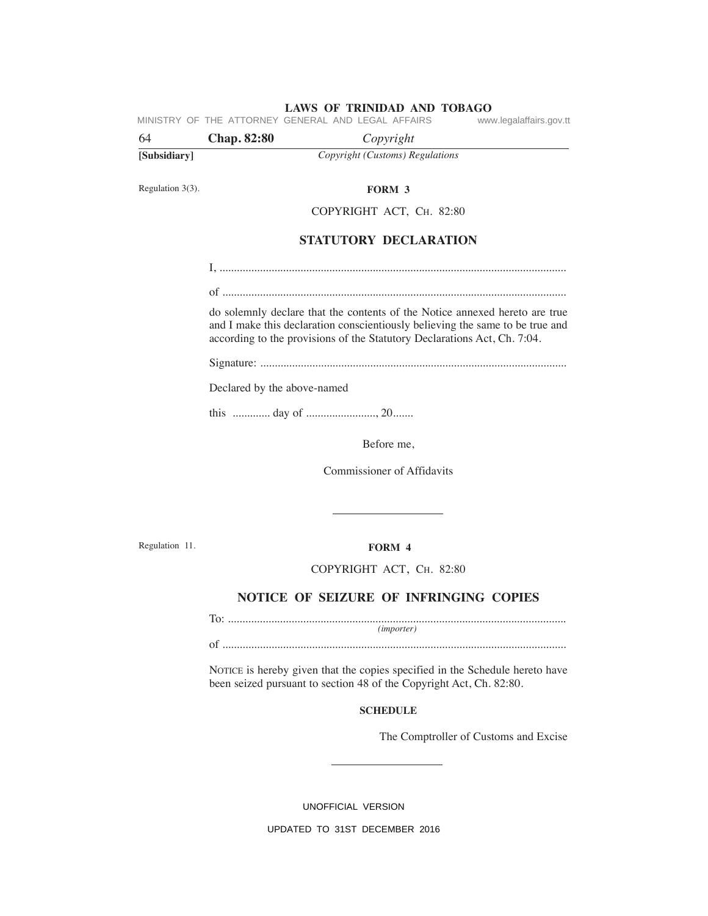**LAWS OF TRINIDAD AND TOBAGO**<br>GENERAL AND LEGAL AFFAIRS www.legalaffairs.gov.tt MINISTRY OF THE ATTORNEY GENERAL AND LEGAL AFFAIRS

| 64           | <b>Chap. 82:80</b> | Copyright                       |  |
|--------------|--------------------|---------------------------------|--|
| [Subsidiary] |                    | Copyright (Customs) Regulations |  |
|              |                    |                                 |  |

Regulation 3(3).

#### **FORm 3**

COPyRIGhT ACT, Ch. 82:80

# **STATuTORY DeCLARATION**

I, ........................................................................................................................

of .......................................................................................................................

do solemnly declare that the contents of the Notice annexed hereto are true and I make this declaration conscientiously believing the same to be true and according to the provisions of the Statutory Declarations Act, Ch. 7:04.

Signature: ..........................................................................................................

Declared by the above-named

this ............. day of ........................, 20.......

Before me,

Commissioner of Affidavits

Regulation 11.

# **FORm 4**

#### COPyRIGhT ACT, Ch. 82:80

# **NOTICe OF SeIzuRe OF INFRINGING COPIeS**

To: ..................................................................................................................... *(importer)*

of .......................................................................................................................

NOTICE is hereby given that the copies specified in the Schedule hereto have been seized pursuant to section 48 of the Copyright Act, Ch. 82:80.

#### **SCHeDuLe**

The Comptroller of Customs and Excise

UNOFFICIAL VERSION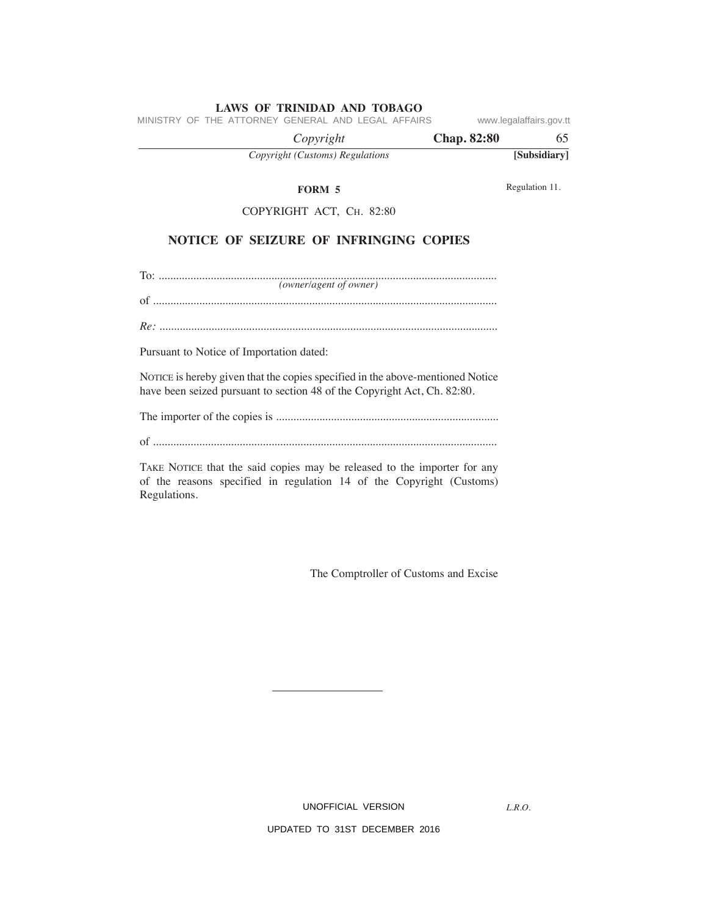| MINISTRY OF THE ATTORNEY GENERAL AND LEGAL AFFAIRS |                    | www.legalaffairs.gov.tt |
|----------------------------------------------------|--------------------|-------------------------|
| Copyright                                          | <b>Chap. 82:80</b> | 65                      |
| Copyright (Customs) Regulations                    |                    | [Subsidiary]            |
| <b>FORM 5</b>                                      |                    | Regulation 11.          |
| COPYRIGHT ACT, CH. 82:80                           |                    |                         |
| NOTICE OF SEIZURE OF INFRINGING COPIES             |                    |                         |
| (owner/agent of owner)                             |                    |                         |
|                                                    |                    |                         |
| Pursuant to Notice of Importation dated:           |                    |                         |
|                                                    |                    |                         |

NOTICE is hereby given that the copies specified in the above-mentioned Notice have been seized pursuant to section 48 of the Copyright Act, Ch. 82:80.

The importer of the copies is .............................................................................

of .......................................................................................................................

TAkE NOTICE that the said copies may be released to the importer for any of the reasons specified in regulation 14 of the Copyright (Customs) Regulations.

The Comptroller of Customs and Excise

UNOFFICIAL VERSION

UPDATED TO 31ST DECEMBER 2016

*L.R.O.*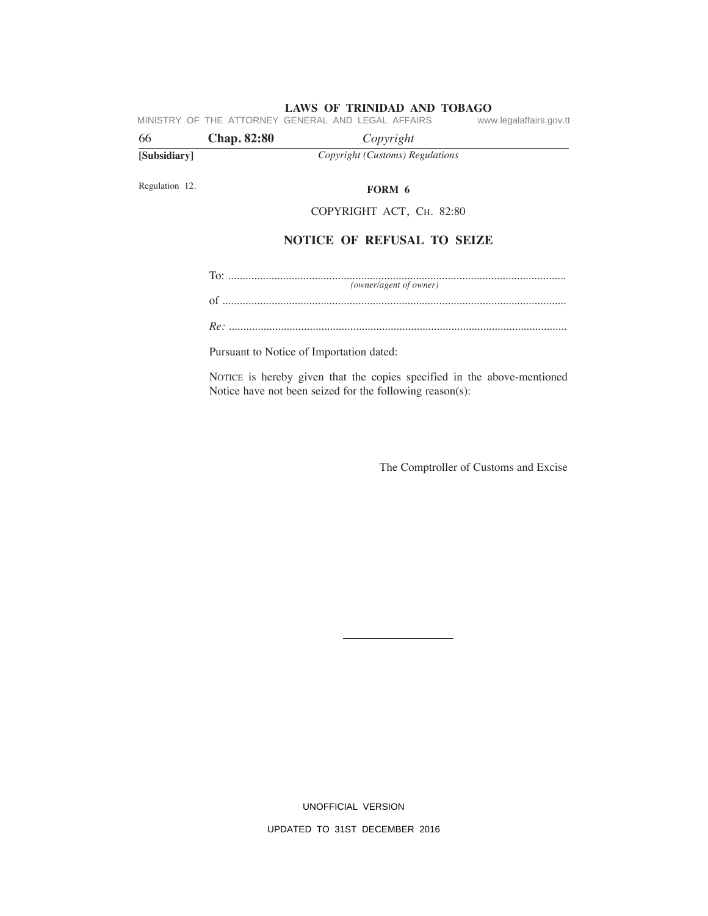MINISTRY OF THE ATTORNEY GENERAL AND LEGAL AFFAIRS www.legalaffairs.gov.tt

| 66           | <b>Chap. 82:80</b> | Copyright                       |  |
|--------------|--------------------|---------------------------------|--|
| [Subsidiary] |                    | Copyright (Customs) Regulations |  |

Regulation 12.

**FORm 6**

COPyRIGhT ACT, Ch. 82:80

# **NOTICe OF ReFuSAL TO SeIze**

To: ..................................................................................................................... of ....................................................................................................................... *(owner/agent of owner)*

*Re:* .....................................................................................................................

Pursuant to Notice of Importation dated:

NOTICE is hereby given that the copies specified in the above-mentioned Notice have not been seized for the following reason(s):

The Comptroller of Customs and Excise

UNOFFICIAL VERSION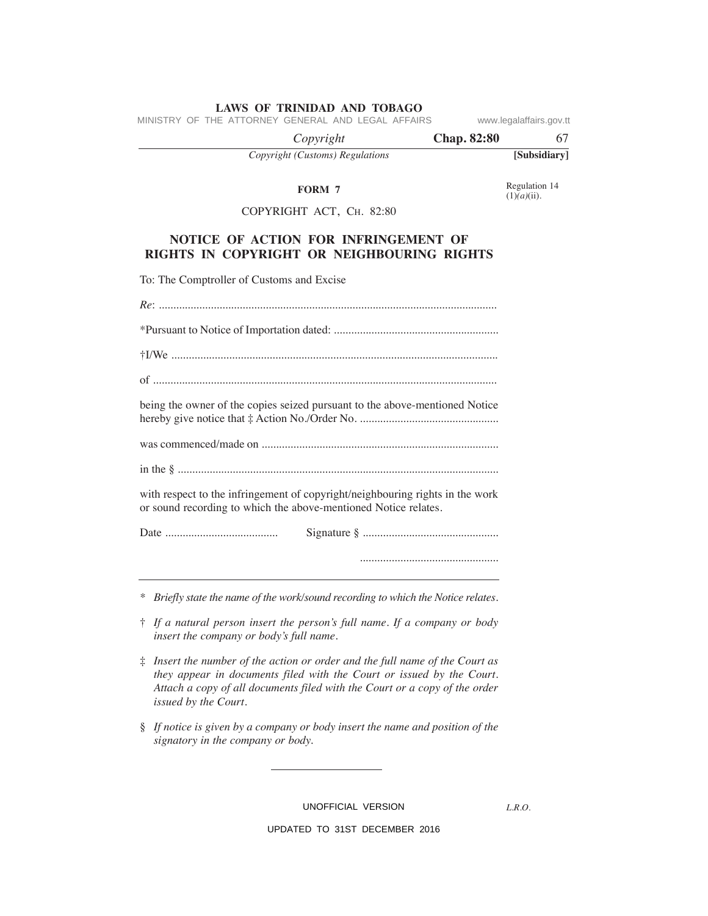MINISTRY OF THE ATTORNEY GENERAL AND LEGAL AFFAIRS www.legalaffairs.gov.tt

 *Copyright* **Chap. 82:80** 67

*Copyright (Customs) Regulations* **[Subsidiary]**

#### **FORm 7**

Regulation 14  $(1)\tilde{a}$ <sup>(ii)</sup>.

# COPyRIGhT ACT, Ch. 82:80

# **NOTICe OF ACTION FOR INFRINGemeNT OF RIGHTS IN COPYRIGHT OR NeIGHBOuRING RIGHTS**

To: The Comptroller of Customs and Excise

| being the owner of the copies seized pursuant to the above-mentioned Notice                                                                      |
|--------------------------------------------------------------------------------------------------------------------------------------------------|
|                                                                                                                                                  |
|                                                                                                                                                  |
| with respect to the infringement of copyright/neighbouring rights in the work<br>or sound recording to which the above-mentioned Notice relates. |
|                                                                                                                                                  |
|                                                                                                                                                  |
|                                                                                                                                                  |

*\* Briefly state the name of the work/sound recording to which the Notice relates.*

- † *If a natural person insert the person's full name. If a company or body insert the company or body's full name.*
- ‡ *Insert the number of the action or order and the full name of the Court as they appear in documents filed with the Court or issued by the Court. Attach a copy of all documents filed with the Court or a copy of the order issued by the Court.*
- § *If notice is given by a company or body insert the name and position of the signatory in the company or body.*

UNOFFICIAL VERSION

*L.R.O.*